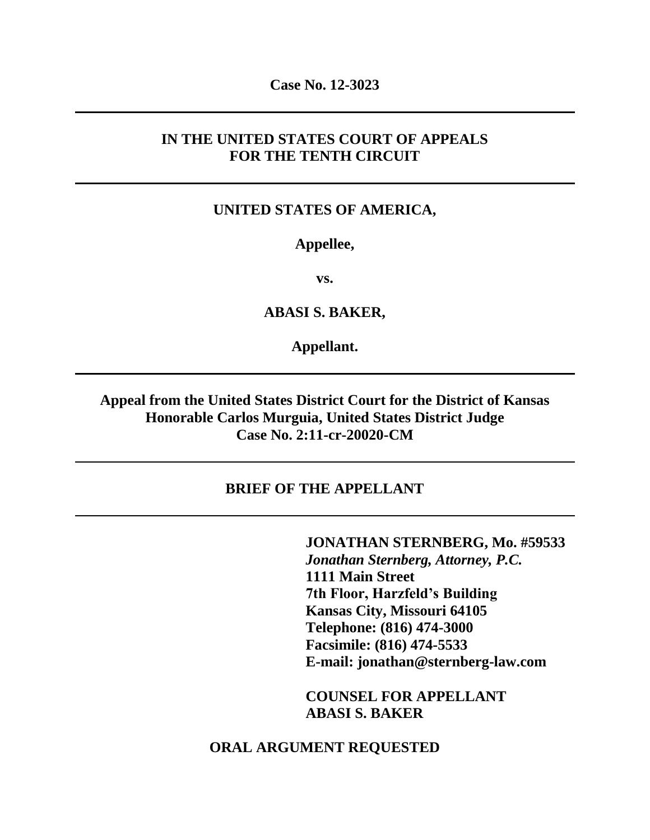**Case No. 12-3023**

# **IN THE UNITED STATES COURT OF APPEALS FOR THE TENTH CIRCUIT**

### **UNITED STATES OF AMERICA,**

## **Appellee,**

**vs.**

**ABASI S. BAKER,**

**Appellant.**

**Appeal from the United States District Court for the District of Kansas Honorable Carlos Murguia, United States District Judge Case No. 2:11-cr-20020-CM**

#### **BRIEF OF THE APPELLANT**

**JONATHAN STERNBERG, Mo. #59533** *Jonathan Sternberg, Attorney, P.C.* **1111 Main Street 7th Floor, Harzfeld's Building Kansas City, Missouri 64105 Telephone: (816) 474-3000 Facsimile: (816) 474-5533 E-mail: jonathan@sternberg-law.com**

**COUNSEL FOR APPELLANT ABASI S. BAKER**

### **ORAL ARGUMENT REQUESTED**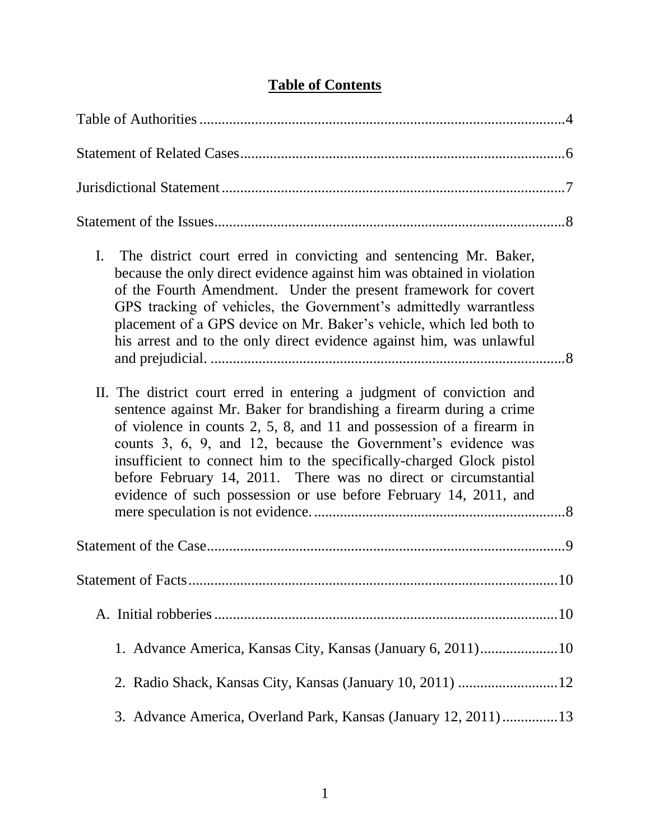| I.<br>The district court erred in convicting and sentencing Mr. Baker,<br>because the only direct evidence against him was obtained in violation<br>of the Fourth Amendment. Under the present framework for covert<br>GPS tracking of vehicles, the Government's admittedly warrantless<br>placement of a GPS device on Mr. Baker's vehicle, which led both to<br>his arrest and to the only direct evidence against him, was unlawful                                                                 |  |
|---------------------------------------------------------------------------------------------------------------------------------------------------------------------------------------------------------------------------------------------------------------------------------------------------------------------------------------------------------------------------------------------------------------------------------------------------------------------------------------------------------|--|
| II. The district court erred in entering a judgment of conviction and<br>sentence against Mr. Baker for brandishing a firearm during a crime<br>of violence in counts $2, 5, 8$ , and 11 and possession of a firearm in<br>counts 3, 6, 9, and 12, because the Government's evidence was<br>insufficient to connect him to the specifically-charged Glock pistol<br>before February 14, 2011. There was no direct or circumstantial<br>evidence of such possession or use before February 14, 2011, and |  |
|                                                                                                                                                                                                                                                                                                                                                                                                                                                                                                         |  |
| . 10                                                                                                                                                                                                                                                                                                                                                                                                                                                                                                    |  |
|                                                                                                                                                                                                                                                                                                                                                                                                                                                                                                         |  |
| 1. Advance America, Kansas City, Kansas (January 6, 2011)10                                                                                                                                                                                                                                                                                                                                                                                                                                             |  |
|                                                                                                                                                                                                                                                                                                                                                                                                                                                                                                         |  |
| 3. Advance America, Overland Park, Kansas (January 12, 2011)13                                                                                                                                                                                                                                                                                                                                                                                                                                          |  |

# **Table of Contents**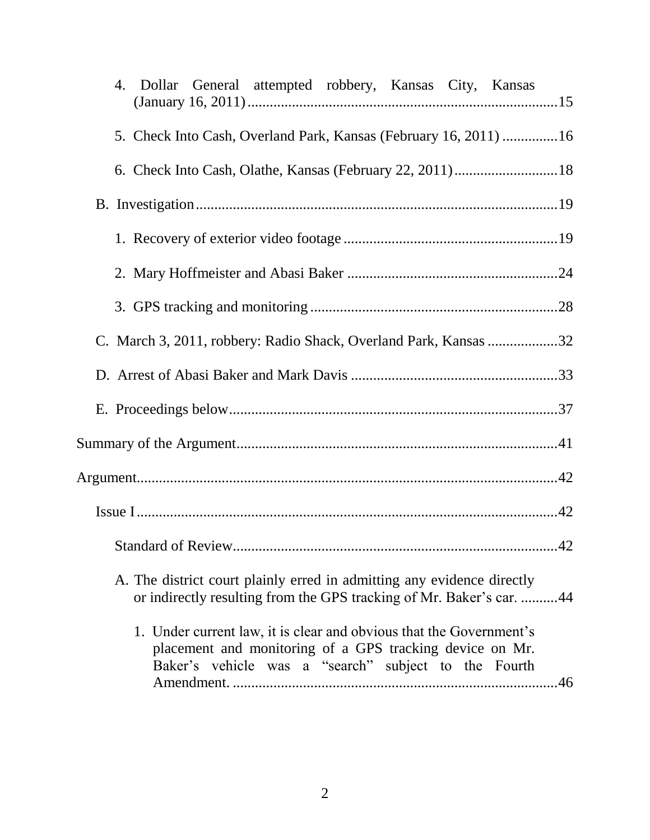| 4. Dollar General attempted robbery, Kansas City, Kansas                                                                                                                                       |
|------------------------------------------------------------------------------------------------------------------------------------------------------------------------------------------------|
| 5. Check Into Cash, Overland Park, Kansas (February 16, 2011) 16                                                                                                                               |
|                                                                                                                                                                                                |
|                                                                                                                                                                                                |
|                                                                                                                                                                                                |
|                                                                                                                                                                                                |
|                                                                                                                                                                                                |
| C. March 3, 2011, robbery: Radio Shack, Overland Park, Kansas 32                                                                                                                               |
|                                                                                                                                                                                                |
|                                                                                                                                                                                                |
|                                                                                                                                                                                                |
|                                                                                                                                                                                                |
|                                                                                                                                                                                                |
|                                                                                                                                                                                                |
| A. The district court plainly erred in admitting any evidence directly<br>or indirectly resulting from the GPS tracking of Mr. Baker's car. 44                                                 |
| 1. Under current law, it is clear and obvious that the Government's<br>placement and monitoring of a GPS tracking device on Mr.<br>Baker's vehicle was a "search" subject to the Fourth<br>.46 |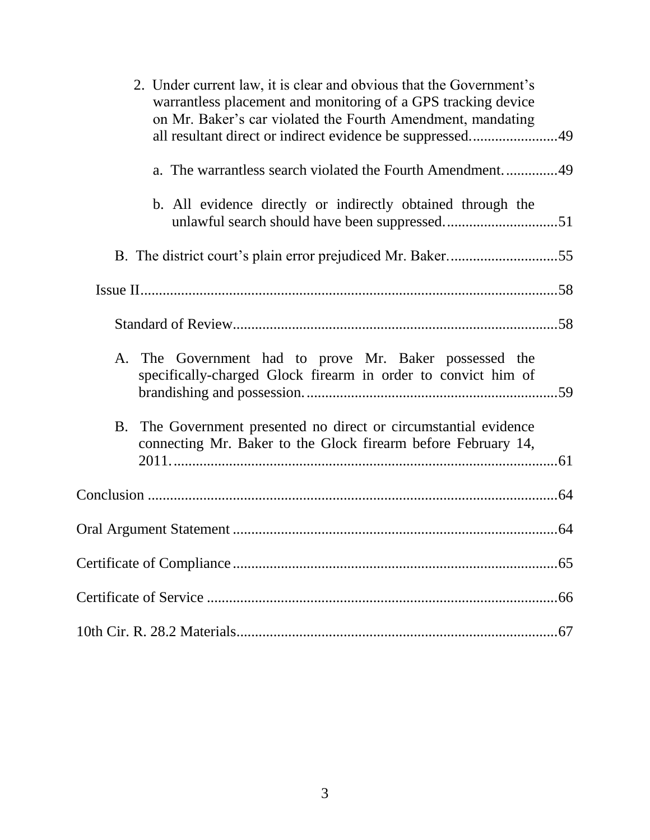| 2. Under current law, it is clear and obvious that the Government's<br>warrantless placement and monitoring of a GPS tracking device<br>on Mr. Baker's car violated the Fourth Amendment, mandating<br>all resultant direct or indirect evidence be suppressed49 |
|------------------------------------------------------------------------------------------------------------------------------------------------------------------------------------------------------------------------------------------------------------------|
|                                                                                                                                                                                                                                                                  |
| b. All evidence directly or indirectly obtained through the                                                                                                                                                                                                      |
|                                                                                                                                                                                                                                                                  |
|                                                                                                                                                                                                                                                                  |
|                                                                                                                                                                                                                                                                  |
| A. The Government had to prove Mr. Baker possessed the<br>specifically-charged Glock firearm in order to convict him of                                                                                                                                          |
| B. The Government presented no direct or circumstantial evidence<br>connecting Mr. Baker to the Glock firearm before February 14,                                                                                                                                |
|                                                                                                                                                                                                                                                                  |
| .64                                                                                                                                                                                                                                                              |
|                                                                                                                                                                                                                                                                  |
|                                                                                                                                                                                                                                                                  |
|                                                                                                                                                                                                                                                                  |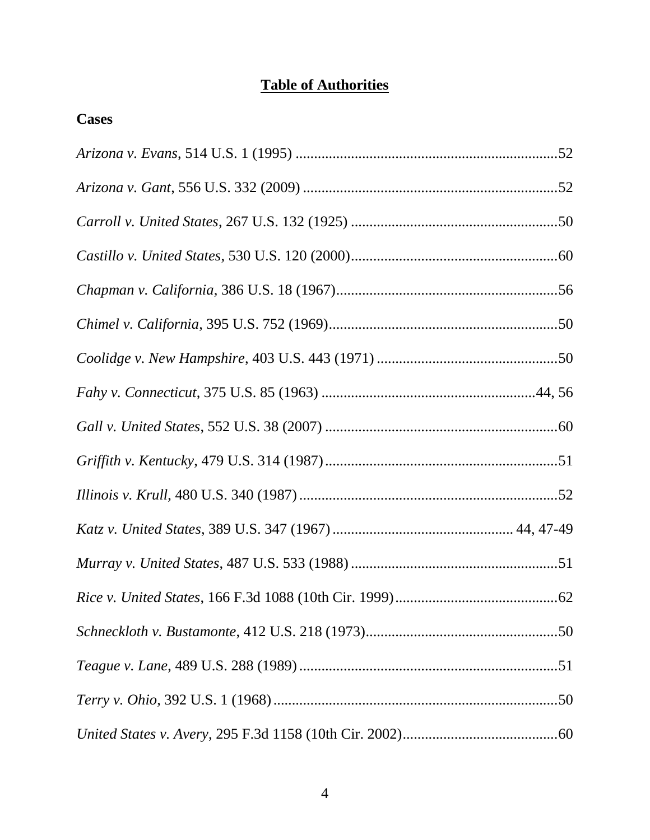# **Table of Authorities**

| <b>Cases</b> |
|--------------|
|              |
|              |
|              |
|              |
|              |
|              |
|              |
|              |
|              |
|              |
|              |
|              |
|              |
|              |
|              |
|              |
|              |
|              |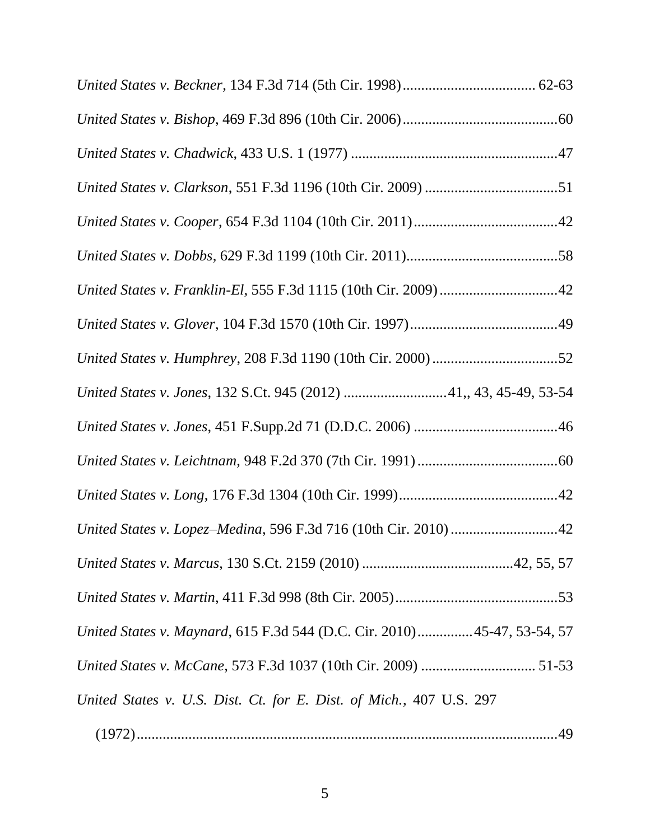| United States v. Jones, 132 S.Ct. 945 (2012) 41,, 43, 45-49, 53-54      |
|-------------------------------------------------------------------------|
|                                                                         |
|                                                                         |
|                                                                         |
| United States v. Lopez-Medina, 596 F.3d 716 (10th Cir. 2010) 42         |
|                                                                         |
|                                                                         |
| United States v. Maynard, 615 F.3d 544 (D.C. Cir. 2010)45-47, 53-54, 57 |
|                                                                         |
| United States v. U.S. Dist. Ct. for E. Dist. of Mich., 407 U.S. 297     |
|                                                                         |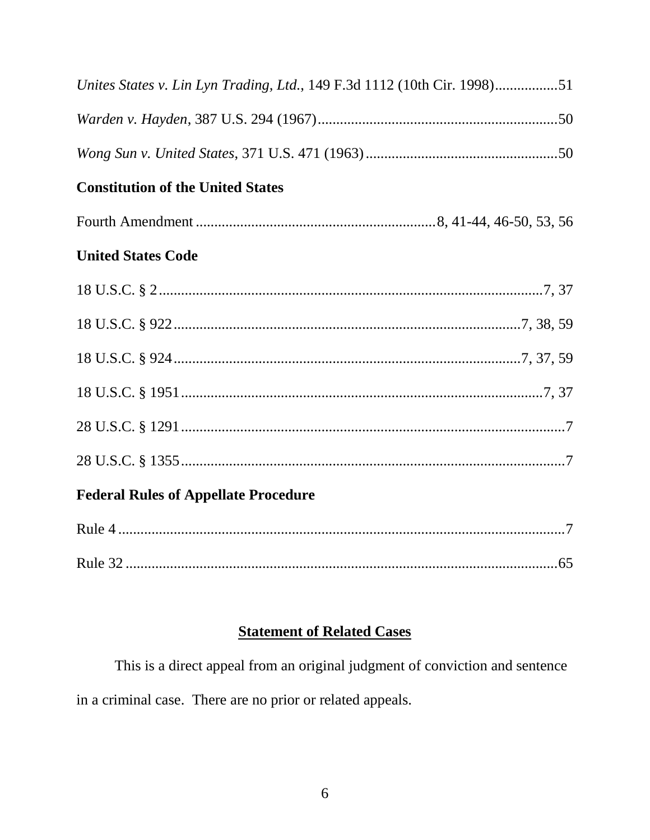| Unites States v. Lin Lyn Trading, Ltd., 149 F.3d 1112 (10th Cir. 1998)51 |
|--------------------------------------------------------------------------|
|                                                                          |
|                                                                          |
| <b>Constitution of the United States</b>                                 |
|                                                                          |
| <b>United States Code</b>                                                |
|                                                                          |
|                                                                          |
|                                                                          |
|                                                                          |
|                                                                          |
|                                                                          |
| <b>Federal Rules of Appellate Procedure</b>                              |
|                                                                          |
|                                                                          |

# **Statement of Related Cases**

This is a direct appeal from an original judgment of conviction and sentence in a criminal case. There are no prior or related appeals.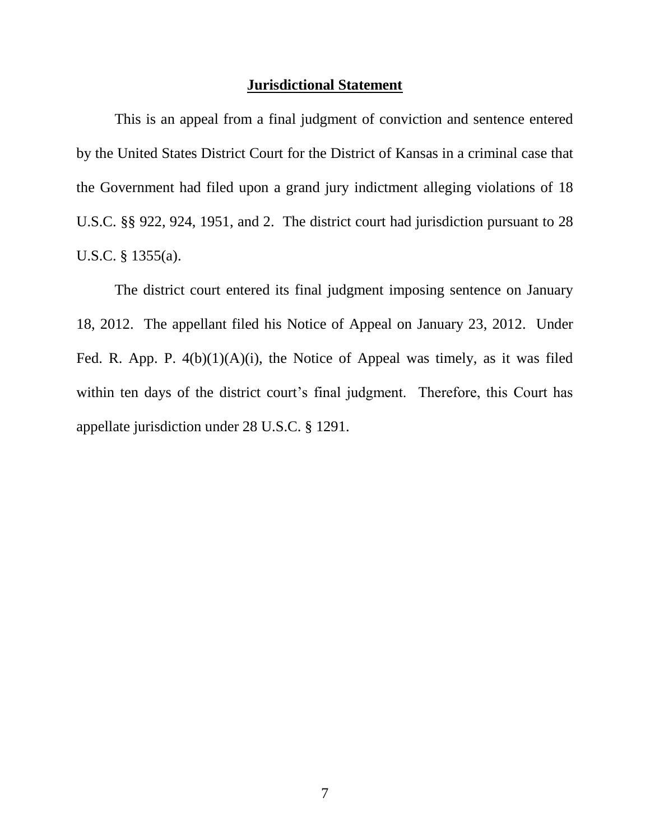#### **Jurisdictional Statement**

This is an appeal from a final judgment of conviction and sentence entered by the United States District Court for the District of Kansas in a criminal case that the Government had filed upon a grand jury indictment alleging violations of 18 U.S.C. §§ 922, 924, 1951, and 2. The district court had jurisdiction pursuant to 28 U.S.C. § 1355(a).

The district court entered its final judgment imposing sentence on January 18, 2012. The appellant filed his Notice of Appeal on January 23, 2012. Under Fed. R. App. P.  $4(b)(1)(A)(i)$ , the Notice of Appeal was timely, as it was filed within ten days of the district court's final judgment. Therefore, this Court has appellate jurisdiction under 28 U.S.C. § 1291.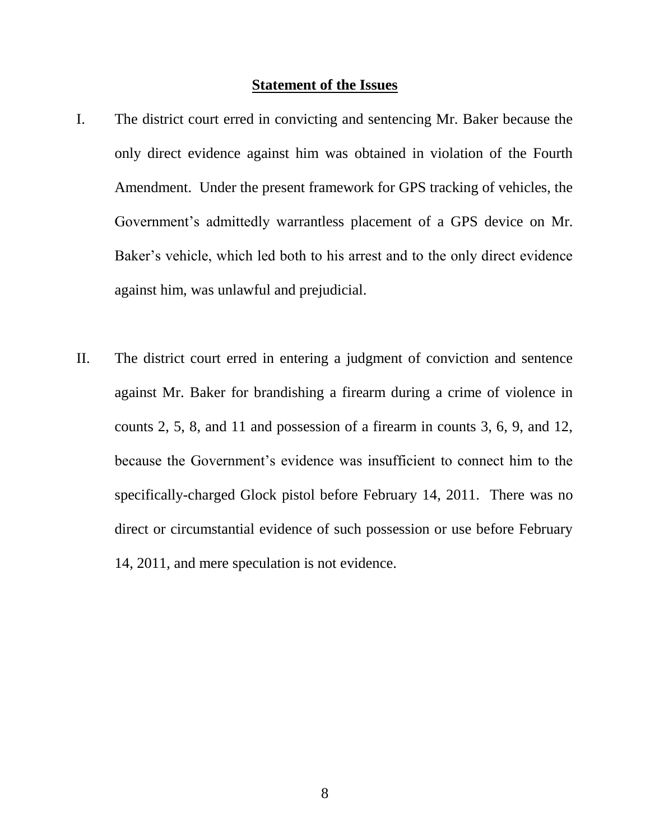#### **Statement of the Issues**

- I. The district court erred in convicting and sentencing Mr. Baker because the only direct evidence against him was obtained in violation of the Fourth Amendment. Under the present framework for GPS tracking of vehicles, the Government's admittedly warrantless placement of a GPS device on Mr. Baker's vehicle, which led both to his arrest and to the only direct evidence against him, was unlawful and prejudicial.
- II. The district court erred in entering a judgment of conviction and sentence against Mr. Baker for brandishing a firearm during a crime of violence in counts 2, 5, 8, and 11 and possession of a firearm in counts 3, 6, 9, and 12, because the Government's evidence was insufficient to connect him to the specifically-charged Glock pistol before February 14, 2011. There was no direct or circumstantial evidence of such possession or use before February 14, 2011, and mere speculation is not evidence.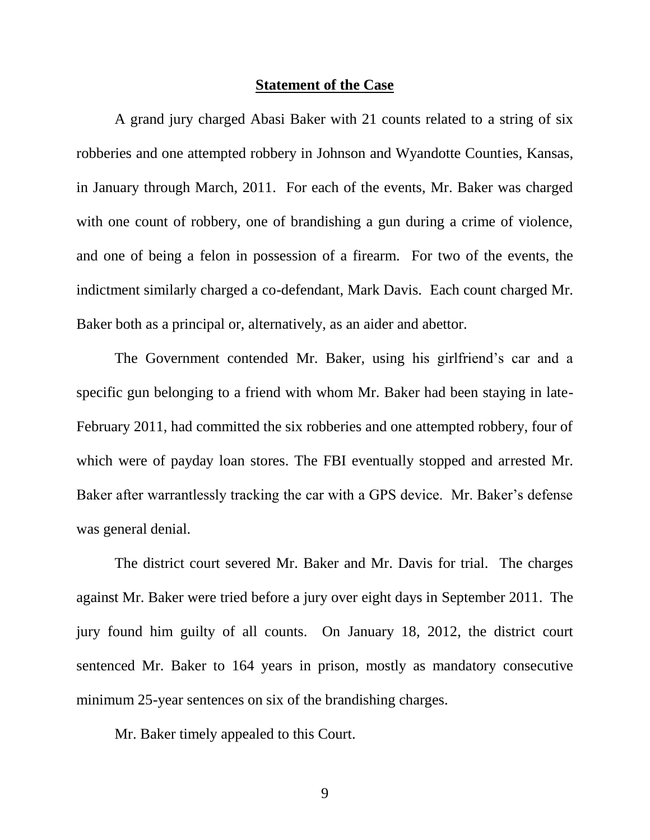#### **Statement of the Case**

A grand jury charged Abasi Baker with 21 counts related to a string of six robberies and one attempted robbery in Johnson and Wyandotte Counties, Kansas, in January through March, 2011. For each of the events, Mr. Baker was charged with one count of robbery, one of brandishing a gun during a crime of violence, and one of being a felon in possession of a firearm. For two of the events, the indictment similarly charged a co-defendant, Mark Davis. Each count charged Mr. Baker both as a principal or, alternatively, as an aider and abettor.

The Government contended Mr. Baker, using his girlfriend's car and a specific gun belonging to a friend with whom Mr. Baker had been staying in late-February 2011, had committed the six robberies and one attempted robbery, four of which were of payday loan stores. The FBI eventually stopped and arrested Mr. Baker after warrantlessly tracking the car with a GPS device. Mr. Baker's defense was general denial.

The district court severed Mr. Baker and Mr. Davis for trial. The charges against Mr. Baker were tried before a jury over eight days in September 2011. The jury found him guilty of all counts. On January 18, 2012, the district court sentenced Mr. Baker to 164 years in prison, mostly as mandatory consecutive minimum 25-year sentences on six of the brandishing charges.

Mr. Baker timely appealed to this Court.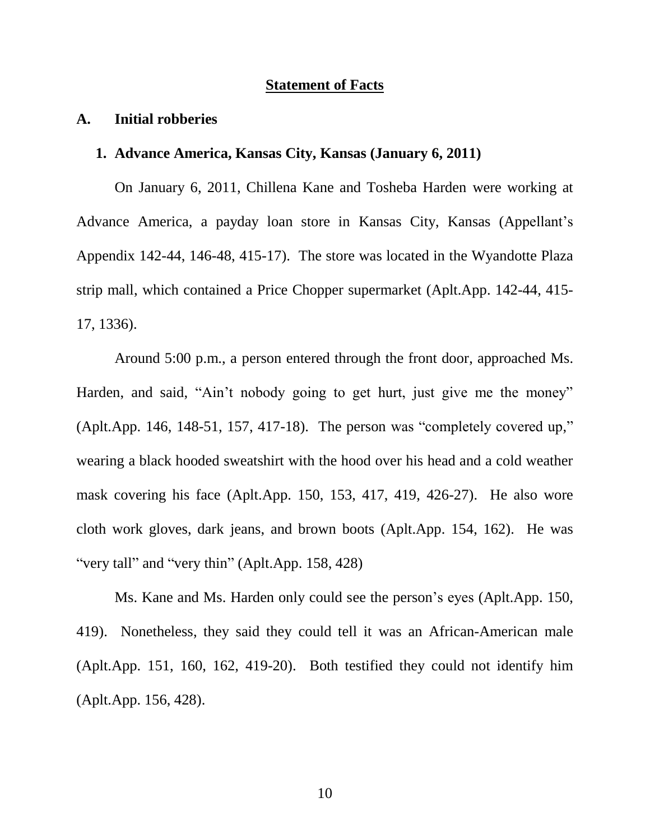#### **Statement of Facts**

#### **A. Initial robberies**

### **1. Advance America, Kansas City, Kansas (January 6, 2011)**

On January 6, 2011, Chillena Kane and Tosheba Harden were working at Advance America, a payday loan store in Kansas City, Kansas (Appellant's Appendix 142-44, 146-48, 415-17). The store was located in the Wyandotte Plaza strip mall, which contained a Price Chopper supermarket (Aplt.App. 142-44, 415- 17, 1336).

Around 5:00 p.m., a person entered through the front door, approached Ms. Harden, and said, "Ain't nobody going to get hurt, just give me the money" (Aplt.App. 146, 148-51, 157, 417-18). The person was "completely covered up," wearing a black hooded sweatshirt with the hood over his head and a cold weather mask covering his face (Aplt.App. 150, 153, 417, 419, 426-27). He also wore cloth work gloves, dark jeans, and brown boots (Aplt.App. 154, 162). He was "very tall" and "very thin" (Aplt.App. 158, 428)

Ms. Kane and Ms. Harden only could see the person's eyes (Aplt.App. 150, 419). Nonetheless, they said they could tell it was an African-American male (Aplt.App. 151, 160, 162, 419-20). Both testified they could not identify him (Aplt.App. 156, 428).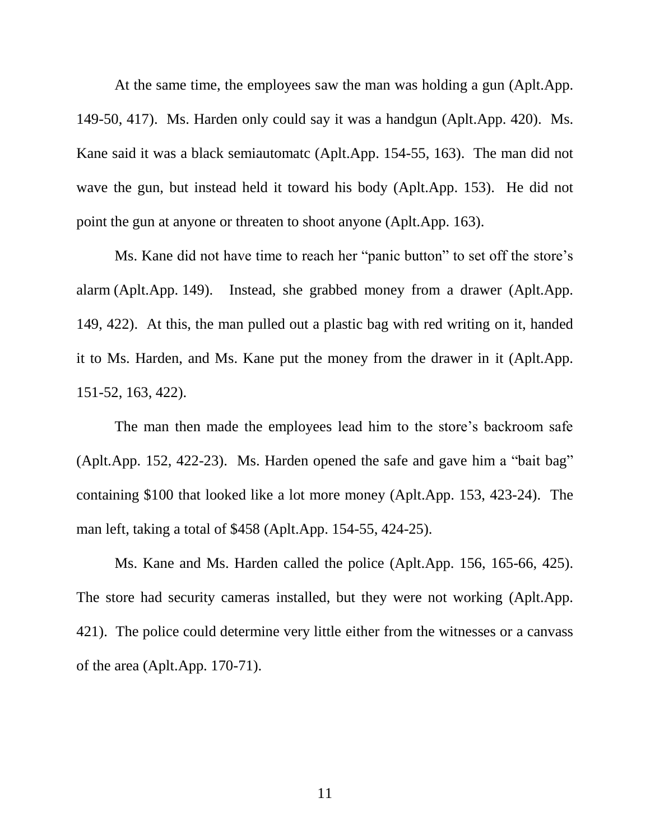At the same time, the employees saw the man was holding a gun (Aplt.App. 149-50, 417). Ms. Harden only could say it was a handgun (Aplt.App. 420). Ms. Kane said it was a black semiautomatc (Aplt.App. 154-55, 163). The man did not wave the gun, but instead held it toward his body (Aplt.App. 153). He did not point the gun at anyone or threaten to shoot anyone (Aplt.App. 163).

Ms. Kane did not have time to reach her "panic button" to set off the store's alarm (Aplt.App. 149). Instead, she grabbed money from a drawer (Aplt.App. 149, 422). At this, the man pulled out a plastic bag with red writing on it, handed it to Ms. Harden, and Ms. Kane put the money from the drawer in it (Aplt.App. 151-52, 163, 422).

The man then made the employees lead him to the store's backroom safe (Aplt.App. 152, 422-23). Ms. Harden opened the safe and gave him a "bait bag" containing \$100 that looked like a lot more money (Aplt.App. 153, 423-24). The man left, taking a total of \$458 (Aplt.App. 154-55, 424-25).

Ms. Kane and Ms. Harden called the police (Aplt.App. 156, 165-66, 425). The store had security cameras installed, but they were not working (Aplt.App. 421). The police could determine very little either from the witnesses or a canvass of the area (Aplt.App. 170-71).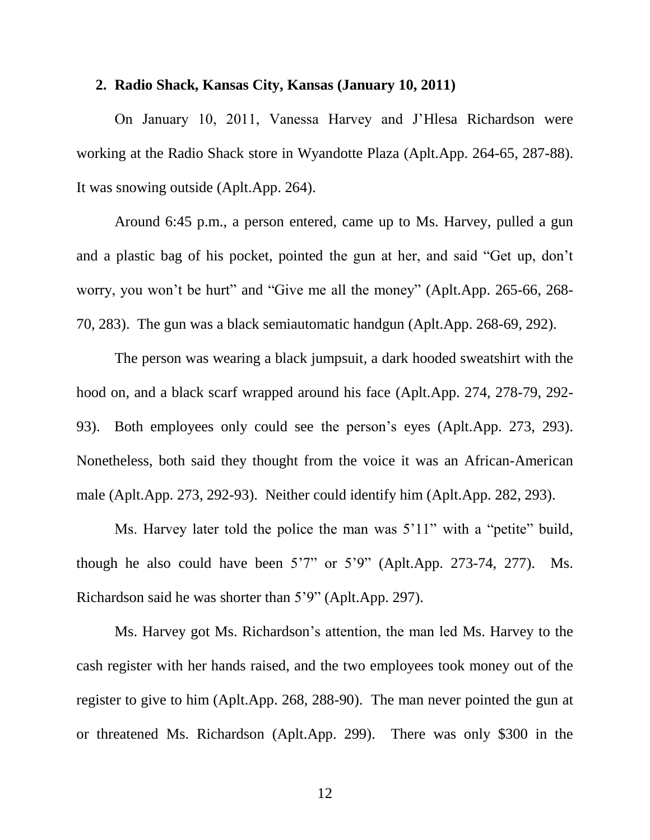#### **2. Radio Shack, Kansas City, Kansas (January 10, 2011)**

On January 10, 2011, Vanessa Harvey and J'Hlesa Richardson were working at the Radio Shack store in Wyandotte Plaza (Aplt.App. 264-65, 287-88). It was snowing outside (Aplt.App. 264).

Around 6:45 p.m., a person entered, came up to Ms. Harvey, pulled a gun and a plastic bag of his pocket, pointed the gun at her, and said "Get up, don't worry, you won't be hurt" and "Give me all the money" (Aplt.App. 265-66, 268- 70, 283). The gun was a black semiautomatic handgun (Aplt.App. 268-69, 292).

The person was wearing a black jumpsuit, a dark hooded sweatshirt with the hood on, and a black scarf wrapped around his face (Aplt.App. 274, 278-79, 292- 93). Both employees only could see the person's eyes (Aplt.App. 273, 293). Nonetheless, both said they thought from the voice it was an African-American male (Aplt.App. 273, 292-93). Neither could identify him (Aplt.App. 282, 293).

Ms. Harvey later told the police the man was 5'11" with a "petite" build, though he also could have been 5'7" or 5'9" (Aplt.App. 273-74, 277). Ms. Richardson said he was shorter than 5'9" (Aplt.App. 297).

Ms. Harvey got Ms. Richardson's attention, the man led Ms. Harvey to the cash register with her hands raised, and the two employees took money out of the register to give to him (Aplt.App. 268, 288-90). The man never pointed the gun at or threatened Ms. Richardson (Aplt.App. 299). There was only \$300 in the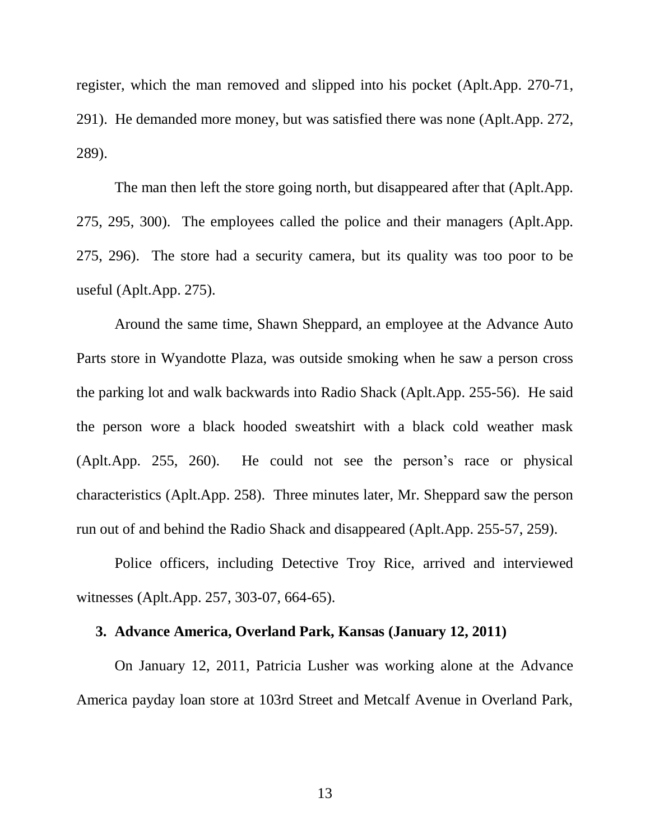register, which the man removed and slipped into his pocket (Aplt.App. 270-71, 291). He demanded more money, but was satisfied there was none (Aplt.App. 272, 289).

The man then left the store going north, but disappeared after that (Aplt.App. 275, 295, 300). The employees called the police and their managers (Aplt.App. 275, 296). The store had a security camera, but its quality was too poor to be useful (Aplt.App. 275).

Around the same time, Shawn Sheppard, an employee at the Advance Auto Parts store in Wyandotte Plaza, was outside smoking when he saw a person cross the parking lot and walk backwards into Radio Shack (Aplt.App. 255-56). He said the person wore a black hooded sweatshirt with a black cold weather mask (Aplt.App. 255, 260). He could not see the person's race or physical characteristics (Aplt.App. 258). Three minutes later, Mr. Sheppard saw the person run out of and behind the Radio Shack and disappeared (Aplt.App. 255-57, 259).

Police officers, including Detective Troy Rice, arrived and interviewed witnesses (Aplt.App. 257, 303-07, 664-65).

### **3. Advance America, Overland Park, Kansas (January 12, 2011)**

On January 12, 2011, Patricia Lusher was working alone at the Advance America payday loan store at 103rd Street and Metcalf Avenue in Overland Park,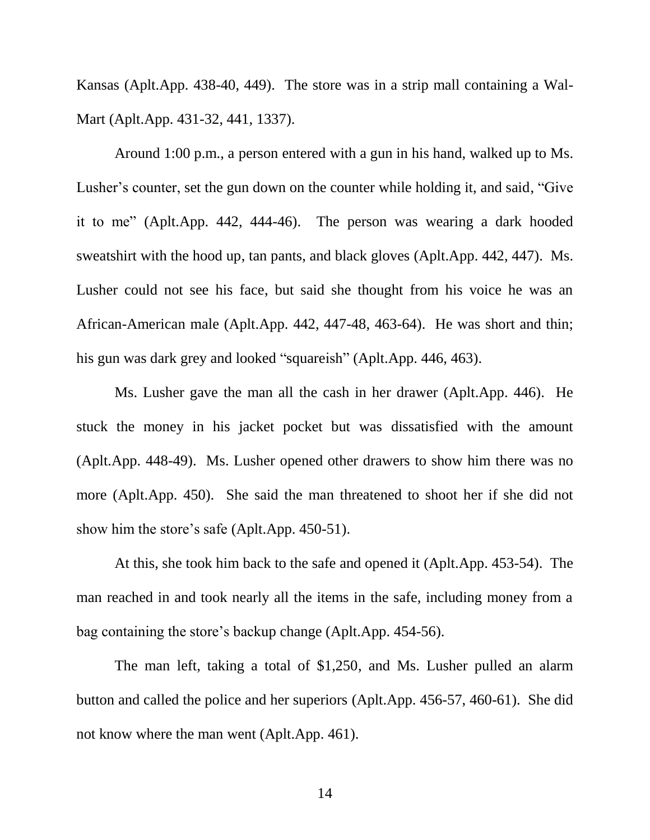Kansas (Aplt.App. 438-40, 449). The store was in a strip mall containing a Wal-Mart (Aplt.App. 431-32, 441, 1337).

Around 1:00 p.m., a person entered with a gun in his hand, walked up to Ms. Lusher's counter, set the gun down on the counter while holding it, and said, "Give it to me" (Aplt.App. 442, 444-46). The person was wearing a dark hooded sweatshirt with the hood up, tan pants, and black gloves (Aplt.App. 442, 447). Ms. Lusher could not see his face, but said she thought from his voice he was an African-American male (Aplt.App. 442, 447-48, 463-64). He was short and thin; his gun was dark grey and looked "squareish" (Aplt.App. 446, 463).

Ms. Lusher gave the man all the cash in her drawer (Aplt.App. 446). He stuck the money in his jacket pocket but was dissatisfied with the amount (Aplt.App. 448-49). Ms. Lusher opened other drawers to show him there was no more (Aplt.App. 450). She said the man threatened to shoot her if she did not show him the store's safe (Aplt.App. 450-51).

At this, she took him back to the safe and opened it (Aplt.App. 453-54). The man reached in and took nearly all the items in the safe, including money from a bag containing the store's backup change (Aplt.App. 454-56).

The man left, taking a total of \$1,250, and Ms. Lusher pulled an alarm button and called the police and her superiors (Aplt.App. 456-57, 460-61). She did not know where the man went (Aplt.App. 461).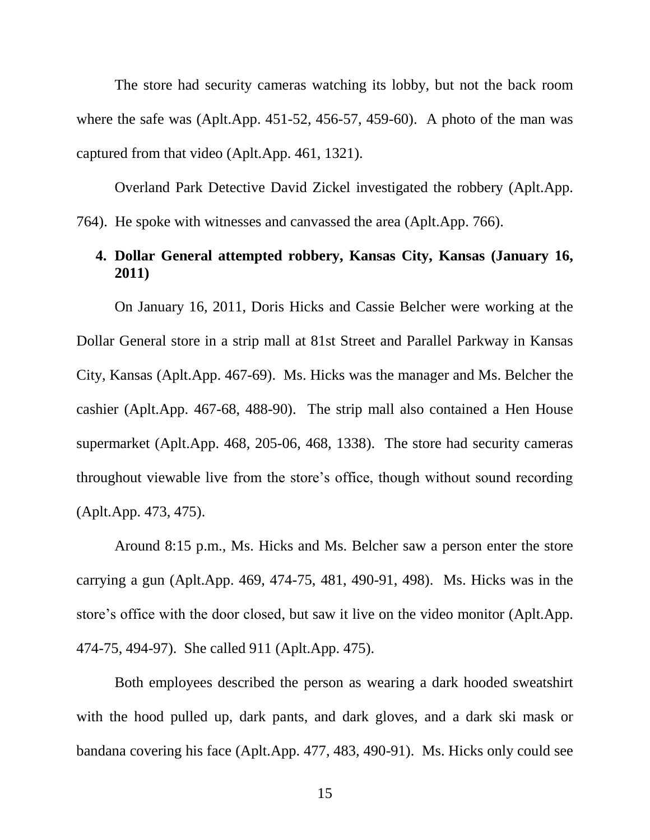The store had security cameras watching its lobby, but not the back room where the safe was (Aplt.App. 451-52, 456-57, 459-60). A photo of the man was captured from that video (Aplt.App. 461, 1321).

Overland Park Detective David Zickel investigated the robbery (Aplt.App. 764). He spoke with witnesses and canvassed the area (Aplt.App. 766).

# **4. Dollar General attempted robbery, Kansas City, Kansas (January 16, 2011)**

On January 16, 2011, Doris Hicks and Cassie Belcher were working at the Dollar General store in a strip mall at 81st Street and Parallel Parkway in Kansas City, Kansas (Aplt.App. 467-69). Ms. Hicks was the manager and Ms. Belcher the cashier (Aplt.App. 467-68, 488-90). The strip mall also contained a Hen House supermarket (Aplt.App. 468, 205-06, 468, 1338). The store had security cameras throughout viewable live from the store's office, though without sound recording (Aplt.App. 473, 475).

Around 8:15 p.m., Ms. Hicks and Ms. Belcher saw a person enter the store carrying a gun (Aplt.App. 469, 474-75, 481, 490-91, 498). Ms. Hicks was in the store's office with the door closed, but saw it live on the video monitor (Aplt.App. 474-75, 494-97). She called 911 (Aplt.App. 475).

Both employees described the person as wearing a dark hooded sweatshirt with the hood pulled up, dark pants, and dark gloves, and a dark ski mask or bandana covering his face (Aplt.App. 477, 483, 490-91). Ms. Hicks only could see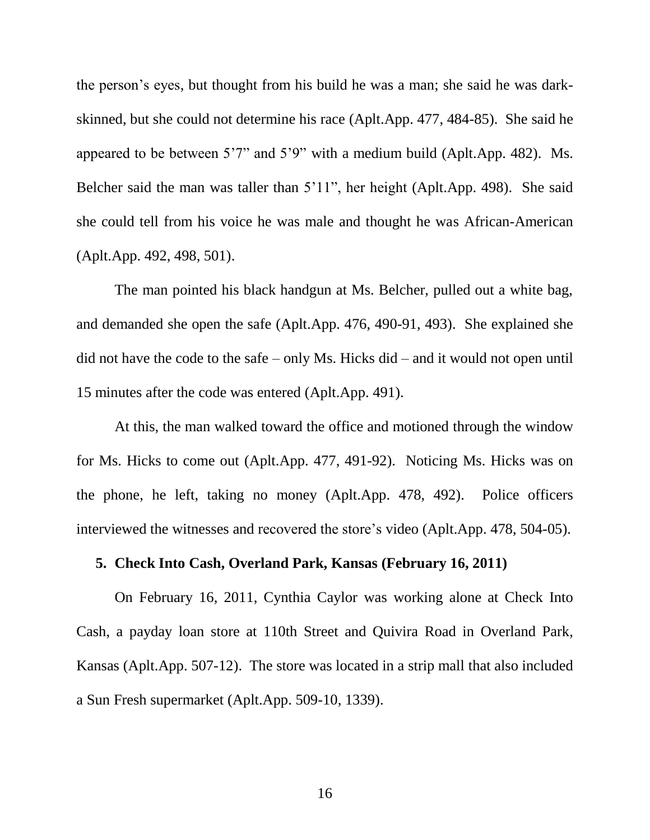the person's eyes, but thought from his build he was a man; she said he was darkskinned, but she could not determine his race (Aplt.App. 477, 484-85). She said he appeared to be between 5'7" and 5'9" with a medium build (Aplt.App. 482). Ms. Belcher said the man was taller than 5'11", her height (Aplt.App. 498). She said she could tell from his voice he was male and thought he was African-American (Aplt.App. 492, 498, 501).

The man pointed his black handgun at Ms. Belcher, pulled out a white bag, and demanded she open the safe (Aplt.App. 476, 490-91, 493). She explained she did not have the code to the safe – only Ms. Hicks did – and it would not open until 15 minutes after the code was entered (Aplt.App. 491).

At this, the man walked toward the office and motioned through the window for Ms. Hicks to come out (Aplt.App. 477, 491-92). Noticing Ms. Hicks was on the phone, he left, taking no money (Aplt.App. 478, 492). Police officers interviewed the witnesses and recovered the store's video (Aplt.App. 478, 504-05).

## **5. Check Into Cash, Overland Park, Kansas (February 16, 2011)**

On February 16, 2011, Cynthia Caylor was working alone at Check Into Cash, a payday loan store at 110th Street and Quivira Road in Overland Park, Kansas (Aplt.App. 507-12). The store was located in a strip mall that also included a Sun Fresh supermarket (Aplt.App. 509-10, 1339).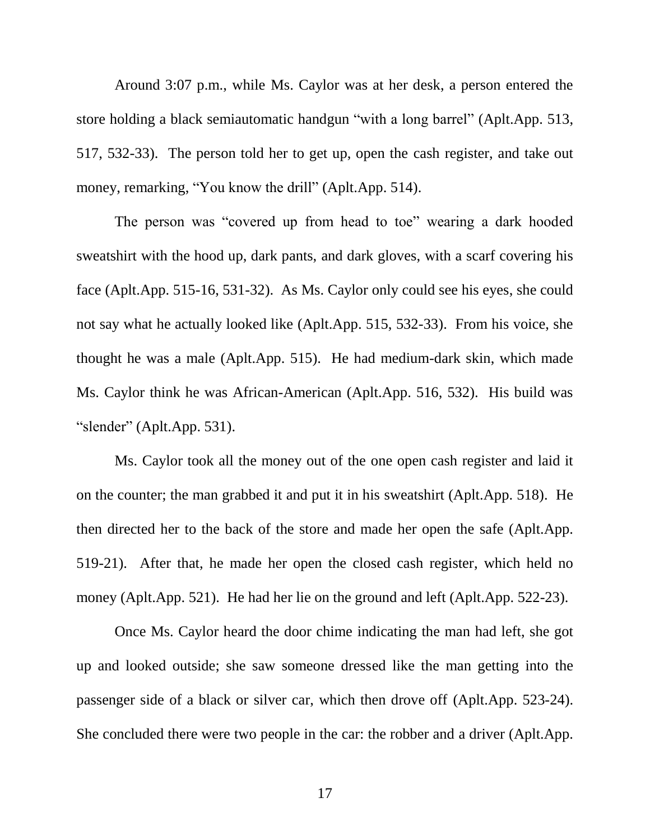Around 3:07 p.m., while Ms. Caylor was at her desk, a person entered the store holding a black semiautomatic handgun "with a long barrel" (Aplt.App. 513, 517, 532-33). The person told her to get up, open the cash register, and take out money, remarking, "You know the drill" (Aplt.App. 514).

The person was "covered up from head to toe" wearing a dark hooded sweatshirt with the hood up, dark pants, and dark gloves, with a scarf covering his face (Aplt.App. 515-16, 531-32). As Ms. Caylor only could see his eyes, she could not say what he actually looked like (Aplt.App. 515, 532-33). From his voice, she thought he was a male (Aplt.App. 515). He had medium-dark skin, which made Ms. Caylor think he was African-American (Aplt.App. 516, 532). His build was "slender" (Aplt.App. 531).

Ms. Caylor took all the money out of the one open cash register and laid it on the counter; the man grabbed it and put it in his sweatshirt (Aplt.App. 518). He then directed her to the back of the store and made her open the safe (Aplt.App. 519-21). After that, he made her open the closed cash register, which held no money (Aplt.App. 521). He had her lie on the ground and left (Aplt.App. 522-23).

Once Ms. Caylor heard the door chime indicating the man had left, she got up and looked outside; she saw someone dressed like the man getting into the passenger side of a black or silver car, which then drove off (Aplt.App. 523-24). She concluded there were two people in the car: the robber and a driver (Aplt.App.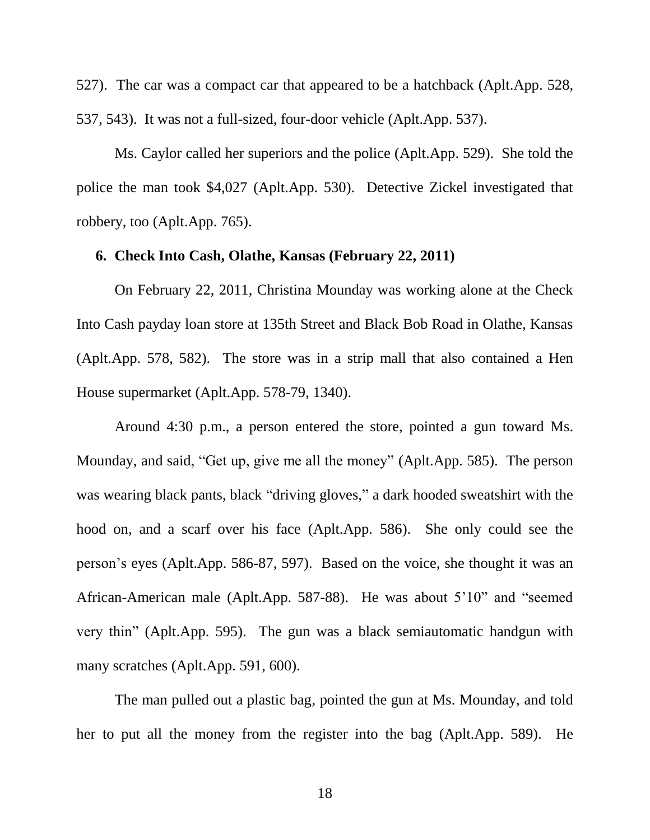527). The car was a compact car that appeared to be a hatchback (Aplt.App. 528, 537, 543). It was not a full-sized, four-door vehicle (Aplt.App. 537).

Ms. Caylor called her superiors and the police (Aplt.App. 529). She told the police the man took \$4,027 (Aplt.App. 530). Detective Zickel investigated that robbery, too (Aplt.App. 765).

#### **6. Check Into Cash, Olathe, Kansas (February 22, 2011)**

On February 22, 2011, Christina Mounday was working alone at the Check Into Cash payday loan store at 135th Street and Black Bob Road in Olathe, Kansas (Aplt.App. 578, 582). The store was in a strip mall that also contained a Hen House supermarket (Aplt.App. 578-79, 1340).

Around 4:30 p.m., a person entered the store, pointed a gun toward Ms. Mounday, and said, "Get up, give me all the money" (Aplt.App. 585). The person was wearing black pants, black "driving gloves," a dark hooded sweatshirt with the hood on, and a scarf over his face (Aplt.App. 586). She only could see the person's eyes (Aplt.App. 586-87, 597). Based on the voice, she thought it was an African-American male (Aplt.App. 587-88). He was about 5'10" and "seemed very thin" (Aplt.App. 595). The gun was a black semiautomatic handgun with many scratches (Aplt.App. 591, 600).

The man pulled out a plastic bag, pointed the gun at Ms. Mounday, and told her to put all the money from the register into the bag (Aplt.App. 589). He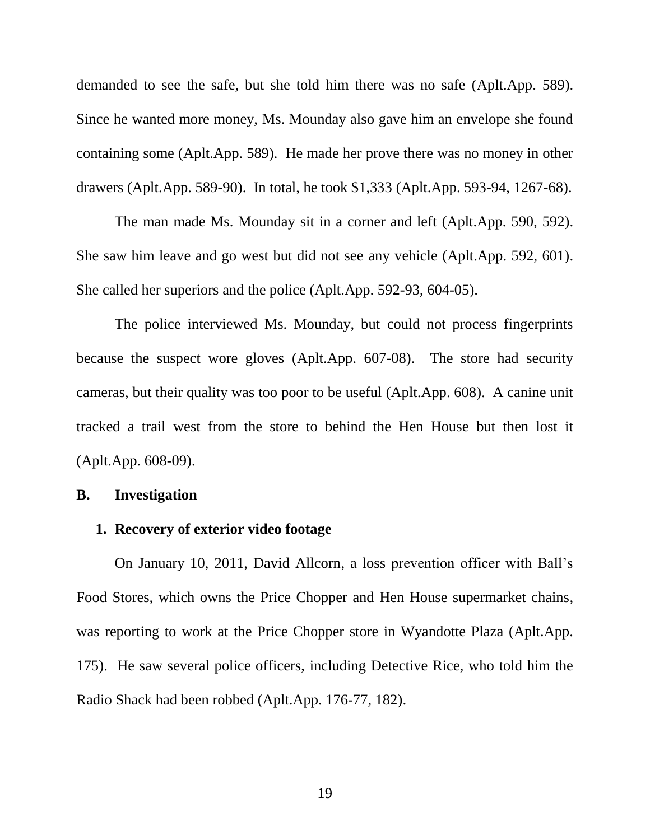demanded to see the safe, but she told him there was no safe (Aplt.App. 589). Since he wanted more money, Ms. Mounday also gave him an envelope she found containing some (Aplt.App. 589). He made her prove there was no money in other drawers (Aplt.App. 589-90). In total, he took \$1,333 (Aplt.App. 593-94, 1267-68).

The man made Ms. Mounday sit in a corner and left (Aplt.App. 590, 592). She saw him leave and go west but did not see any vehicle (Aplt.App. 592, 601). She called her superiors and the police (Aplt.App. 592-93, 604-05).

The police interviewed Ms. Mounday, but could not process fingerprints because the suspect wore gloves (Aplt.App. 607-08). The store had security cameras, but their quality was too poor to be useful (Aplt.App. 608). A canine unit tracked a trail west from the store to behind the Hen House but then lost it (Aplt.App. 608-09).

## **B. Investigation**

## **1. Recovery of exterior video footage**

On January 10, 2011, David Allcorn, a loss prevention officer with Ball's Food Stores, which owns the Price Chopper and Hen House supermarket chains, was reporting to work at the Price Chopper store in Wyandotte Plaza (Aplt.App. 175). He saw several police officers, including Detective Rice, who told him the Radio Shack had been robbed (Aplt.App. 176-77, 182).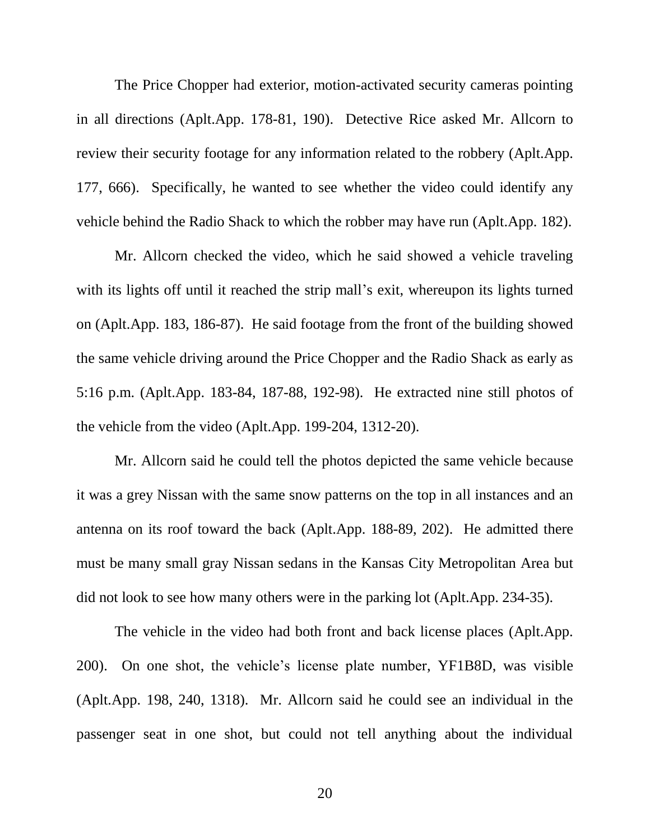The Price Chopper had exterior, motion-activated security cameras pointing in all directions (Aplt.App. 178-81, 190). Detective Rice asked Mr. Allcorn to review their security footage for any information related to the robbery (Aplt.App. 177, 666). Specifically, he wanted to see whether the video could identify any vehicle behind the Radio Shack to which the robber may have run (Aplt.App. 182).

Mr. Allcorn checked the video, which he said showed a vehicle traveling with its lights off until it reached the strip mall's exit, whereupon its lights turned on (Aplt.App. 183, 186-87). He said footage from the front of the building showed the same vehicle driving around the Price Chopper and the Radio Shack as early as 5:16 p.m. (Aplt.App. 183-84, 187-88, 192-98). He extracted nine still photos of the vehicle from the video (Aplt.App. 199-204, 1312-20).

Mr. Allcorn said he could tell the photos depicted the same vehicle because it was a grey Nissan with the same snow patterns on the top in all instances and an antenna on its roof toward the back (Aplt.App. 188-89, 202). He admitted there must be many small gray Nissan sedans in the Kansas City Metropolitan Area but did not look to see how many others were in the parking lot (Aplt.App. 234-35).

The vehicle in the video had both front and back license places (Aplt.App. 200). On one shot, the vehicle's license plate number, YF1B8D, was visible (Aplt.App. 198, 240, 1318). Mr. Allcorn said he could see an individual in the passenger seat in one shot, but could not tell anything about the individual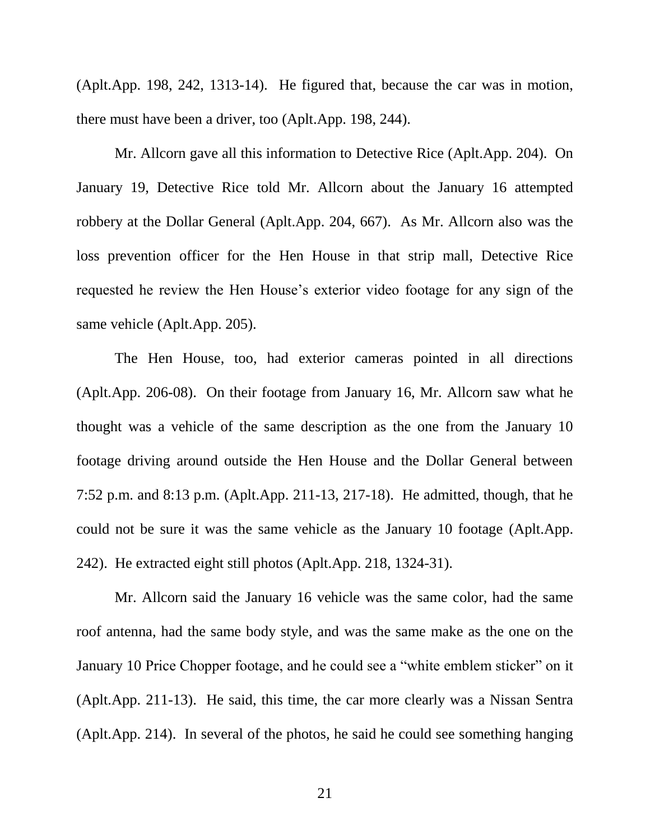(Aplt.App. 198, 242, 1313-14). He figured that, because the car was in motion, there must have been a driver, too (Aplt.App. 198, 244).

Mr. Allcorn gave all this information to Detective Rice (Aplt.App. 204). On January 19, Detective Rice told Mr. Allcorn about the January 16 attempted robbery at the Dollar General (Aplt.App. 204, 667). As Mr. Allcorn also was the loss prevention officer for the Hen House in that strip mall, Detective Rice requested he review the Hen House's exterior video footage for any sign of the same vehicle (Aplt.App. 205).

The Hen House, too, had exterior cameras pointed in all directions (Aplt.App. 206-08). On their footage from January 16, Mr. Allcorn saw what he thought was a vehicle of the same description as the one from the January 10 footage driving around outside the Hen House and the Dollar General between 7:52 p.m. and 8:13 p.m. (Aplt.App. 211-13, 217-18). He admitted, though, that he could not be sure it was the same vehicle as the January 10 footage (Aplt.App. 242). He extracted eight still photos (Aplt.App. 218, 1324-31).

Mr. Allcorn said the January 16 vehicle was the same color, had the same roof antenna, had the same body style, and was the same make as the one on the January 10 Price Chopper footage, and he could see a "white emblem sticker" on it (Aplt.App. 211-13). He said, this time, the car more clearly was a Nissan Sentra (Aplt.App. 214). In several of the photos, he said he could see something hanging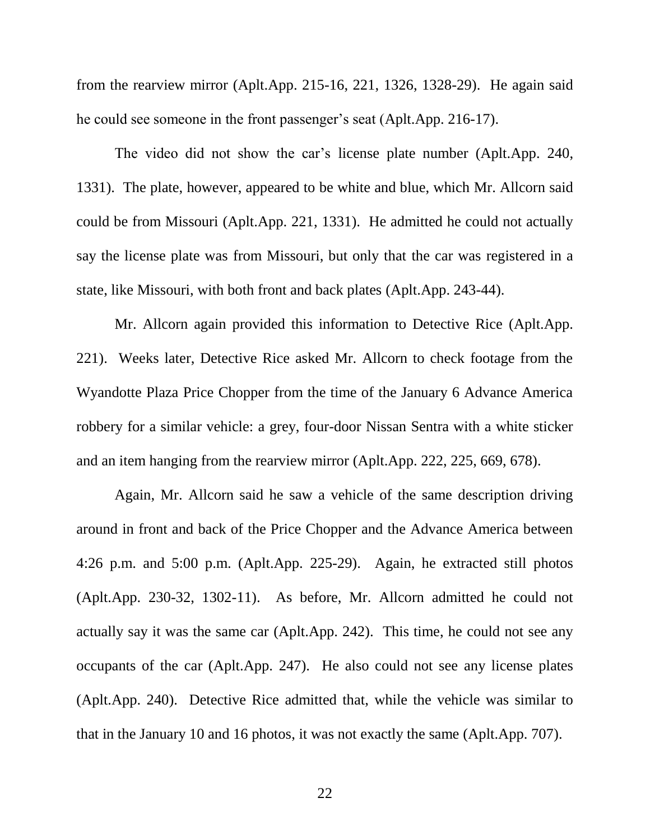from the rearview mirror (Aplt.App. 215-16, 221, 1326, 1328-29). He again said he could see someone in the front passenger's seat (Aplt.App. 216-17).

The video did not show the car's license plate number (Aplt.App. 240, 1331). The plate, however, appeared to be white and blue, which Mr. Allcorn said could be from Missouri (Aplt.App. 221, 1331). He admitted he could not actually say the license plate was from Missouri, but only that the car was registered in a state, like Missouri, with both front and back plates (Aplt.App. 243-44).

Mr. Allcorn again provided this information to Detective Rice (Aplt.App. 221). Weeks later, Detective Rice asked Mr. Allcorn to check footage from the Wyandotte Plaza Price Chopper from the time of the January 6 Advance America robbery for a similar vehicle: a grey, four-door Nissan Sentra with a white sticker and an item hanging from the rearview mirror (Aplt.App. 222, 225, 669, 678).

Again, Mr. Allcorn said he saw a vehicle of the same description driving around in front and back of the Price Chopper and the Advance America between 4:26 p.m. and 5:00 p.m. (Aplt.App. 225-29). Again, he extracted still photos (Aplt.App. 230-32, 1302-11). As before, Mr. Allcorn admitted he could not actually say it was the same car (Aplt.App. 242). This time, he could not see any occupants of the car (Aplt.App. 247). He also could not see any license plates (Aplt.App. 240). Detective Rice admitted that, while the vehicle was similar to that in the January 10 and 16 photos, it was not exactly the same (Aplt.App. 707).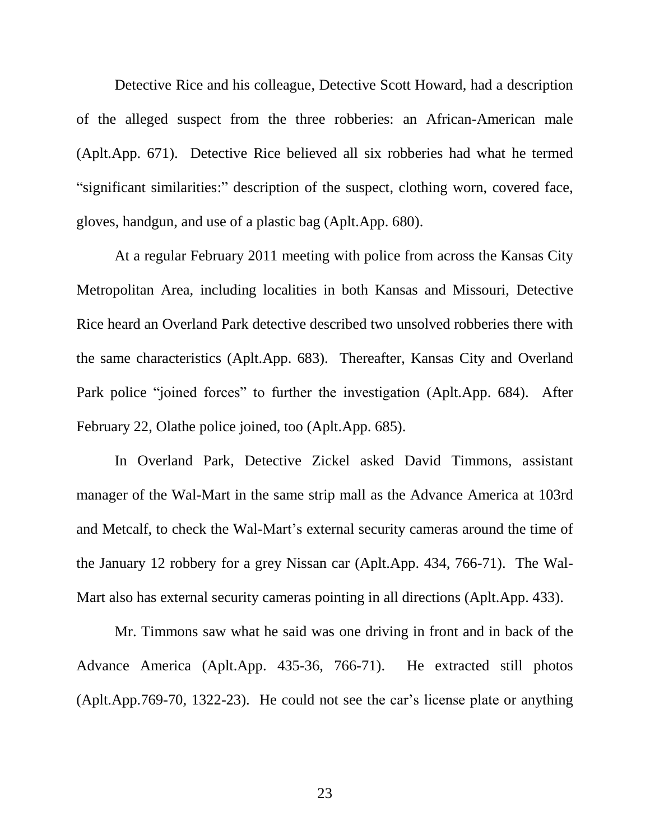Detective Rice and his colleague, Detective Scott Howard, had a description of the alleged suspect from the three robberies: an African-American male (Aplt.App. 671). Detective Rice believed all six robberies had what he termed "significant similarities:" description of the suspect, clothing worn, covered face, gloves, handgun, and use of a plastic bag (Aplt.App. 680).

At a regular February 2011 meeting with police from across the Kansas City Metropolitan Area, including localities in both Kansas and Missouri, Detective Rice heard an Overland Park detective described two unsolved robberies there with the same characteristics (Aplt.App. 683). Thereafter, Kansas City and Overland Park police "joined forces" to further the investigation (Aplt.App. 684). After February 22, Olathe police joined, too (Aplt.App. 685).

In Overland Park, Detective Zickel asked David Timmons, assistant manager of the Wal-Mart in the same strip mall as the Advance America at 103rd and Metcalf, to check the Wal-Mart's external security cameras around the time of the January 12 robbery for a grey Nissan car (Aplt.App. 434, 766-71). The Wal-Mart also has external security cameras pointing in all directions (Aplt.App. 433).

Mr. Timmons saw what he said was one driving in front and in back of the Advance America (Aplt.App. 435-36, 766-71). He extracted still photos (Aplt.App.769-70, 1322-23). He could not see the car's license plate or anything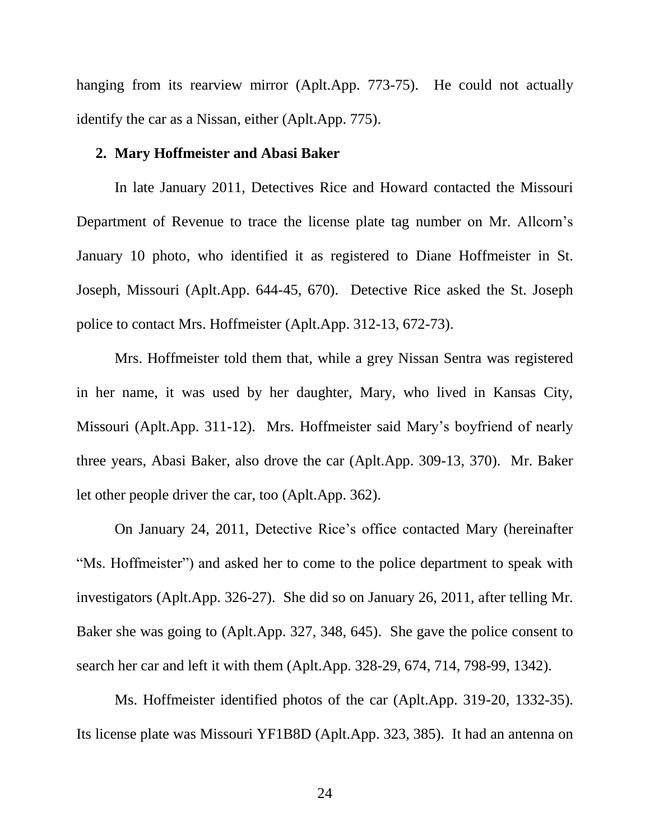hanging from its rearview mirror (Aplt.App. 773-75). He could not actually identify the car as a Nissan, either (Aplt.App. 775).

#### **2. Mary Hoffmeister and Abasi Baker**

In late January 2011, Detectives Rice and Howard contacted the Missouri Department of Revenue to trace the license plate tag number on Mr. Allcorn's January 10 photo, who identified it as registered to Diane Hoffmeister in St. Joseph, Missouri (Aplt.App. 644-45, 670). Detective Rice asked the St. Joseph police to contact Mrs. Hoffmeister (Aplt.App. 312-13, 672-73).

Mrs. Hoffmeister told them that, while a grey Nissan Sentra was registered in her name, it was used by her daughter, Mary, who lived in Kansas City, Missouri (Aplt.App. 311-12). Mrs. Hoffmeister said Mary's boyfriend of nearly three years, Abasi Baker, also drove the car (Aplt.App. 309-13, 370). Mr. Baker let other people driver the car, too (Aplt.App. 362).

On January 24, 2011, Detective Rice's office contacted Mary (hereinafter "Ms. Hoffmeister") and asked her to come to the police department to speak with investigators (Aplt.App. 326-27). She did so on January 26, 2011, after telling Mr. Baker she was going to (Aplt.App. 327, 348, 645). She gave the police consent to search her car and left it with them (Aplt.App. 328-29, 674, 714, 798-99, 1342).

Ms. Hoffmeister identified photos of the car (Aplt.App. 319-20, 1332-35). Its license plate was Missouri YF1B8D (Aplt.App. 323, 385). It had an antenna on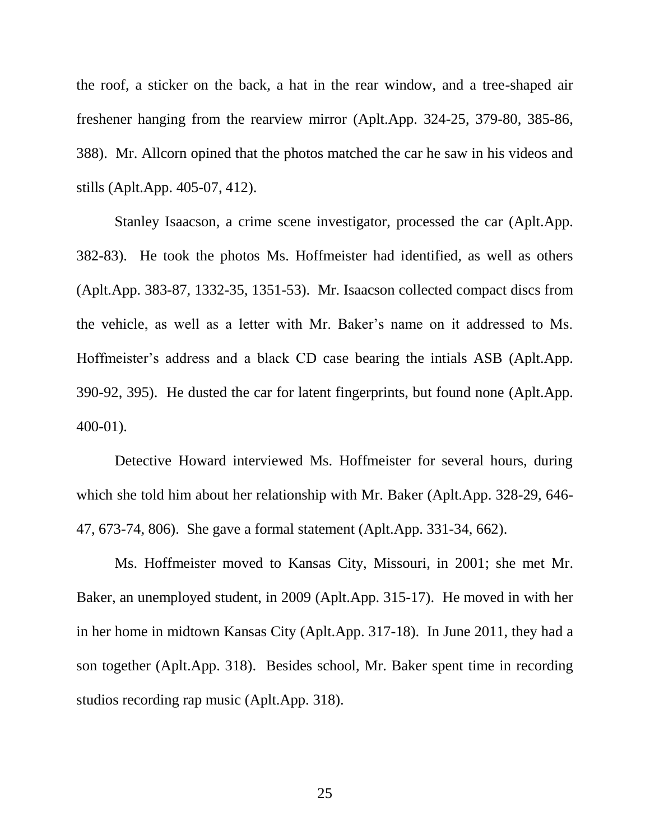the roof, a sticker on the back, a hat in the rear window, and a tree-shaped air freshener hanging from the rearview mirror (Aplt.App. 324-25, 379-80, 385-86, 388). Mr. Allcorn opined that the photos matched the car he saw in his videos and stills (Aplt.App. 405-07, 412).

Stanley Isaacson, a crime scene investigator, processed the car (Aplt.App. 382-83). He took the photos Ms. Hoffmeister had identified, as well as others (Aplt.App. 383-87, 1332-35, 1351-53). Mr. Isaacson collected compact discs from the vehicle, as well as a letter with Mr. Baker's name on it addressed to Ms. Hoffmeister's address and a black CD case bearing the intials ASB (Aplt.App. 390-92, 395). He dusted the car for latent fingerprints, but found none (Aplt.App. 400-01).

Detective Howard interviewed Ms. Hoffmeister for several hours, during which she told him about her relationship with Mr. Baker (Aplt.App. 328-29, 646- 47, 673-74, 806). She gave a formal statement (Aplt.App. 331-34, 662).

Ms. Hoffmeister moved to Kansas City, Missouri, in 2001; she met Mr. Baker, an unemployed student, in 2009 (Aplt.App. 315-17). He moved in with her in her home in midtown Kansas City (Aplt.App. 317-18). In June 2011, they had a son together (Aplt.App. 318). Besides school, Mr. Baker spent time in recording studios recording rap music (Aplt.App. 318).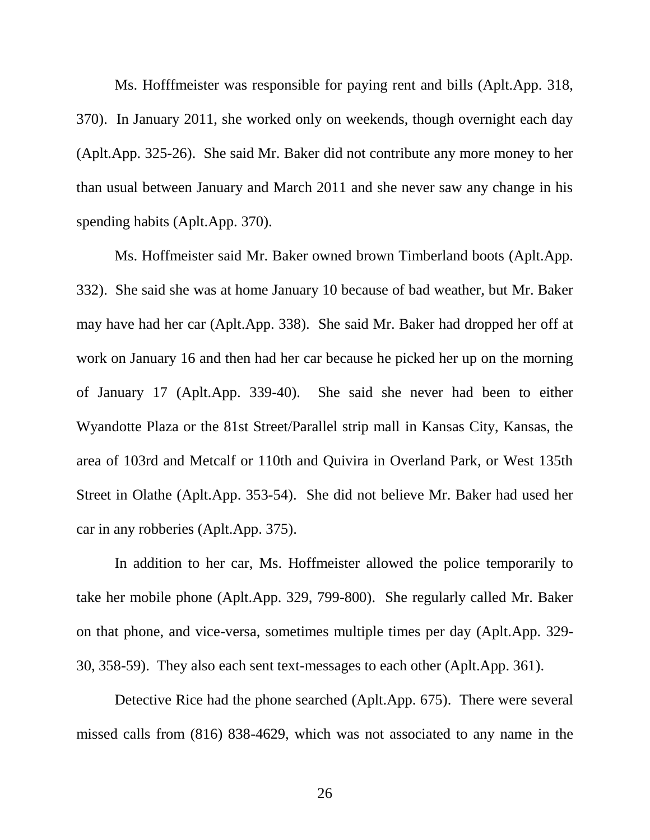Ms. Hofffmeister was responsible for paying rent and bills (Aplt.App. 318, 370). In January 2011, she worked only on weekends, though overnight each day (Aplt.App. 325-26). She said Mr. Baker did not contribute any more money to her than usual between January and March 2011 and she never saw any change in his spending habits (Aplt.App. 370).

Ms. Hoffmeister said Mr. Baker owned brown Timberland boots (Aplt.App. 332). She said she was at home January 10 because of bad weather, but Mr. Baker may have had her car (Aplt.App. 338). She said Mr. Baker had dropped her off at work on January 16 and then had her car because he picked her up on the morning of January 17 (Aplt.App. 339-40). She said she never had been to either Wyandotte Plaza or the 81st Street/Parallel strip mall in Kansas City, Kansas, the area of 103rd and Metcalf or 110th and Quivira in Overland Park, or West 135th Street in Olathe (Aplt.App. 353-54). She did not believe Mr. Baker had used her car in any robberies (Aplt.App. 375).

In addition to her car, Ms. Hoffmeister allowed the police temporarily to take her mobile phone (Aplt.App. 329, 799-800). She regularly called Mr. Baker on that phone, and vice-versa, sometimes multiple times per day (Aplt.App. 329- 30, 358-59). They also each sent text-messages to each other (Aplt.App. 361).

Detective Rice had the phone searched (Aplt.App. 675). There were several missed calls from (816) 838-4629, which was not associated to any name in the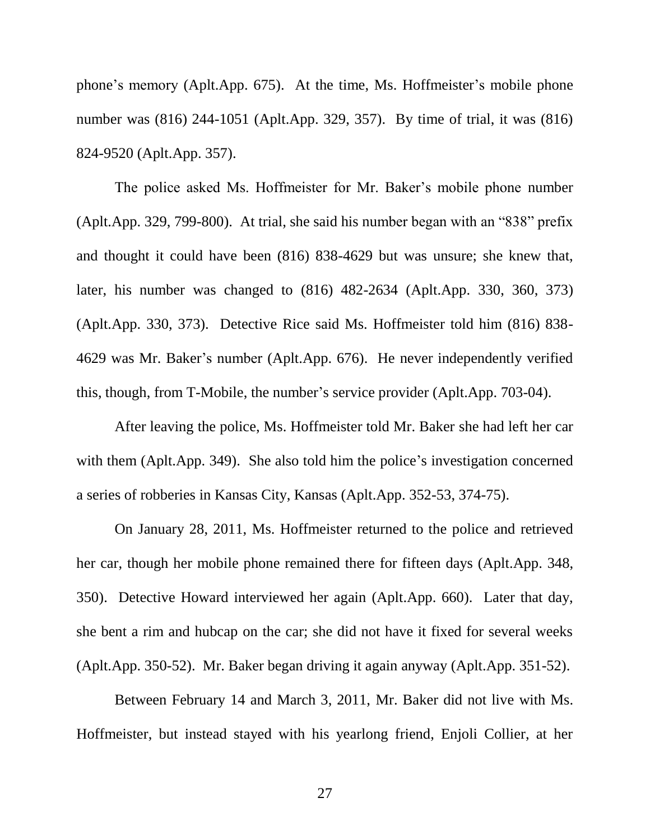phone's memory (Aplt.App. 675). At the time, Ms. Hoffmeister's mobile phone number was (816) 244-1051 (Aplt.App. 329, 357). By time of trial, it was (816) 824-9520 (Aplt.App. 357).

The police asked Ms. Hoffmeister for Mr. Baker's mobile phone number (Aplt.App. 329, 799-800). At trial, she said his number began with an "838" prefix and thought it could have been (816) 838-4629 but was unsure; she knew that, later, his number was changed to (816) 482-2634 (Aplt.App. 330, 360, 373) (Aplt.App. 330, 373). Detective Rice said Ms. Hoffmeister told him (816) 838- 4629 was Mr. Baker's number (Aplt.App. 676). He never independently verified this, though, from T-Mobile, the number's service provider (Aplt.App. 703-04).

After leaving the police, Ms. Hoffmeister told Mr. Baker she had left her car with them (Aplt.App. 349). She also told him the police's investigation concerned a series of robberies in Kansas City, Kansas (Aplt.App. 352-53, 374-75).

On January 28, 2011, Ms. Hoffmeister returned to the police and retrieved her car, though her mobile phone remained there for fifteen days (Aplt.App. 348, 350). Detective Howard interviewed her again (Aplt.App. 660). Later that day, she bent a rim and hubcap on the car; she did not have it fixed for several weeks (Aplt.App. 350-52). Mr. Baker began driving it again anyway (Aplt.App. 351-52).

Between February 14 and March 3, 2011, Mr. Baker did not live with Ms. Hoffmeister, but instead stayed with his yearlong friend, Enjoli Collier, at her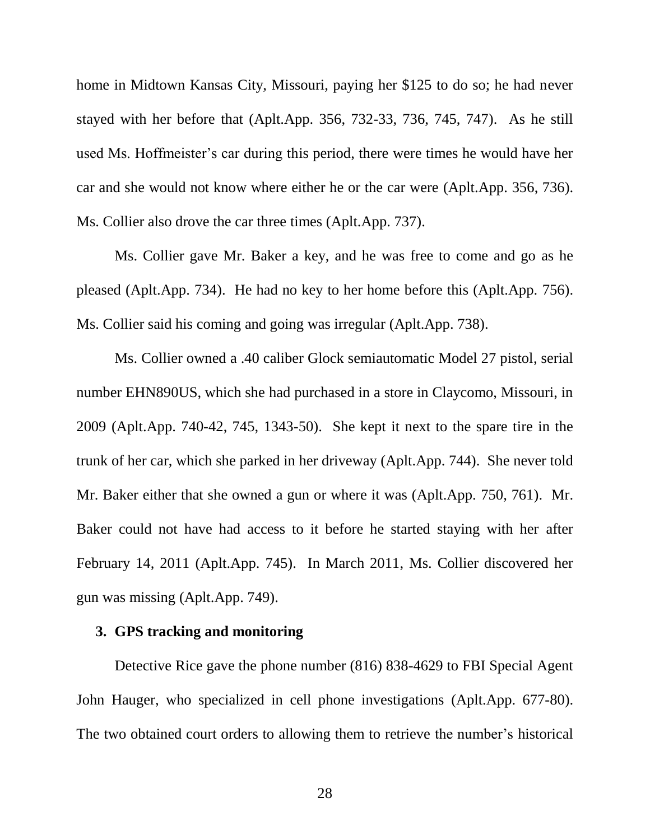home in Midtown Kansas City, Missouri, paying her \$125 to do so; he had never stayed with her before that (Aplt.App. 356, 732-33, 736, 745, 747). As he still used Ms. Hoffmeister's car during this period, there were times he would have her car and she would not know where either he or the car were (Aplt.App. 356, 736). Ms. Collier also drove the car three times (Aplt.App. 737).

Ms. Collier gave Mr. Baker a key, and he was free to come and go as he pleased (Aplt.App. 734). He had no key to her home before this (Aplt.App. 756). Ms. Collier said his coming and going was irregular (Aplt.App. 738).

Ms. Collier owned a .40 caliber Glock semiautomatic Model 27 pistol, serial number EHN890US, which she had purchased in a store in Claycomo, Missouri, in 2009 (Aplt.App. 740-42, 745, 1343-50). She kept it next to the spare tire in the trunk of her car, which she parked in her driveway (Aplt.App. 744). She never told Mr. Baker either that she owned a gun or where it was (Aplt.App. 750, 761). Mr. Baker could not have had access to it before he started staying with her after February 14, 2011 (Aplt.App. 745). In March 2011, Ms. Collier discovered her gun was missing (Aplt.App. 749).

## **3. GPS tracking and monitoring**

Detective Rice gave the phone number (816) 838-4629 to FBI Special Agent John Hauger, who specialized in cell phone investigations (Aplt.App. 677-80). The two obtained court orders to allowing them to retrieve the number's historical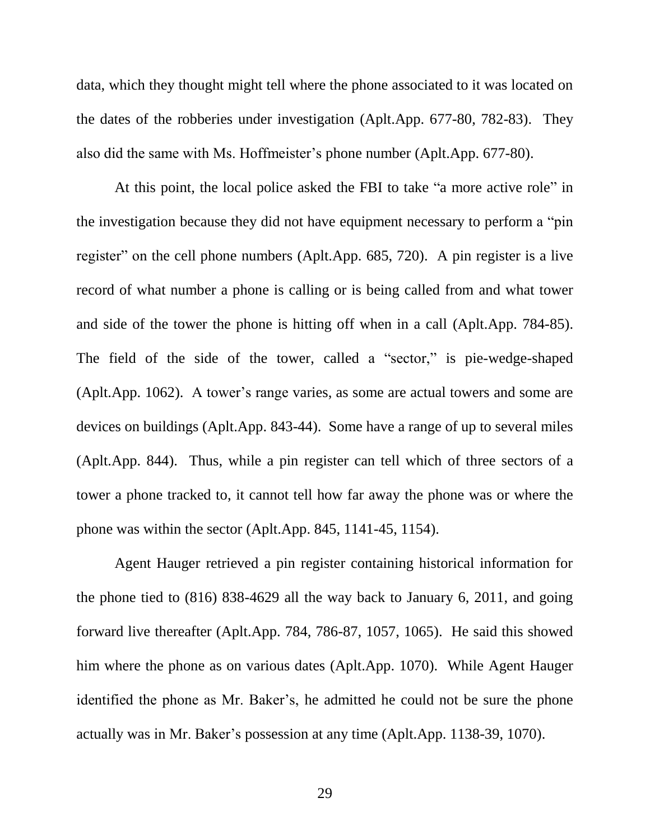data, which they thought might tell where the phone associated to it was located on the dates of the robberies under investigation (Aplt.App. 677-80, 782-83). They also did the same with Ms. Hoffmeister's phone number (Aplt.App. 677-80).

At this point, the local police asked the FBI to take "a more active role" in the investigation because they did not have equipment necessary to perform a "pin register" on the cell phone numbers (Aplt.App. 685, 720). A pin register is a live record of what number a phone is calling or is being called from and what tower and side of the tower the phone is hitting off when in a call (Aplt.App. 784-85). The field of the side of the tower, called a "sector," is pie-wedge-shaped (Aplt.App. 1062). A tower's range varies, as some are actual towers and some are devices on buildings (Aplt.App. 843-44). Some have a range of up to several miles (Aplt.App. 844). Thus, while a pin register can tell which of three sectors of a tower a phone tracked to, it cannot tell how far away the phone was or where the phone was within the sector (Aplt.App. 845, 1141-45, 1154).

Agent Hauger retrieved a pin register containing historical information for the phone tied to (816) 838-4629 all the way back to January 6, 2011, and going forward live thereafter (Aplt.App. 784, 786-87, 1057, 1065). He said this showed him where the phone as on various dates (Aplt.App. 1070). While Agent Hauger identified the phone as Mr. Baker's, he admitted he could not be sure the phone actually was in Mr. Baker's possession at any time (Aplt.App. 1138-39, 1070).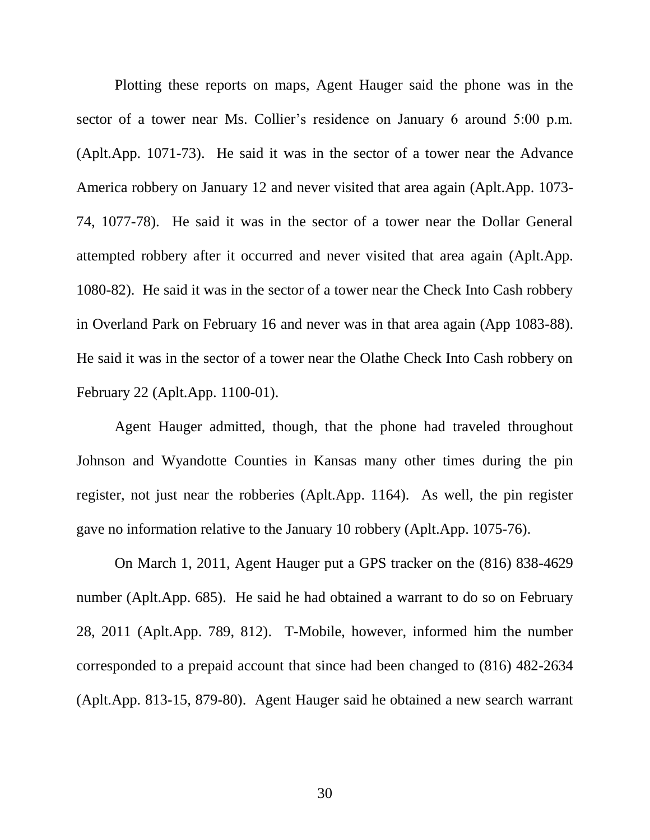Plotting these reports on maps, Agent Hauger said the phone was in the sector of a tower near Ms. Collier's residence on January 6 around 5:00 p.m. (Aplt.App. 1071-73). He said it was in the sector of a tower near the Advance America robbery on January 12 and never visited that area again (Aplt.App. 1073- 74, 1077-78). He said it was in the sector of a tower near the Dollar General attempted robbery after it occurred and never visited that area again (Aplt.App. 1080-82). He said it was in the sector of a tower near the Check Into Cash robbery in Overland Park on February 16 and never was in that area again (App 1083-88). He said it was in the sector of a tower near the Olathe Check Into Cash robbery on February 22 (Aplt.App. 1100-01).

Agent Hauger admitted, though, that the phone had traveled throughout Johnson and Wyandotte Counties in Kansas many other times during the pin register, not just near the robberies (Aplt.App. 1164). As well, the pin register gave no information relative to the January 10 robbery (Aplt.App. 1075-76).

On March 1, 2011, Agent Hauger put a GPS tracker on the (816) 838-4629 number (Aplt.App. 685). He said he had obtained a warrant to do so on February 28, 2011 (Aplt.App. 789, 812). T-Mobile, however, informed him the number corresponded to a prepaid account that since had been changed to (816) 482-2634 (Aplt.App. 813-15, 879-80). Agent Hauger said he obtained a new search warrant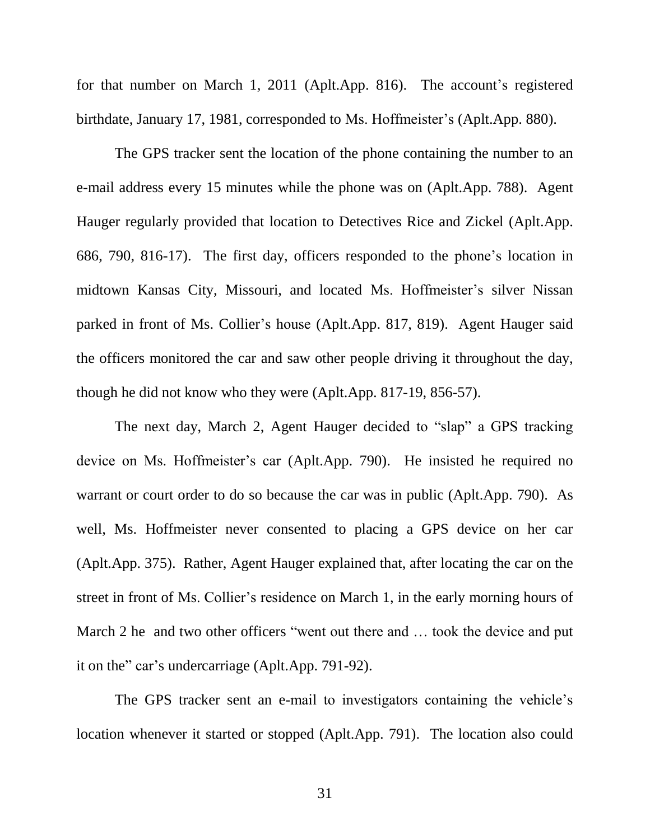for that number on March 1, 2011 (Aplt.App. 816). The account's registered birthdate, January 17, 1981, corresponded to Ms. Hoffmeister's (Aplt.App. 880).

The GPS tracker sent the location of the phone containing the number to an e-mail address every 15 minutes while the phone was on (Aplt.App. 788). Agent Hauger regularly provided that location to Detectives Rice and Zickel (Aplt.App. 686, 790, 816-17). The first day, officers responded to the phone's location in midtown Kansas City, Missouri, and located Ms. Hoffmeister's silver Nissan parked in front of Ms. Collier's house (Aplt.App. 817, 819). Agent Hauger said the officers monitored the car and saw other people driving it throughout the day, though he did not know who they were (Aplt.App. 817-19, 856-57).

The next day, March 2, Agent Hauger decided to "slap" a GPS tracking device on Ms. Hoffmeister's car (Aplt.App. 790). He insisted he required no warrant or court order to do so because the car was in public (Aplt.App. 790). As well, Ms. Hoffmeister never consented to placing a GPS device on her car (Aplt.App. 375). Rather, Agent Hauger explained that, after locating the car on the street in front of Ms. Collier's residence on March 1, in the early morning hours of March 2 he and two other officers "went out there and ... took the device and put it on the" car's undercarriage (Aplt.App. 791-92).

The GPS tracker sent an e-mail to investigators containing the vehicle's location whenever it started or stopped (Aplt.App. 791). The location also could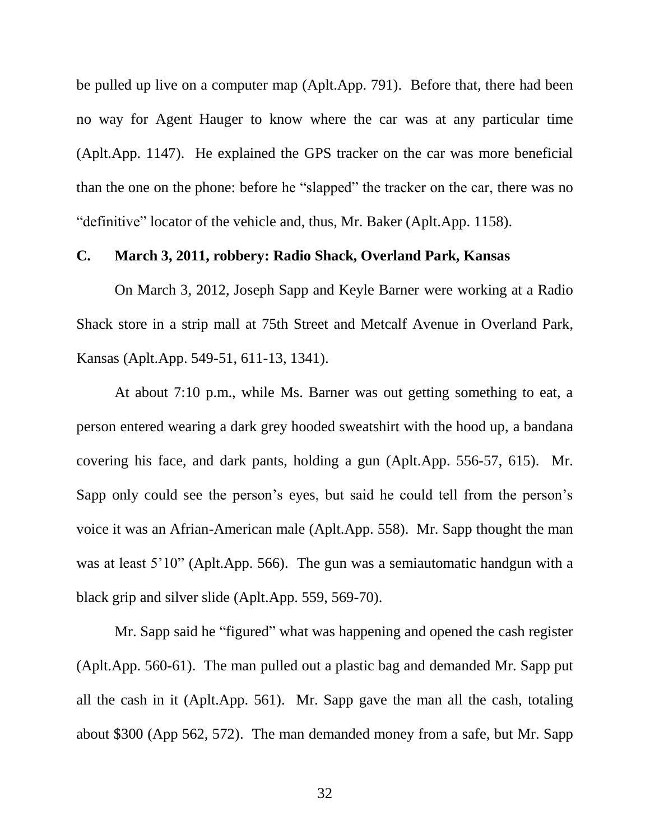be pulled up live on a computer map (Aplt.App. 791). Before that, there had been no way for Agent Hauger to know where the car was at any particular time (Aplt.App. 1147). He explained the GPS tracker on the car was more beneficial than the one on the phone: before he "slapped" the tracker on the car, there was no "definitive" locator of the vehicle and, thus, Mr. Baker (Aplt.App. 1158).

#### **C. March 3, 2011, robbery: Radio Shack, Overland Park, Kansas**

On March 3, 2012, Joseph Sapp and Keyle Barner were working at a Radio Shack store in a strip mall at 75th Street and Metcalf Avenue in Overland Park, Kansas (Aplt.App. 549-51, 611-13, 1341).

At about 7:10 p.m., while Ms. Barner was out getting something to eat, a person entered wearing a dark grey hooded sweatshirt with the hood up, a bandana covering his face, and dark pants, holding a gun (Aplt.App. 556-57, 615). Mr. Sapp only could see the person's eyes, but said he could tell from the person's voice it was an Afrian-American male (Aplt.App. 558). Mr. Sapp thought the man was at least 5'10" (Aplt.App. 566). The gun was a semiautomatic handgun with a black grip and silver slide (Aplt.App. 559, 569-70).

Mr. Sapp said he "figured" what was happening and opened the cash register (Aplt.App. 560-61). The man pulled out a plastic bag and demanded Mr. Sapp put all the cash in it (Aplt.App. 561). Mr. Sapp gave the man all the cash, totaling about \$300 (App 562, 572). The man demanded money from a safe, but Mr. Sapp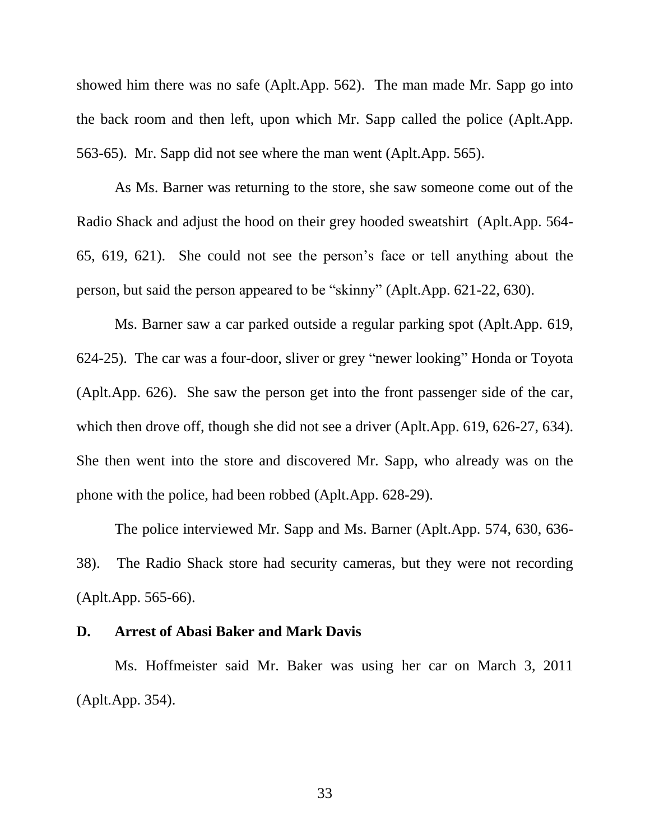showed him there was no safe (Aplt.App. 562). The man made Mr. Sapp go into the back room and then left, upon which Mr. Sapp called the police (Aplt.App. 563-65). Mr. Sapp did not see where the man went (Aplt.App. 565).

As Ms. Barner was returning to the store, she saw someone come out of the Radio Shack and adjust the hood on their grey hooded sweatshirt (Aplt.App. 564- 65, 619, 621). She could not see the person's face or tell anything about the person, but said the person appeared to be "skinny" (Aplt.App. 621-22, 630).

Ms. Barner saw a car parked outside a regular parking spot (Aplt.App. 619, 624-25). The car was a four-door, sliver or grey "newer looking" Honda or Toyota (Aplt.App. 626). She saw the person get into the front passenger side of the car, which then drove off, though she did not see a driver (Aplt.App. 619, 626-27, 634). She then went into the store and discovered Mr. Sapp, who already was on the phone with the police, had been robbed (Aplt.App. 628-29).

The police interviewed Mr. Sapp and Ms. Barner (Aplt.App. 574, 630, 636- 38). The Radio Shack store had security cameras, but they were not recording (Aplt.App. 565-66).

#### **D. Arrest of Abasi Baker and Mark Davis**

Ms. Hoffmeister said Mr. Baker was using her car on March 3, 2011 (Aplt.App. 354).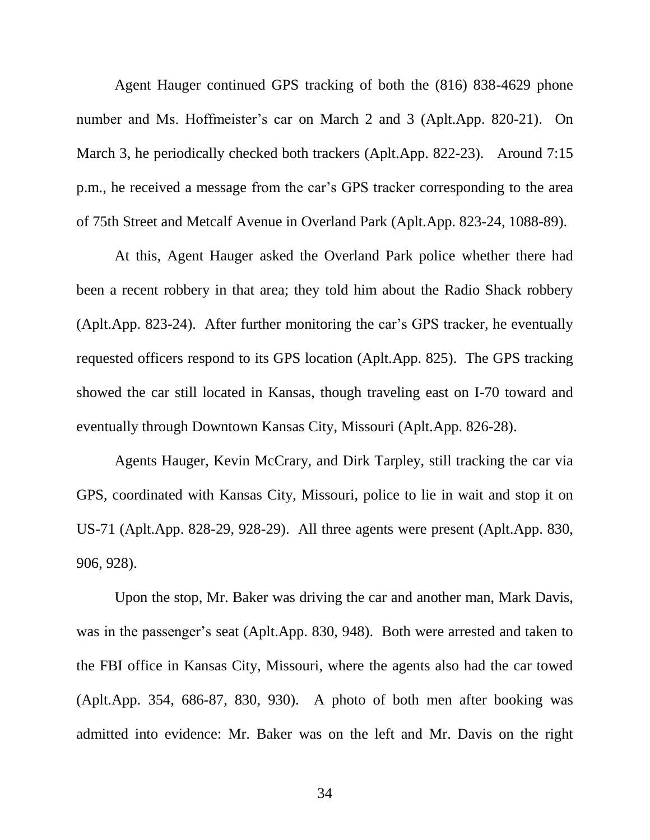Agent Hauger continued GPS tracking of both the (816) 838-4629 phone number and Ms. Hoffmeister's car on March 2 and 3 (Aplt.App. 820-21). On March 3, he periodically checked both trackers (Aplt.App. 822-23). Around 7:15 p.m., he received a message from the car's GPS tracker corresponding to the area of 75th Street and Metcalf Avenue in Overland Park (Aplt.App. 823-24, 1088-89).

At this, Agent Hauger asked the Overland Park police whether there had been a recent robbery in that area; they told him about the Radio Shack robbery (Aplt.App. 823-24). After further monitoring the car's GPS tracker, he eventually requested officers respond to its GPS location (Aplt.App. 825). The GPS tracking showed the car still located in Kansas, though traveling east on I-70 toward and eventually through Downtown Kansas City, Missouri (Aplt.App. 826-28).

Agents Hauger, Kevin McCrary, and Dirk Tarpley, still tracking the car via GPS, coordinated with Kansas City, Missouri, police to lie in wait and stop it on US-71 (Aplt.App. 828-29, 928-29). All three agents were present (Aplt.App. 830, 906, 928).

Upon the stop, Mr. Baker was driving the car and another man, Mark Davis, was in the passenger's seat (Aplt.App. 830, 948). Both were arrested and taken to the FBI office in Kansas City, Missouri, where the agents also had the car towed (Aplt.App. 354, 686-87, 830, 930). A photo of both men after booking was admitted into evidence: Mr. Baker was on the left and Mr. Davis on the right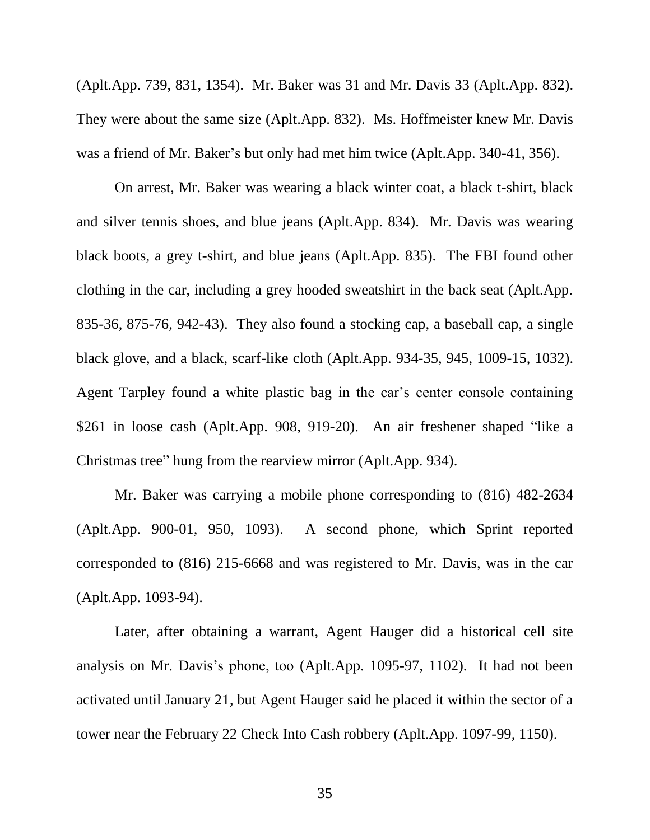(Aplt.App. 739, 831, 1354). Mr. Baker was 31 and Mr. Davis 33 (Aplt.App. 832). They were about the same size (Aplt.App. 832). Ms. Hoffmeister knew Mr. Davis was a friend of Mr. Baker's but only had met him twice (Aplt.App. 340-41, 356).

On arrest, Mr. Baker was wearing a black winter coat, a black t-shirt, black and silver tennis shoes, and blue jeans (Aplt.App. 834). Mr. Davis was wearing black boots, a grey t-shirt, and blue jeans (Aplt.App. 835). The FBI found other clothing in the car, including a grey hooded sweatshirt in the back seat (Aplt.App. 835-36, 875-76, 942-43). They also found a stocking cap, a baseball cap, a single black glove, and a black, scarf-like cloth (Aplt.App. 934-35, 945, 1009-15, 1032). Agent Tarpley found a white plastic bag in the car's center console containing \$261 in loose cash (Aplt.App. 908, 919-20). An air freshener shaped "like a Christmas tree" hung from the rearview mirror (Aplt.App. 934).

Mr. Baker was carrying a mobile phone corresponding to (816) 482-2634 (Aplt.App. 900-01, 950, 1093). A second phone, which Sprint reported corresponded to (816) 215-6668 and was registered to Mr. Davis, was in the car (Aplt.App. 1093-94).

Later, after obtaining a warrant, Agent Hauger did a historical cell site analysis on Mr. Davis's phone, too (Aplt.App. 1095-97, 1102). It had not been activated until January 21, but Agent Hauger said he placed it within the sector of a tower near the February 22 Check Into Cash robbery (Aplt.App. 1097-99, 1150).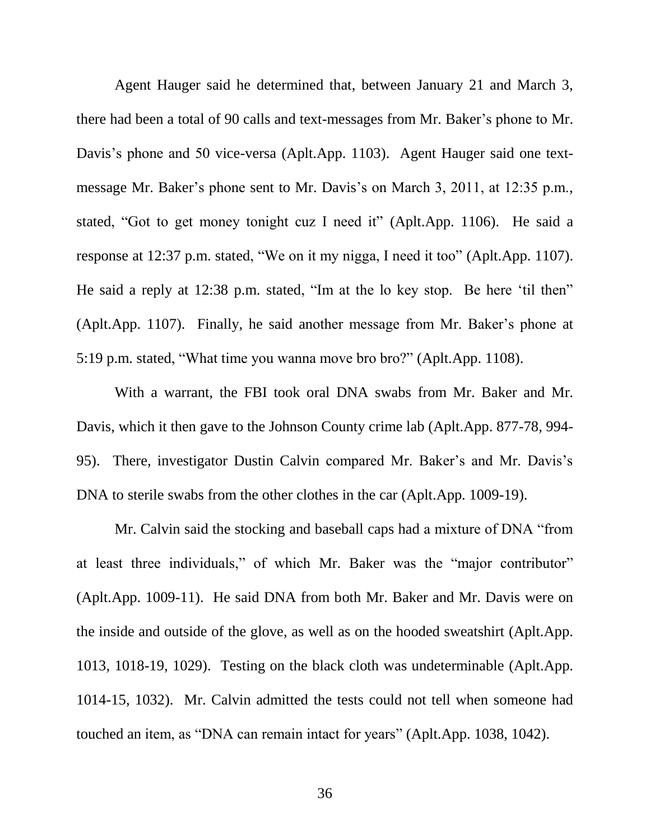Agent Hauger said he determined that, between January 21 and March 3, there had been a total of 90 calls and text-messages from Mr. Baker's phone to Mr. Davis's phone and 50 vice-versa (Aplt.App. 1103). Agent Hauger said one textmessage Mr. Baker's phone sent to Mr. Davis's on March 3, 2011, at 12:35 p.m., stated, "Got to get money tonight cuz I need it" (Aplt.App. 1106). He said a response at 12:37 p.m. stated, "We on it my nigga, I need it too" (Aplt.App. 1107). He said a reply at 12:38 p.m. stated, "Im at the lo key stop. Be here 'til then" (Aplt.App. 1107). Finally, he said another message from Mr. Baker's phone at 5:19 p.m. stated, "What time you wanna move bro bro?" (Aplt.App. 1108).

With a warrant, the FBI took oral DNA swabs from Mr. Baker and Mr. Davis, which it then gave to the Johnson County crime lab (Aplt.App. 877-78, 994- 95). There, investigator Dustin Calvin compared Mr. Baker's and Mr. Davis's DNA to sterile swabs from the other clothes in the car (Aplt.App. 1009-19).

Mr. Calvin said the stocking and baseball caps had a mixture of DNA "from at least three individuals," of which Mr. Baker was the "major contributor" (Aplt.App. 1009-11). He said DNA from both Mr. Baker and Mr. Davis were on the inside and outside of the glove, as well as on the hooded sweatshirt (Aplt.App. 1013, 1018-19, 1029). Testing on the black cloth was undeterminable (Aplt.App. 1014-15, 1032). Mr. Calvin admitted the tests could not tell when someone had touched an item, as "DNA can remain intact for years" (Aplt.App. 1038, 1042).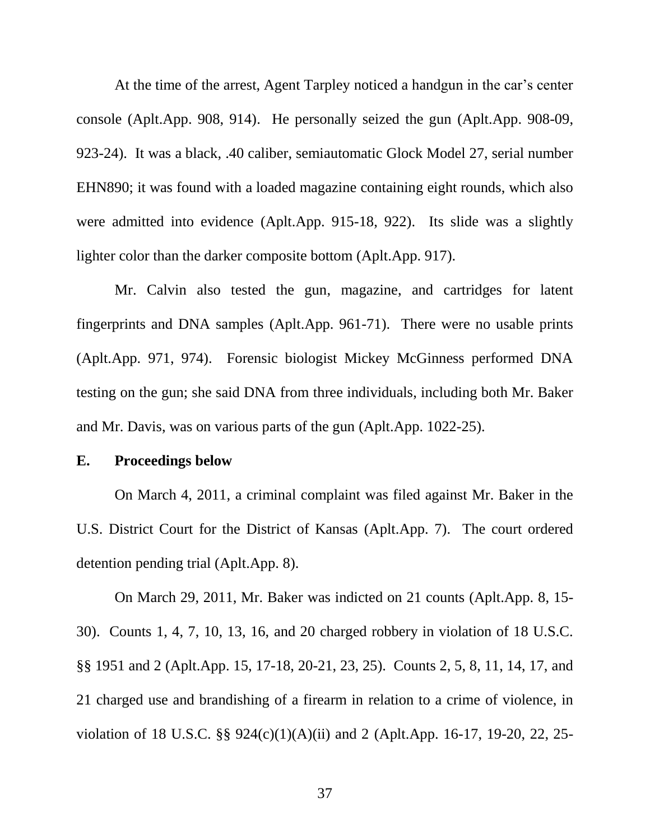At the time of the arrest, Agent Tarpley noticed a handgun in the car's center console (Aplt.App. 908, 914). He personally seized the gun (Aplt.App. 908-09, 923-24). It was a black, .40 caliber, semiautomatic Glock Model 27, serial number EHN890; it was found with a loaded magazine containing eight rounds, which also were admitted into evidence (Aplt.App. 915-18, 922). Its slide was a slightly lighter color than the darker composite bottom (Aplt.App. 917).

Mr. Calvin also tested the gun, magazine, and cartridges for latent fingerprints and DNA samples (Aplt.App. 961-71). There were no usable prints (Aplt.App. 971, 974). Forensic biologist Mickey McGinness performed DNA testing on the gun; she said DNA from three individuals, including both Mr. Baker and Mr. Davis, was on various parts of the gun (Aplt.App. 1022-25).

### **E. Proceedings below**

On March 4, 2011, a criminal complaint was filed against Mr. Baker in the U.S. District Court for the District of Kansas (Aplt.App. 7). The court ordered detention pending trial (Aplt.App. 8).

On March 29, 2011, Mr. Baker was indicted on 21 counts (Aplt.App. 8, 15- 30). Counts 1, 4, 7, 10, 13, 16, and 20 charged robbery in violation of 18 U.S.C. §§ 1951 and 2 (Aplt.App. 15, 17-18, 20-21, 23, 25). Counts 2, 5, 8, 11, 14, 17, and 21 charged use and brandishing of a firearm in relation to a crime of violence, in violation of 18 U.S.C. §§ 924(c)(1)(A)(ii) and 2 (Aplt.App. 16-17, 19-20, 22, 25-

37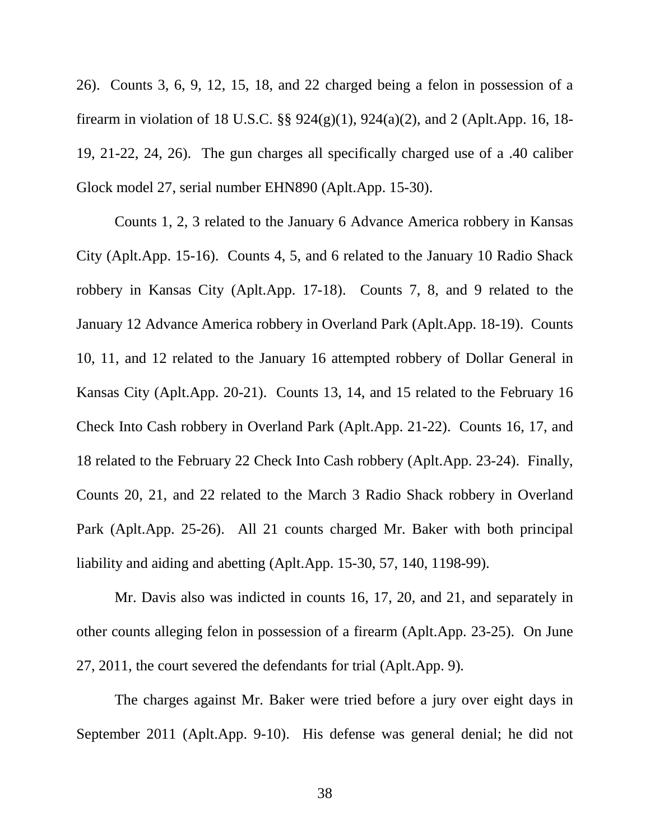26). Counts 3, 6, 9, 12, 15, 18, and 22 charged being a felon in possession of a firearm in violation of 18 U.S.C. §§ 924(g)(1), 924(a)(2), and 2 (Aplt.App. 16, 18- 19, 21-22, 24, 26). The gun charges all specifically charged use of a .40 caliber Glock model 27, serial number EHN890 (Aplt.App. 15-30).

Counts 1, 2, 3 related to the January 6 Advance America robbery in Kansas City (Aplt.App. 15-16). Counts 4, 5, and 6 related to the January 10 Radio Shack robbery in Kansas City (Aplt.App. 17-18). Counts 7, 8, and 9 related to the January 12 Advance America robbery in Overland Park (Aplt.App. 18-19). Counts 10, 11, and 12 related to the January 16 attempted robbery of Dollar General in Kansas City (Aplt.App. 20-21). Counts 13, 14, and 15 related to the February 16 Check Into Cash robbery in Overland Park (Aplt.App. 21-22). Counts 16, 17, and 18 related to the February 22 Check Into Cash robbery (Aplt.App. 23-24). Finally, Counts 20, 21, and 22 related to the March 3 Radio Shack robbery in Overland Park (Aplt.App. 25-26). All 21 counts charged Mr. Baker with both principal liability and aiding and abetting (Aplt.App. 15-30, 57, 140, 1198-99).

Mr. Davis also was indicted in counts 16, 17, 20, and 21, and separately in other counts alleging felon in possession of a firearm (Aplt.App. 23-25). On June 27, 2011, the court severed the defendants for trial (Aplt.App. 9).

The charges against Mr. Baker were tried before a jury over eight days in September 2011 (Aplt.App. 9-10). His defense was general denial; he did not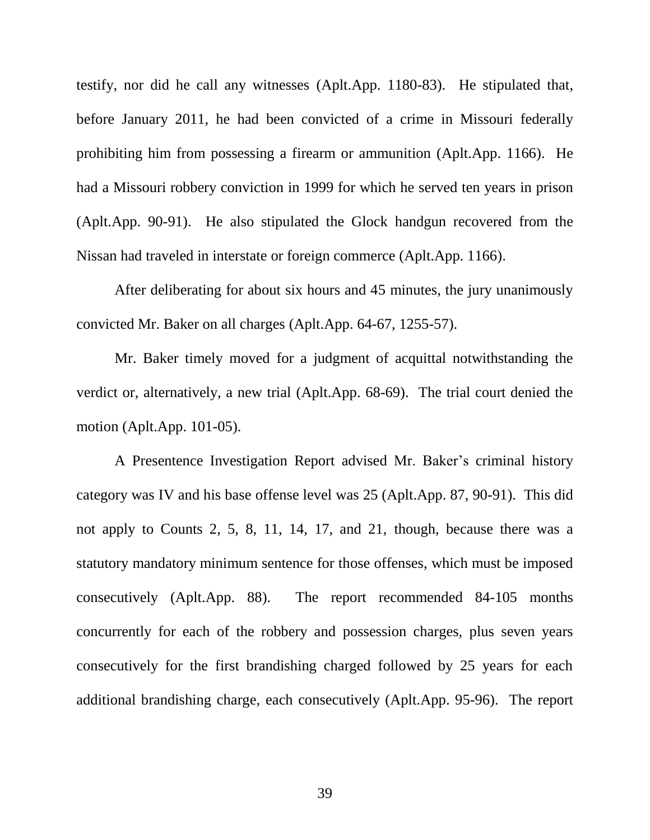testify, nor did he call any witnesses (Aplt.App. 1180-83). He stipulated that, before January 2011, he had been convicted of a crime in Missouri federally prohibiting him from possessing a firearm or ammunition (Aplt.App. 1166). He had a Missouri robbery conviction in 1999 for which he served ten years in prison (Aplt.App. 90-91). He also stipulated the Glock handgun recovered from the Nissan had traveled in interstate or foreign commerce (Aplt.App. 1166).

After deliberating for about six hours and 45 minutes, the jury unanimously convicted Mr. Baker on all charges (Aplt.App. 64-67, 1255-57).

Mr. Baker timely moved for a judgment of acquittal notwithstanding the verdict or, alternatively, a new trial (Aplt.App. 68-69). The trial court denied the motion (Aplt.App. 101-05).

A Presentence Investigation Report advised Mr. Baker's criminal history category was IV and his base offense level was 25 (Aplt.App. 87, 90-91). This did not apply to Counts 2, 5, 8, 11, 14, 17, and 21, though, because there was a statutory mandatory minimum sentence for those offenses, which must be imposed consecutively (Aplt.App. 88). The report recommended 84-105 months concurrently for each of the robbery and possession charges, plus seven years consecutively for the first brandishing charged followed by 25 years for each additional brandishing charge, each consecutively (Aplt.App. 95-96). The report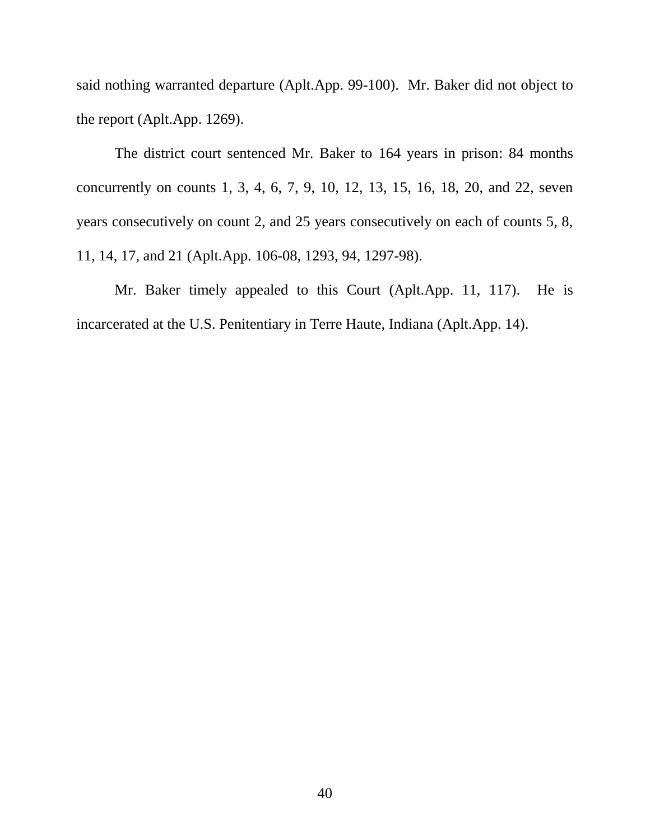said nothing warranted departure (Aplt.App. 99-100). Mr. Baker did not object to the report (Aplt.App. 1269).

The district court sentenced Mr. Baker to 164 years in prison: 84 months concurrently on counts 1, 3, 4, 6, 7, 9, 10, 12, 13, 15, 16, 18, 20, and 22, seven years consecutively on count 2, and 25 years consecutively on each of counts 5, 8, 11, 14, 17, and 21 (Aplt.App. 106-08, 1293, 94, 1297-98).

Mr. Baker timely appealed to this Court (Aplt.App. 11, 117). He is incarcerated at the U.S. Penitentiary in Terre Haute, Indiana (Aplt.App. 14).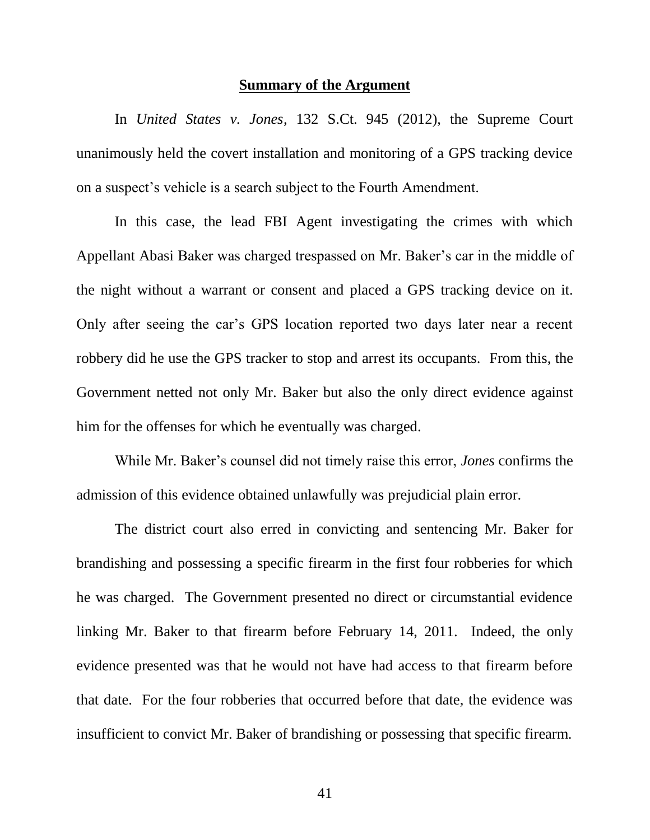#### **Summary of the Argument**

In *United States v. Jones*, 132 S.Ct. 945 (2012), the Supreme Court unanimously held the covert installation and monitoring of a GPS tracking device on a suspect's vehicle is a search subject to the Fourth Amendment.

In this case, the lead FBI Agent investigating the crimes with which Appellant Abasi Baker was charged trespassed on Mr. Baker's car in the middle of the night without a warrant or consent and placed a GPS tracking device on it. Only after seeing the car's GPS location reported two days later near a recent robbery did he use the GPS tracker to stop and arrest its occupants. From this, the Government netted not only Mr. Baker but also the only direct evidence against him for the offenses for which he eventually was charged.

While Mr. Baker's counsel did not timely raise this error, *Jones* confirms the admission of this evidence obtained unlawfully was prejudicial plain error.

The district court also erred in convicting and sentencing Mr. Baker for brandishing and possessing a specific firearm in the first four robberies for which he was charged. The Government presented no direct or circumstantial evidence linking Mr. Baker to that firearm before February 14, 2011. Indeed, the only evidence presented was that he would not have had access to that firearm before that date. For the four robberies that occurred before that date, the evidence was insufficient to convict Mr. Baker of brandishing or possessing that specific firearm.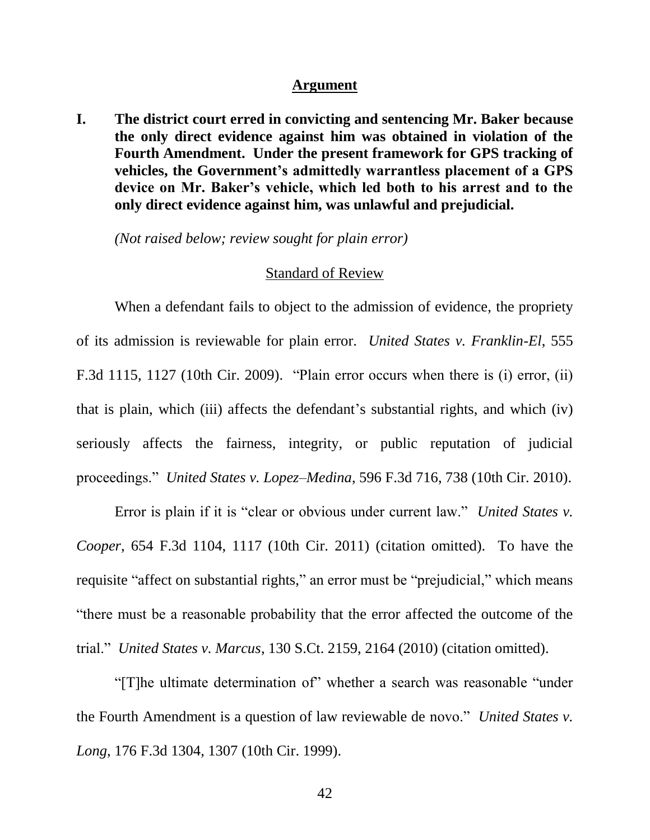#### **Argument**

**I. The district court erred in convicting and sentencing Mr. Baker because the only direct evidence against him was obtained in violation of the Fourth Amendment. Under the present framework for GPS tracking of vehicles, the Government's admittedly warrantless placement of a GPS device on Mr. Baker's vehicle, which led both to his arrest and to the only direct evidence against him, was unlawful and prejudicial.**

*(Not raised below; review sought for plain error)*

#### Standard of Review

When a defendant fails to object to the admission of evidence, the propriety of its admission is reviewable for plain error. *United States v. Franklin-El*, 555 F.3d 1115, 1127 (10th Cir. 2009). "Plain error occurs when there is (i) error, (ii) that is plain, which (iii) affects the defendant's substantial rights, and which (iv) seriously affects the fairness, integrity, or public reputation of judicial proceedings." *United States v. Lopez–Medina*, 596 F.3d 716, 738 (10th Cir. 2010).

Error is plain if it is "clear or obvious under current law." *United States v. Cooper*, 654 F.3d 1104, 1117 (10th Cir. 2011) (citation omitted). To have the requisite "affect on substantial rights," an error must be "prejudicial," which means "there must be a reasonable probability that the error affected the outcome of the trial." *United States v. Marcus*, 130 S.Ct. 2159, 2164 (2010) (citation omitted).

"[T]he ultimate determination of" whether a search was reasonable "under the Fourth Amendment is a question of law reviewable de novo." *United States v. Long*, 176 F.3d 1304, 1307 (10th Cir. 1999).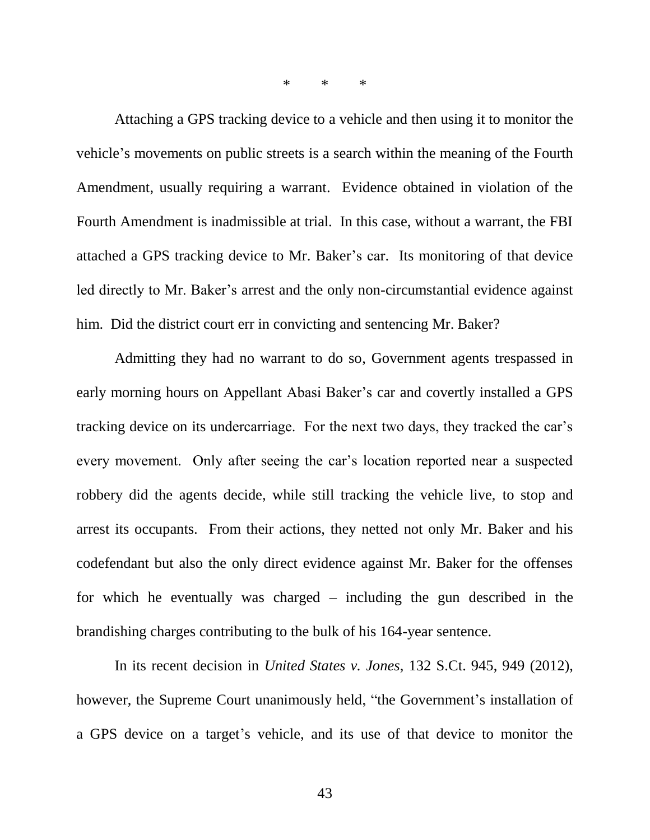\* \* \*

Attaching a GPS tracking device to a vehicle and then using it to monitor the vehicle's movements on public streets is a search within the meaning of the Fourth Amendment, usually requiring a warrant. Evidence obtained in violation of the Fourth Amendment is inadmissible at trial. In this case, without a warrant, the FBI attached a GPS tracking device to Mr. Baker's car. Its monitoring of that device led directly to Mr. Baker's arrest and the only non-circumstantial evidence against him. Did the district court err in convicting and sentencing Mr. Baker?

Admitting they had no warrant to do so, Government agents trespassed in early morning hours on Appellant Abasi Baker's car and covertly installed a GPS tracking device on its undercarriage. For the next two days, they tracked the car's every movement. Only after seeing the car's location reported near a suspected robbery did the agents decide, while still tracking the vehicle live, to stop and arrest its occupants. From their actions, they netted not only Mr. Baker and his codefendant but also the only direct evidence against Mr. Baker for the offenses for which he eventually was charged – including the gun described in the brandishing charges contributing to the bulk of his 164-year sentence.

In its recent decision in *United States v. Jones*, 132 S.Ct. 945, 949 (2012), however, the Supreme Court unanimously held, "the Government's installation of a GPS device on a target's vehicle, and its use of that device to monitor the

43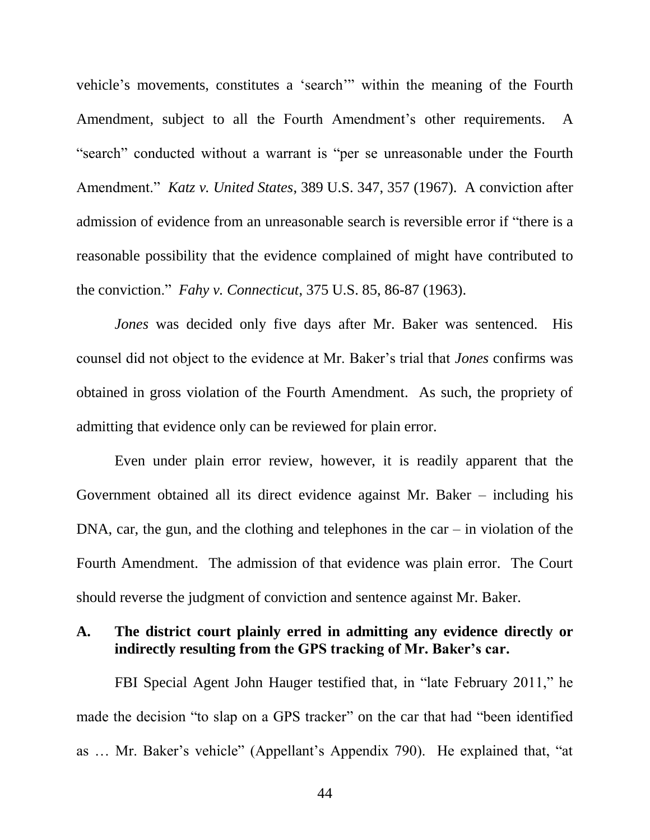vehicle's movements, constitutes a 'search'" within the meaning of the Fourth Amendment, subject to all the Fourth Amendment's other requirements. A "search" conducted without a warrant is "per se unreasonable under the Fourth Amendment." *Katz v. United States*, 389 U.S. 347, 357 (1967). A conviction after admission of evidence from an unreasonable search is reversible error if "there is a reasonable possibility that the evidence complained of might have contributed to the conviction." *Fahy v. Connecticut*, 375 U.S. 85, 86-87 (1963).

*Jones* was decided only five days after Mr. Baker was sentenced. His counsel did not object to the evidence at Mr. Baker's trial that *Jones* confirms was obtained in gross violation of the Fourth Amendment. As such, the propriety of admitting that evidence only can be reviewed for plain error.

Even under plain error review, however, it is readily apparent that the Government obtained all its direct evidence against Mr. Baker – including his  $DNA, car, the gun, and the clothing and telephones in the car – in violation of the$ Fourth Amendment. The admission of that evidence was plain error. The Court should reverse the judgment of conviction and sentence against Mr. Baker.

## **A. The district court plainly erred in admitting any evidence directly or indirectly resulting from the GPS tracking of Mr. Baker's car.**

FBI Special Agent John Hauger testified that, in "late February 2011," he made the decision "to slap on a GPS tracker" on the car that had "been identified as … Mr. Baker's vehicle" (Appellant's Appendix 790). He explained that, "at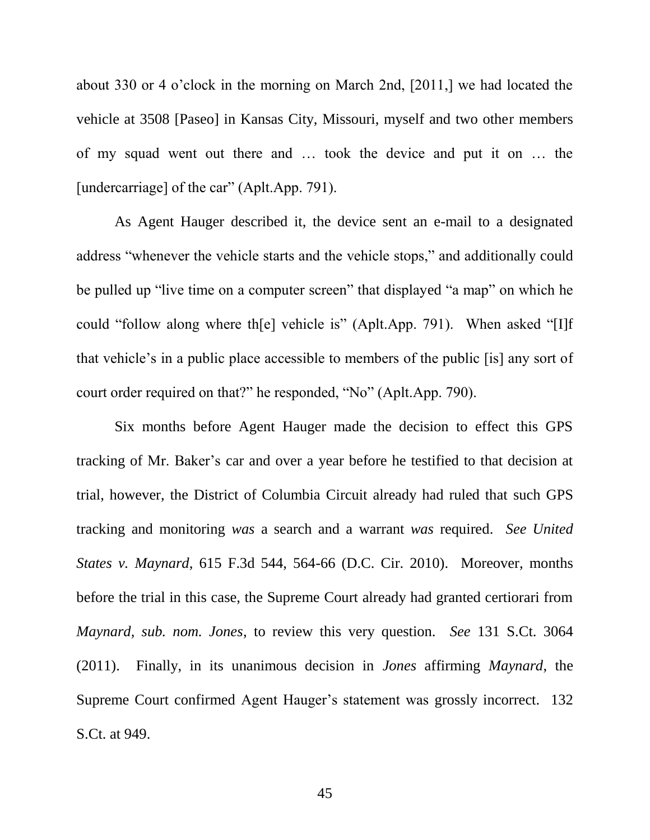about 330 or 4 o'clock in the morning on March 2nd, [2011,] we had located the vehicle at 3508 [Paseo] in Kansas City, Missouri, myself and two other members of my squad went out there and … took the device and put it on … the [undercarriage] of the car" (Aplt.App. 791).

As Agent Hauger described it, the device sent an e-mail to a designated address "whenever the vehicle starts and the vehicle stops," and additionally could be pulled up "live time on a computer screen" that displayed "a map" on which he could "follow along where th[e] vehicle is" (Aplt.App. 791). When asked "[I]f that vehicle's in a public place accessible to members of the public [is] any sort of court order required on that?" he responded, "No" (Aplt.App. 790).

Six months before Agent Hauger made the decision to effect this GPS tracking of Mr. Baker's car and over a year before he testified to that decision at trial, however, the District of Columbia Circuit already had ruled that such GPS tracking and monitoring *was* a search and a warrant *was* required. *See United States v. Maynard*, 615 F.3d 544, 564-66 (D.C. Cir. 2010). Moreover, months before the trial in this case, the Supreme Court already had granted certiorari from *Maynard, sub. nom. Jones*, to review this very question. *See* 131 S.Ct. 3064 (2011). Finally, in its unanimous decision in *Jones* affirming *Maynard*, the Supreme Court confirmed Agent Hauger's statement was grossly incorrect. 132 S.Ct. at 949.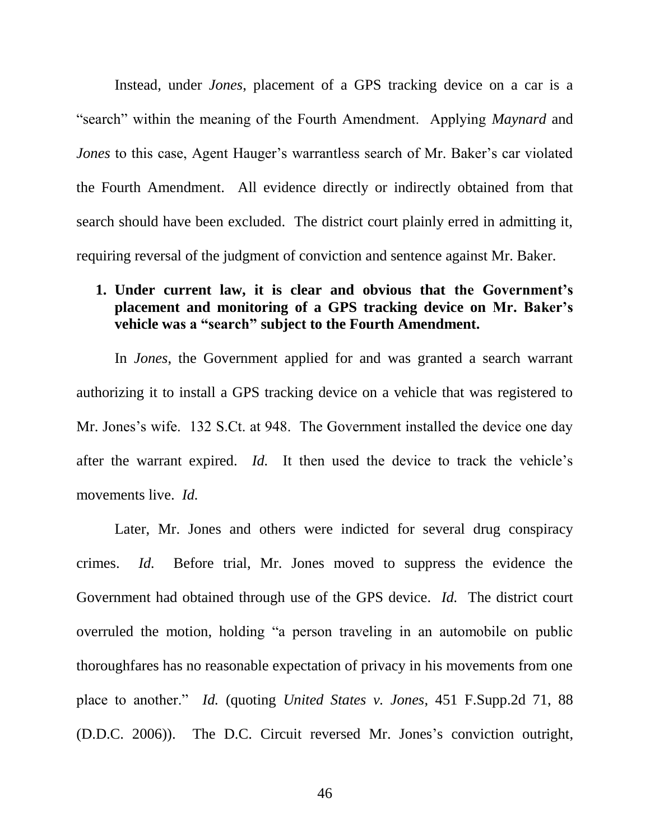Instead, under *Jones*, placement of a GPS tracking device on a car is a "search" within the meaning of the Fourth Amendment. Applying *Maynard* and *Jones* to this case, Agent Hauger's warrantless search of Mr. Baker's car violated the Fourth Amendment. All evidence directly or indirectly obtained from that search should have been excluded. The district court plainly erred in admitting it, requiring reversal of the judgment of conviction and sentence against Mr. Baker.

## **1. Under current law, it is clear and obvious that the Government's placement and monitoring of a GPS tracking device on Mr. Baker's vehicle was a "search" subject to the Fourth Amendment.**

In *Jones*, the Government applied for and was granted a search warrant authorizing it to install a GPS tracking device on a vehicle that was registered to Mr. Jones's wife. 132 S.Ct. at 948. The Government installed the device one day after the warrant expired. *Id.* It then used the device to track the vehicle's movements live. *Id.*

Later, Mr. Jones and others were indicted for several drug conspiracy crimes. *Id.* Before trial, Mr. Jones moved to suppress the evidence the Government had obtained through use of the GPS device. *Id.* The district court overruled the motion, holding "a person traveling in an automobile on public thoroughfares has no reasonable expectation of privacy in his movements from one place to another." *Id.* (quoting *United States v. Jones*, 451 F.Supp.2d 71, 88 (D.D.C. 2006)). The D.C. Circuit reversed Mr. Jones's conviction outright,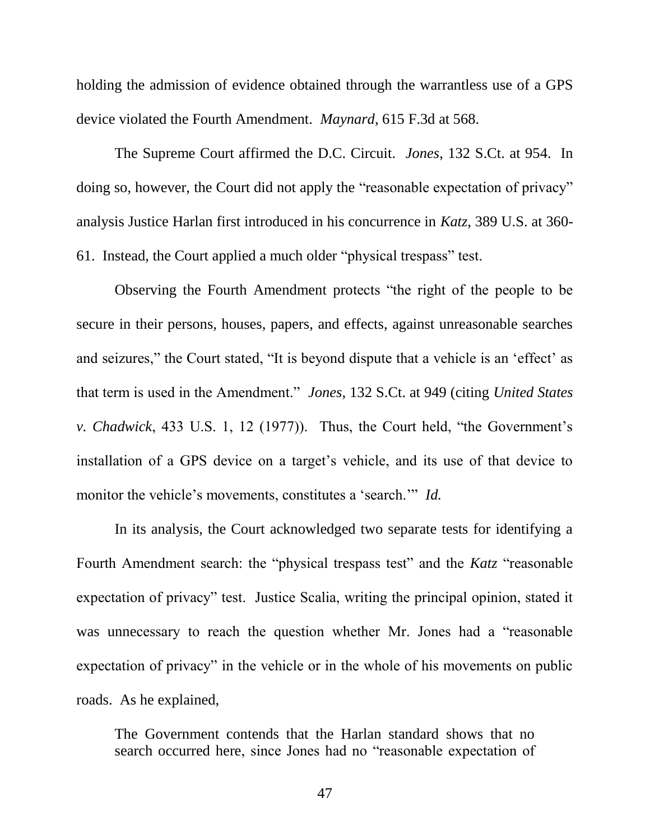holding the admission of evidence obtained through the warrantless use of a GPS device violated the Fourth Amendment. *Maynard*, 615 F.3d at 568.

The Supreme Court affirmed the D.C. Circuit. *Jones*, 132 S.Ct. at 954. In doing so, however, the Court did not apply the "reasonable expectation of privacy" analysis Justice Harlan first introduced in his concurrence in *Katz*, 389 U.S. at 360- 61. Instead, the Court applied a much older "physical trespass" test.

Observing the Fourth Amendment protects "the right of the people to be secure in their persons, houses, papers, and effects, against unreasonable searches and seizures," the Court stated, "It is beyond dispute that a vehicle is an 'effect' as that term is used in the Amendment." *Jones*, 132 S.Ct. at 949 (citing *United States v. Chadwick*, 433 U.S. 1, 12 (1977)). Thus, the Court held, "the Government's installation of a GPS device on a target's vehicle, and its use of that device to monitor the vehicle's movements, constitutes a 'search.'" *Id.*

In its analysis, the Court acknowledged two separate tests for identifying a Fourth Amendment search: the "physical trespass test" and the *Katz* "reasonable expectation of privacy" test. Justice Scalia, writing the principal opinion, stated it was unnecessary to reach the question whether Mr. Jones had a "reasonable expectation of privacy" in the vehicle or in the whole of his movements on public roads. As he explained,

The Government contends that the Harlan standard shows that no search occurred here, since Jones had no "reasonable expectation of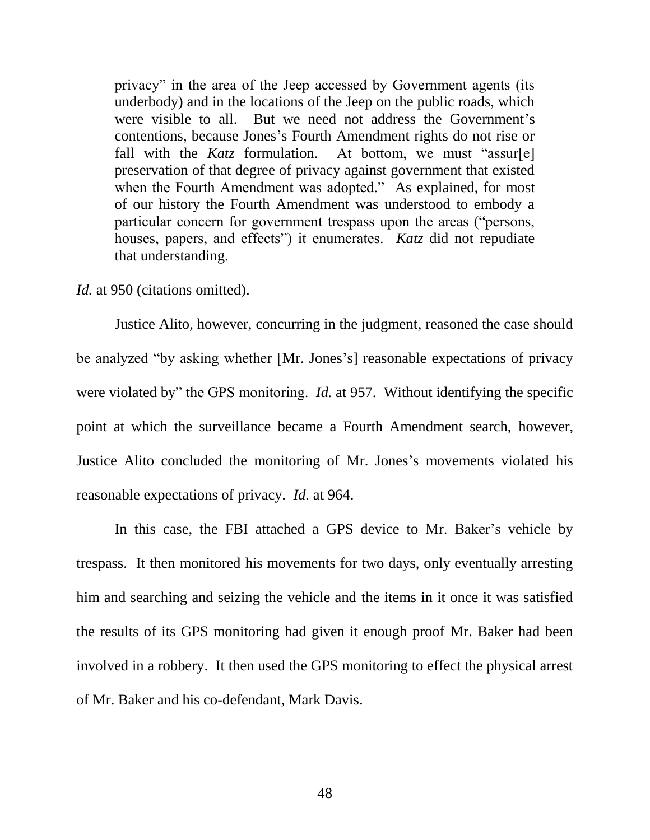privacy" in the area of the Jeep accessed by Government agents (its underbody) and in the locations of the Jeep on the public roads, which were visible to all. But we need not address the Government's contentions, because Jones's Fourth Amendment rights do not rise or fall with the *Katz* formulation. At bottom, we must "assur[e] preservation of that degree of privacy against government that existed when the Fourth Amendment was adopted." As explained, for most of our history the Fourth Amendment was understood to embody a particular concern for government trespass upon the areas ("persons, houses, papers, and effects") it enumerates. *Katz* did not repudiate that understanding.

*Id.* at 950 (citations omitted).

Justice Alito, however, concurring in the judgment, reasoned the case should be analyzed "by asking whether [Mr. Jones's] reasonable expectations of privacy were violated by" the GPS monitoring. *Id.* at 957. Without identifying the specific point at which the surveillance became a Fourth Amendment search, however, Justice Alito concluded the monitoring of Mr. Jones's movements violated his reasonable expectations of privacy. *Id.* at 964.

In this case, the FBI attached a GPS device to Mr. Baker's vehicle by trespass. It then monitored his movements for two days, only eventually arresting him and searching and seizing the vehicle and the items in it once it was satisfied the results of its GPS monitoring had given it enough proof Mr. Baker had been involved in a robbery. It then used the GPS monitoring to effect the physical arrest of Mr. Baker and his co-defendant, Mark Davis.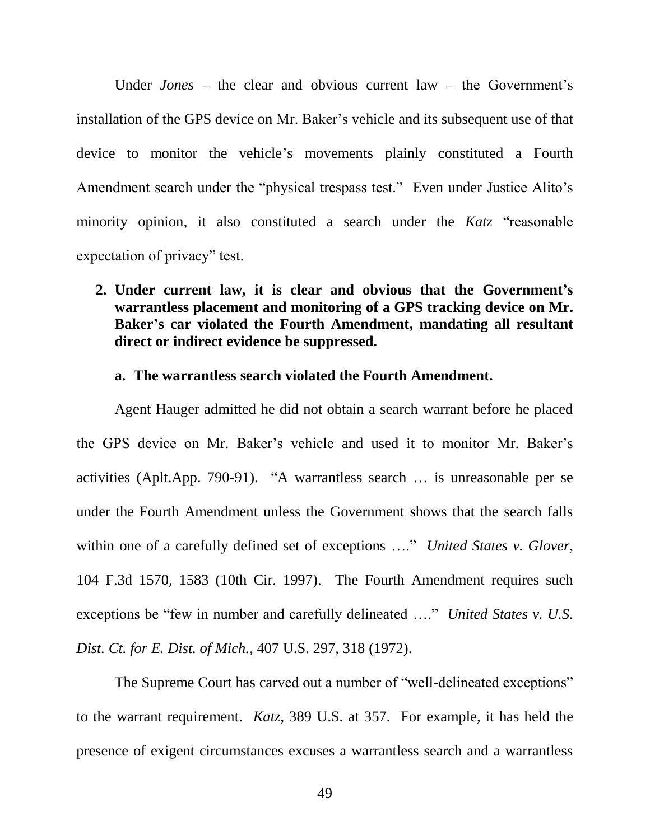Under *Jones* – the clear and obvious current law – the Government's installation of the GPS device on Mr. Baker's vehicle and its subsequent use of that device to monitor the vehicle's movements plainly constituted a Fourth Amendment search under the "physical trespass test." Even under Justice Alito's minority opinion, it also constituted a search under the *Katz* "reasonable expectation of privacy" test.

**2. Under current law, it is clear and obvious that the Government's warrantless placement and monitoring of a GPS tracking device on Mr. Baker's car violated the Fourth Amendment, mandating all resultant direct or indirect evidence be suppressed.**

### **a. The warrantless search violated the Fourth Amendment.**

Agent Hauger admitted he did not obtain a search warrant before he placed the GPS device on Mr. Baker's vehicle and used it to monitor Mr. Baker's activities (Aplt.App. 790-91). "A warrantless search … is unreasonable per se under the Fourth Amendment unless the Government shows that the search falls within one of a carefully defined set of exceptions …." *United States v. Glover*, 104 F.3d 1570, 1583 (10th Cir. 1997). The Fourth Amendment requires such exceptions be "few in number and carefully delineated …." *United States v. U.S. Dist. Ct. for E. Dist. of Mich.*, 407 U.S. 297, 318 (1972).

The Supreme Court has carved out a number of "well-delineated exceptions" to the warrant requirement. *Katz*, 389 U.S. at 357. For example, it has held the presence of exigent circumstances excuses a warrantless search and a warrantless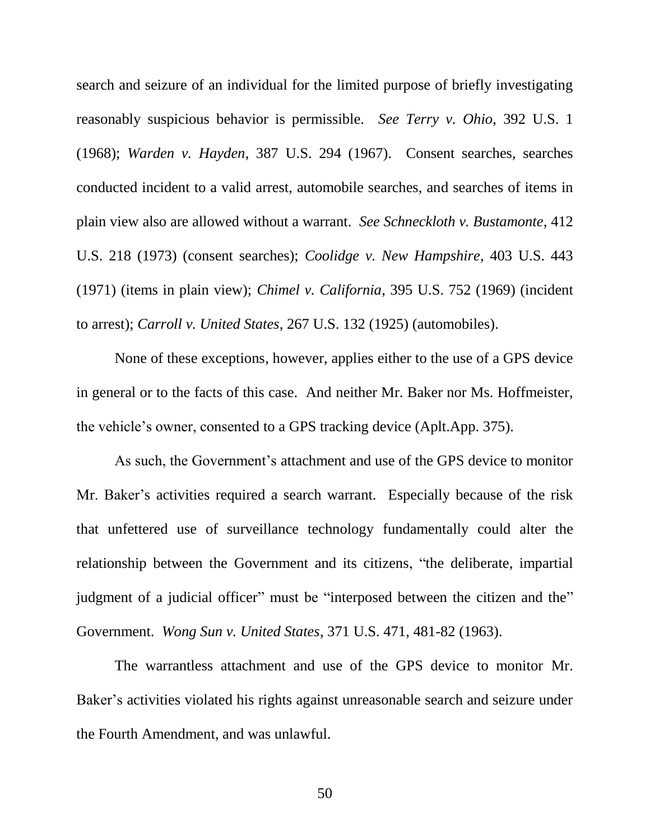search and seizure of an individual for the limited purpose of briefly investigating reasonably suspicious behavior is permissible. *See Terry v. Ohio*, 392 U.S. 1 (1968); *Warden v. Hayden*, 387 U.S. 294 (1967). Consent searches, searches conducted incident to a valid arrest, automobile searches, and searches of items in plain view also are allowed without a warrant. *See Schneckloth v. Bustamonte*, 412 U.S. 218 (1973) (consent searches); *Coolidge v. New Hampshire*, 403 U.S. 443 (1971) (items in plain view); *Chimel v. California*, 395 U.S. 752 (1969) (incident to arrest); *Carroll v. United States*, 267 U.S. 132 (1925) (automobiles).

None of these exceptions, however, applies either to the use of a GPS device in general or to the facts of this case. And neither Mr. Baker nor Ms. Hoffmeister, the vehicle's owner, consented to a GPS tracking device (Aplt.App. 375).

As such, the Government's attachment and use of the GPS device to monitor Mr. Baker's activities required a search warrant. Especially because of the risk that unfettered use of surveillance technology fundamentally could alter the relationship between the Government and its citizens, "the deliberate, impartial judgment of a judicial officer" must be "interposed between the citizen and the" Government. *Wong Sun v. United States*, 371 U.S. 471, 481-82 (1963).

The warrantless attachment and use of the GPS device to monitor Mr. Baker's activities violated his rights against unreasonable search and seizure under the Fourth Amendment, and was unlawful.

50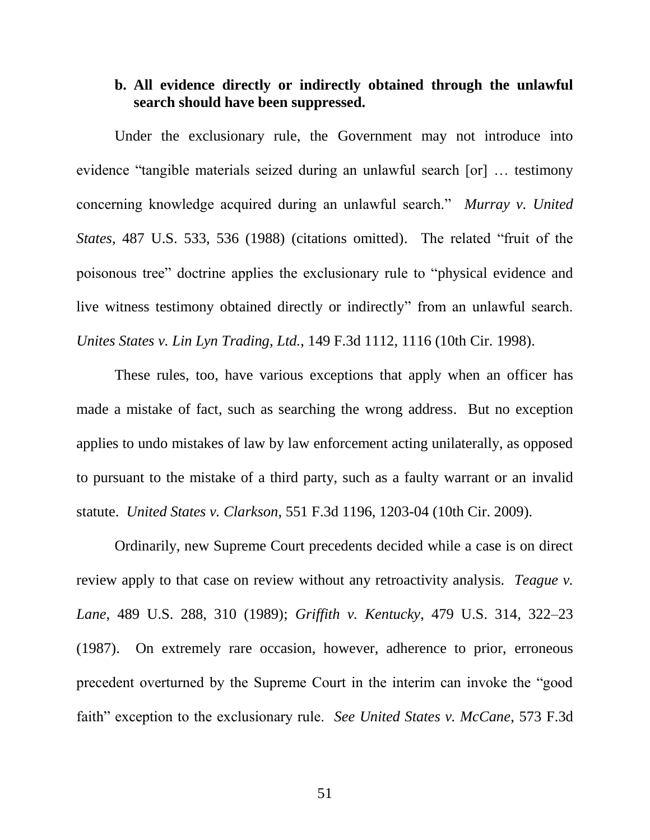## **b. All evidence directly or indirectly obtained through the unlawful search should have been suppressed.**

Under the exclusionary rule, the Government may not introduce into evidence "tangible materials seized during an unlawful search [or] … testimony concerning knowledge acquired during an unlawful search." *Murray v. United States*, 487 U.S. 533, 536 (1988) (citations omitted). The related "fruit of the poisonous tree" doctrine applies the exclusionary rule to "physical evidence and live witness testimony obtained directly or indirectly" from an unlawful search. *Unites States v. Lin Lyn Trading, Ltd.*, 149 F.3d 1112, 1116 (10th Cir. 1998).

These rules, too, have various exceptions that apply when an officer has made a mistake of fact, such as searching the wrong address. But no exception applies to undo mistakes of law by law enforcement acting unilaterally, as opposed to pursuant to the mistake of a third party, such as a faulty warrant or an invalid statute. *United States v. Clarkson*, 551 F.3d 1196, 1203-04 (10th Cir. 2009).

Ordinarily, new Supreme Court precedents decided while a case is on direct review apply to that case on review without any retroactivity analysis. *Teague v. Lane*, 489 U.S. 288, 310 (1989); *Griffith v. Kentucky*, 479 U.S. 314, 322–23 (1987). On extremely rare occasion, however, adherence to prior, erroneous precedent overturned by the Supreme Court in the interim can invoke the "good faith" exception to the exclusionary rule. *See United States v. McCane*, 573 F.3d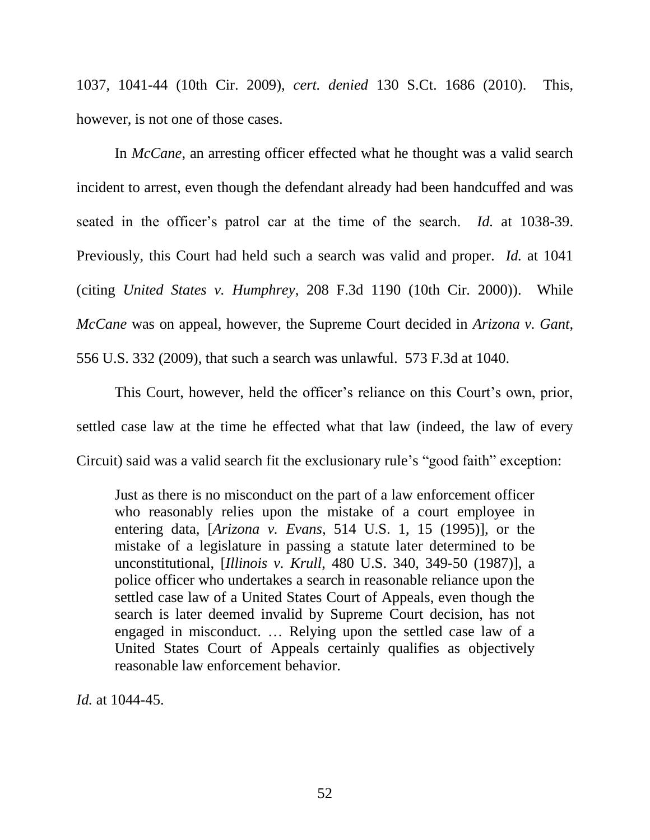1037, 1041-44 (10th Cir. 2009), *cert. denied* 130 S.Ct. 1686 (2010). This, however, is not one of those cases.

In *McCane*, an arresting officer effected what he thought was a valid search incident to arrest, even though the defendant already had been handcuffed and was seated in the officer's patrol car at the time of the search. *Id.* at 1038-39. Previously, this Court had held such a search was valid and proper. *Id.* at 1041 (citing *United States v. Humphrey*, 208 F.3d 1190 (10th Cir. 2000)). While *McCane* was on appeal, however, the Supreme Court decided in *Arizona v. Gant*, 556 U.S. 332 (2009), that such a search was unlawful. 573 F.3d at 1040.

This Court, however, held the officer's reliance on this Court's own, prior, settled case law at the time he effected what that law (indeed, the law of every Circuit) said was a valid search fit the exclusionary rule's "good faith" exception:

Just as there is no misconduct on the part of a law enforcement officer who reasonably relies upon the mistake of a court employee in entering data, [*Arizona v. Evans*, 514 U.S. 1, 15 (1995)], or the mistake of a legislature in passing a statute later determined to be unconstitutional, [*Illinois v. Krull*, 480 U.S. 340, 349-50 (1987)], a police officer who undertakes a search in reasonable reliance upon the settled case law of a United States Court of Appeals, even though the search is later deemed invalid by Supreme Court decision, has not engaged in misconduct. … Relying upon the settled case law of a United States Court of Appeals certainly qualifies as objectively reasonable law enforcement behavior.

*Id.* at 1044-45.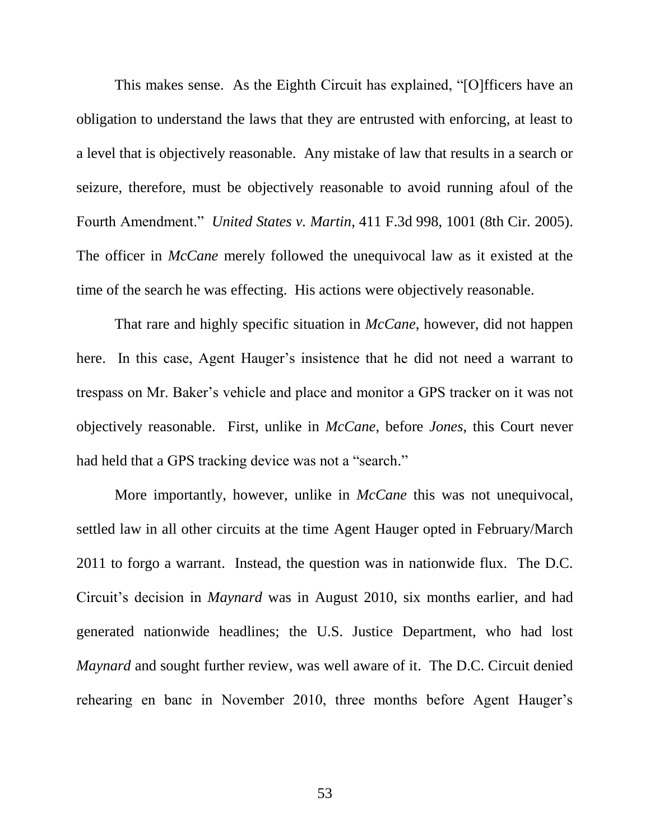This makes sense. As the Eighth Circuit has explained, "[O]fficers have an obligation to understand the laws that they are entrusted with enforcing, at least to a level that is objectively reasonable. Any mistake of law that results in a search or seizure, therefore, must be objectively reasonable to avoid running afoul of the Fourth Amendment." *United States v. Martin*, 411 F.3d 998, 1001 (8th Cir. 2005). The officer in *McCane* merely followed the unequivocal law as it existed at the time of the search he was effecting. His actions were objectively reasonable.

That rare and highly specific situation in *McCane*, however, did not happen here. In this case, Agent Hauger's insistence that he did not need a warrant to trespass on Mr. Baker's vehicle and place and monitor a GPS tracker on it was not objectively reasonable. First, unlike in *McCane*, before *Jones*, this Court never had held that a GPS tracking device was not a "search."

More importantly, however, unlike in *McCane* this was not unequivocal, settled law in all other circuits at the time Agent Hauger opted in February/March 2011 to forgo a warrant. Instead, the question was in nationwide flux. The D.C. Circuit's decision in *Maynard* was in August 2010, six months earlier, and had generated nationwide headlines; the U.S. Justice Department, who had lost *Maynard* and sought further review, was well aware of it. The D.C. Circuit denied rehearing en banc in November 2010, three months before Agent Hauger's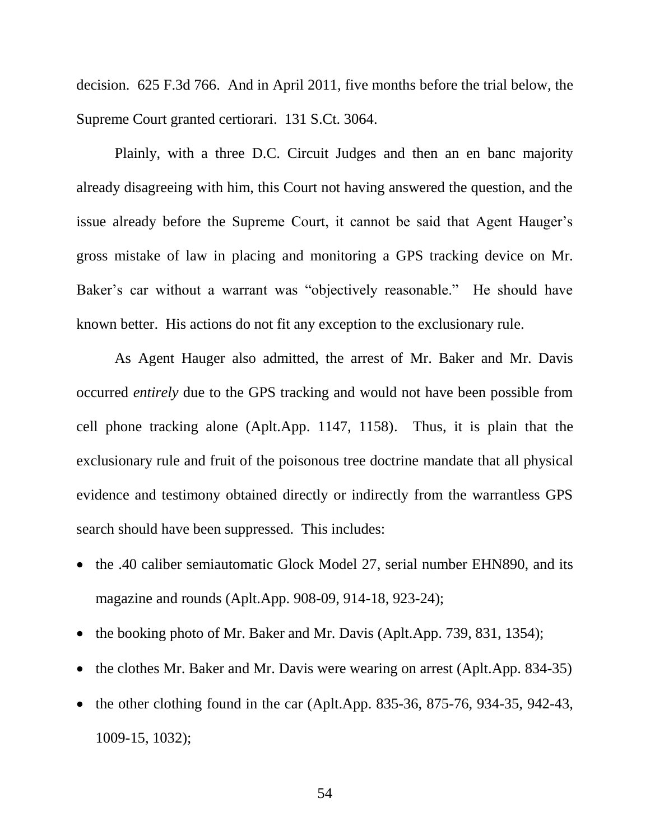decision. 625 F.3d 766. And in April 2011, five months before the trial below, the Supreme Court granted certiorari. 131 S.Ct. 3064.

Plainly, with a three D.C. Circuit Judges and then an en banc majority already disagreeing with him, this Court not having answered the question, and the issue already before the Supreme Court, it cannot be said that Agent Hauger's gross mistake of law in placing and monitoring a GPS tracking device on Mr. Baker's car without a warrant was "objectively reasonable." He should have known better. His actions do not fit any exception to the exclusionary rule.

As Agent Hauger also admitted, the arrest of Mr. Baker and Mr. Davis occurred *entirely* due to the GPS tracking and would not have been possible from cell phone tracking alone (Aplt.App. 1147, 1158). Thus, it is plain that the exclusionary rule and fruit of the poisonous tree doctrine mandate that all physical evidence and testimony obtained directly or indirectly from the warrantless GPS search should have been suppressed. This includes:

- the .40 caliber semiautomatic Glock Model 27, serial number EHN890, and its magazine and rounds (Aplt.App. 908-09, 914-18, 923-24);
- the booking photo of Mr. Baker and Mr. Davis (Aplt.App. 739, 831, 1354);
- the clothes Mr. Baker and Mr. Davis were wearing on arrest (Aplt.App. 834-35)
- the other clothing found in the car (Aplt.App. 835-36, 875-76, 934-35, 942-43, 1009-15, 1032);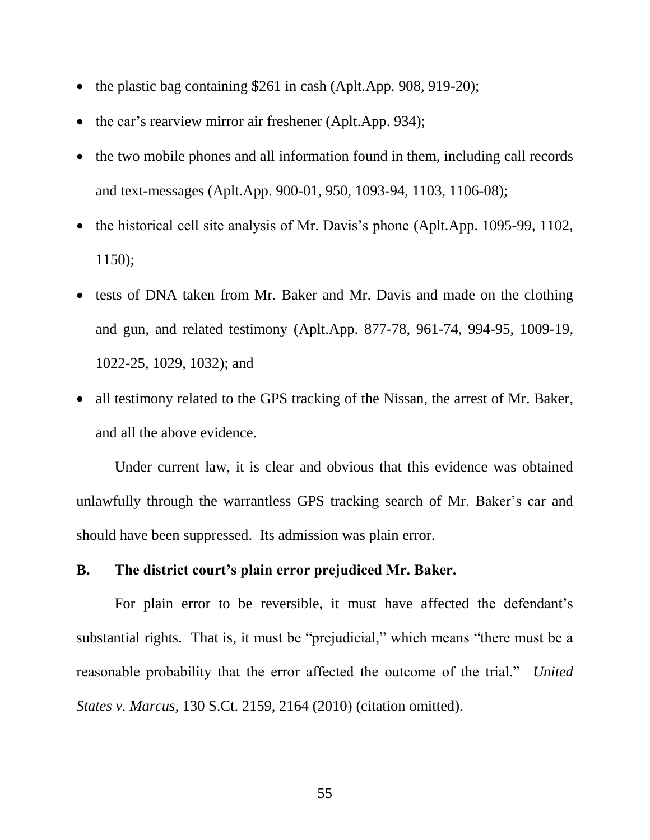- the plastic bag containing \$261 in cash (Aplt.App. 908, 919-20);
- the car's rearview mirror air freshener (Aplt.App. 934);
- the two mobile phones and all information found in them, including call records and text-messages (Aplt.App. 900-01, 950, 1093-94, 1103, 1106-08);
- the historical cell site analysis of Mr. Davis's phone (Aplt.App. 1095-99, 1102, 1150);
- tests of DNA taken from Mr. Baker and Mr. Davis and made on the clothing and gun, and related testimony (Aplt.App. 877-78, 961-74, 994-95, 1009-19, 1022-25, 1029, 1032); and
- all testimony related to the GPS tracking of the Nissan, the arrest of Mr. Baker, and all the above evidence.

Under current law, it is clear and obvious that this evidence was obtained unlawfully through the warrantless GPS tracking search of Mr. Baker's car and should have been suppressed. Its admission was plain error.

### **B. The district court's plain error prejudiced Mr. Baker.**

For plain error to be reversible, it must have affected the defendant's substantial rights. That is, it must be "prejudicial," which means "there must be a reasonable probability that the error affected the outcome of the trial." *United States v. Marcus*, 130 S.Ct. 2159, 2164 (2010) (citation omitted).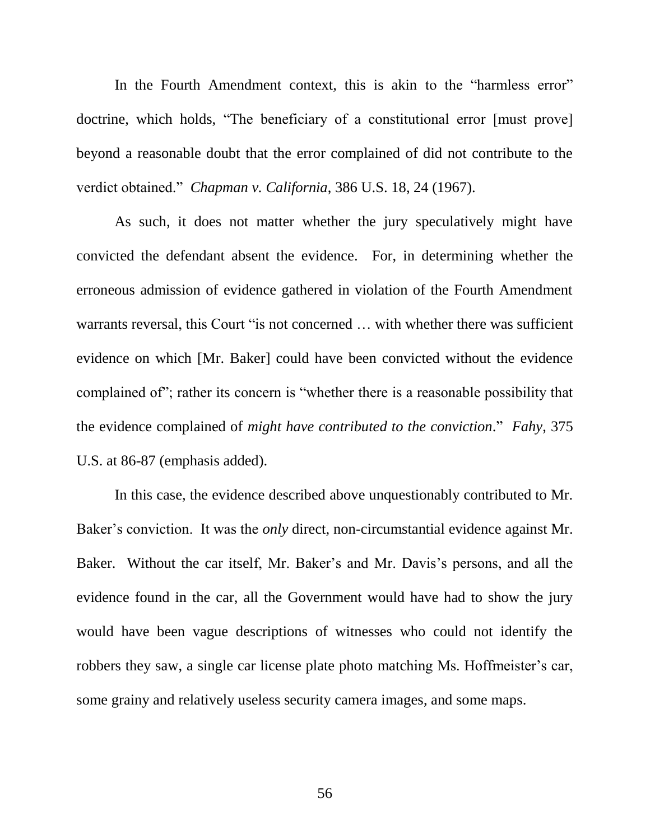In the Fourth Amendment context, this is akin to the "harmless error" doctrine, which holds, "The beneficiary of a constitutional error [must prove] beyond a reasonable doubt that the error complained of did not contribute to the verdict obtained." *Chapman v. California*, 386 U.S. 18, 24 (1967).

As such, it does not matter whether the jury speculatively might have convicted the defendant absent the evidence. For, in determining whether the erroneous admission of evidence gathered in violation of the Fourth Amendment warrants reversal, this Court "is not concerned ... with whether there was sufficient evidence on which [Mr. Baker] could have been convicted without the evidence complained of"; rather its concern is "whether there is a reasonable possibility that the evidence complained of *might have contributed to the conviction*." *Fahy*, 375 U.S. at 86-87 (emphasis added).

In this case, the evidence described above unquestionably contributed to Mr. Baker's conviction. It was the *only* direct, non-circumstantial evidence against Mr. Baker. Without the car itself, Mr. Baker's and Mr. Davis's persons, and all the evidence found in the car, all the Government would have had to show the jury would have been vague descriptions of witnesses who could not identify the robbers they saw, a single car license plate photo matching Ms. Hoffmeister's car, some grainy and relatively useless security camera images, and some maps.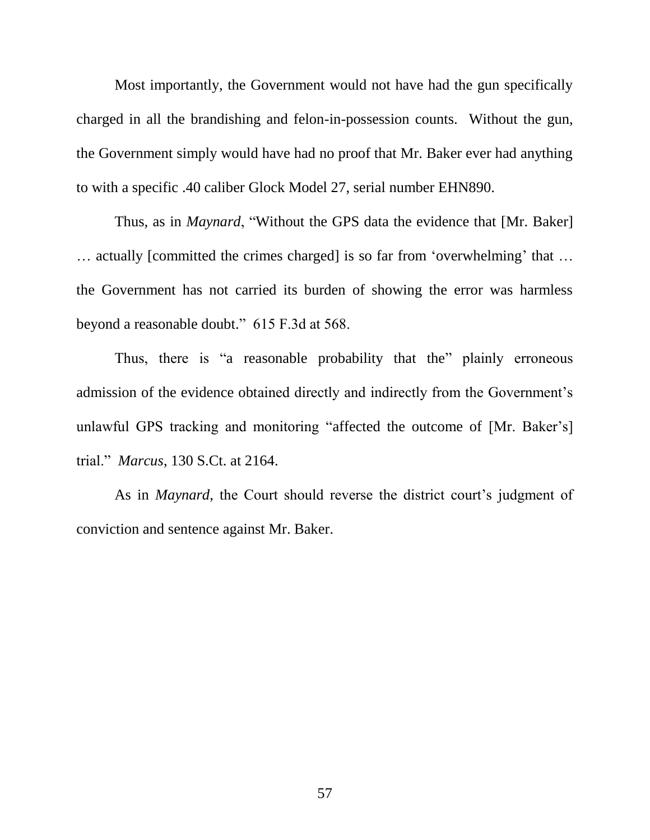Most importantly, the Government would not have had the gun specifically charged in all the brandishing and felon-in-possession counts. Without the gun, the Government simply would have had no proof that Mr. Baker ever had anything to with a specific .40 caliber Glock Model 27, serial number EHN890.

Thus, as in *Maynard*, "Without the GPS data the evidence that [Mr. Baker] … actually [committed the crimes charged] is so far from 'overwhelming' that … the Government has not carried its burden of showing the error was harmless beyond a reasonable doubt." 615 F.3d at 568.

Thus, there is "a reasonable probability that the" plainly erroneous admission of the evidence obtained directly and indirectly from the Government's unlawful GPS tracking and monitoring "affected the outcome of [Mr. Baker's] trial." *Marcus*, 130 S.Ct. at 2164.

As in *Maynard*, the Court should reverse the district court's judgment of conviction and sentence against Mr. Baker.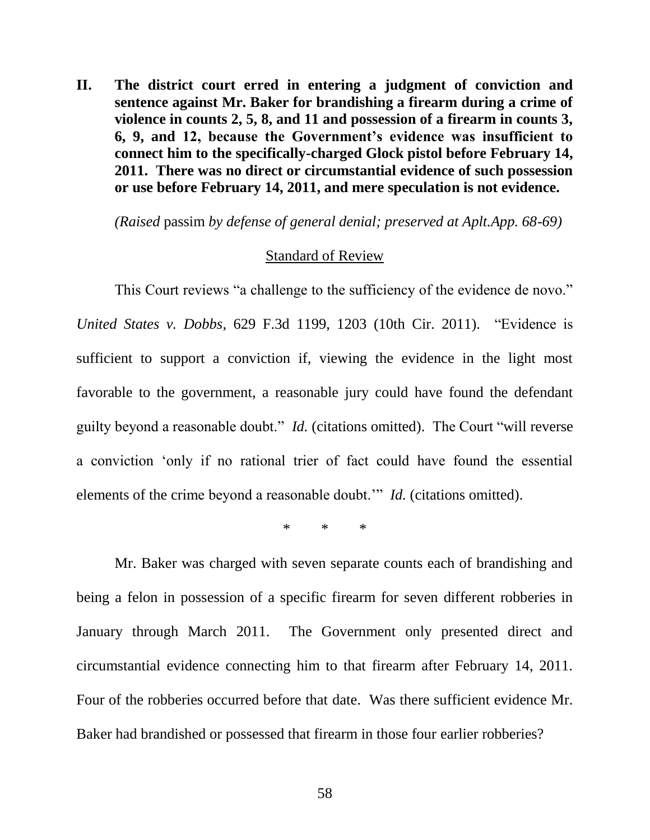**II. The district court erred in entering a judgment of conviction and sentence against Mr. Baker for brandishing a firearm during a crime of violence in counts 2, 5, 8, and 11 and possession of a firearm in counts 3, 6, 9, and 12, because the Government's evidence was insufficient to connect him to the specifically-charged Glock pistol before February 14, 2011. There was no direct or circumstantial evidence of such possession or use before February 14, 2011, and mere speculation is not evidence.**

*(Raised* passim *by defense of general denial; preserved at Aplt.App. 68-69)*

#### Standard of Review

This Court reviews "a challenge to the sufficiency of the evidence de novo." *United States v. Dobbs*, 629 F.3d 1199, 1203 (10th Cir. 2011). "Evidence is sufficient to support a conviction if, viewing the evidence in the light most favorable to the government, a reasonable jury could have found the defendant guilty beyond a reasonable doubt." *Id.* (citations omitted). The Court "will reverse a conviction 'only if no rational trier of fact could have found the essential elements of the crime beyond a reasonable doubt.'" *Id.* (citations omitted).

\* \* \*

Mr. Baker was charged with seven separate counts each of brandishing and being a felon in possession of a specific firearm for seven different robberies in January through March 2011. The Government only presented direct and circumstantial evidence connecting him to that firearm after February 14, 2011. Four of the robberies occurred before that date. Was there sufficient evidence Mr. Baker had brandished or possessed that firearm in those four earlier robberies?

58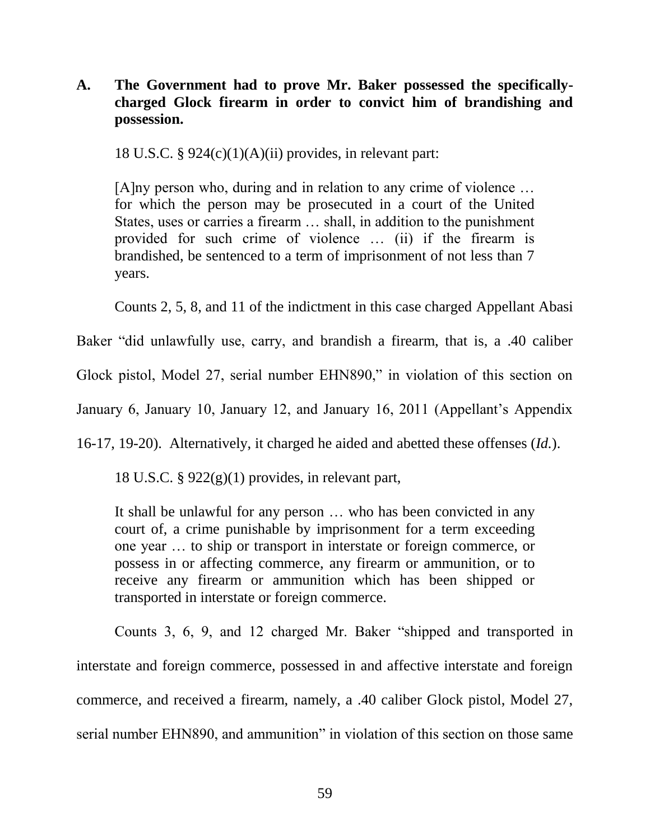# **A. The Government had to prove Mr. Baker possessed the specificallycharged Glock firearm in order to convict him of brandishing and possession.**

18 U.S.C.  $\S 924(c)(1)(A)(ii)$  provides, in relevant part:

[A]ny person who, during and in relation to any crime of violence … for which the person may be prosecuted in a court of the United States, uses or carries a firearm … shall, in addition to the punishment provided for such crime of violence … (ii) if the firearm is brandished, be sentenced to a term of imprisonment of not less than 7 years.

Counts 2, 5, 8, and 11 of the indictment in this case charged Appellant Abasi

Baker "did unlawfully use, carry, and brandish a firearm, that is, a .40 caliber

Glock pistol, Model 27, serial number EHN890," in violation of this section on

January 6, January 10, January 12, and January 16, 2011 (Appellant's Appendix

16-17, 19-20). Alternatively, it charged he aided and abetted these offenses (*Id.*).

18 U.S.C.  $\S 922(g)(1)$  provides, in relevant part,

It shall be unlawful for any person … who has been convicted in any court of, a crime punishable by imprisonment for a term exceeding one year … to ship or transport in interstate or foreign commerce, or possess in or affecting commerce, any firearm or ammunition, or to receive any firearm or ammunition which has been shipped or transported in interstate or foreign commerce.

Counts 3, 6, 9, and 12 charged Mr. Baker "shipped and transported in interstate and foreign commerce, possessed in and affective interstate and foreign commerce, and received a firearm, namely, a .40 caliber Glock pistol, Model 27, serial number EHN890, and ammunition" in violation of this section on those same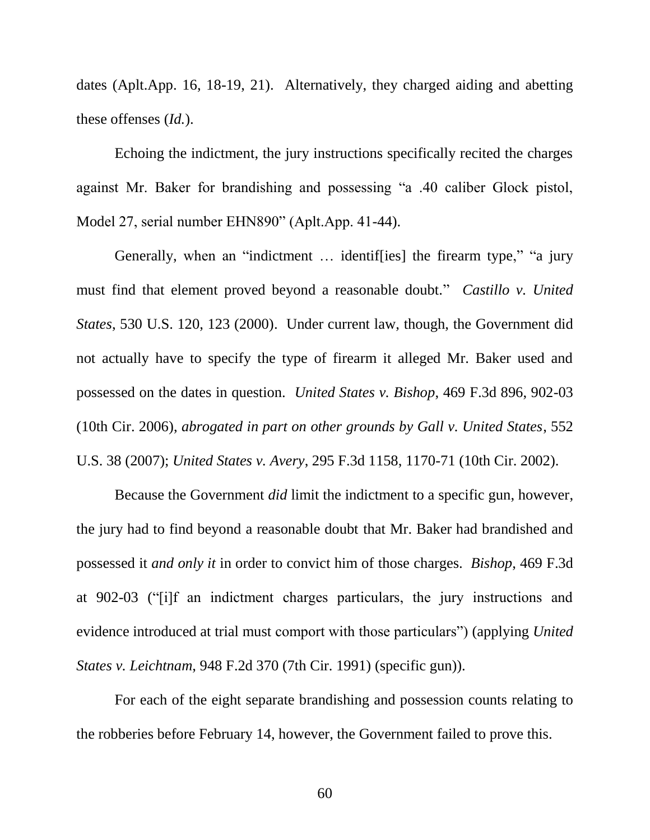dates (Aplt.App. 16, 18-19, 21). Alternatively, they charged aiding and abetting these offenses (*Id.*).

Echoing the indictment, the jury instructions specifically recited the charges against Mr. Baker for brandishing and possessing "a .40 caliber Glock pistol, Model 27, serial number EHN890" (Aplt.App. 41-44).

Generally, when an "indictment … identif[ies] the firearm type," "a jury must find that element proved beyond a reasonable doubt." *Castillo v. United States*, 530 U.S. 120, 123 (2000). Under current law, though, the Government did not actually have to specify the type of firearm it alleged Mr. Baker used and possessed on the dates in question. *United States v. Bishop*, 469 F.3d 896, 902-03 (10th Cir. 2006), *abrogated in part on other grounds by Gall v. United States*, 552 U.S. 38 (2007); *United States v. Avery*, 295 F.3d 1158, 1170-71 (10th Cir. 2002).

Because the Government *did* limit the indictment to a specific gun, however, the jury had to find beyond a reasonable doubt that Mr. Baker had brandished and possessed it *and only it* in order to convict him of those charges. *Bishop*, 469 F.3d at 902-03 ("[i]f an indictment charges particulars, the jury instructions and evidence introduced at trial must comport with those particulars") (applying *United States v. Leichtnam*, 948 F.2d 370 (7th Cir. 1991) (specific gun)).

For each of the eight separate brandishing and possession counts relating to the robberies before February 14, however, the Government failed to prove this.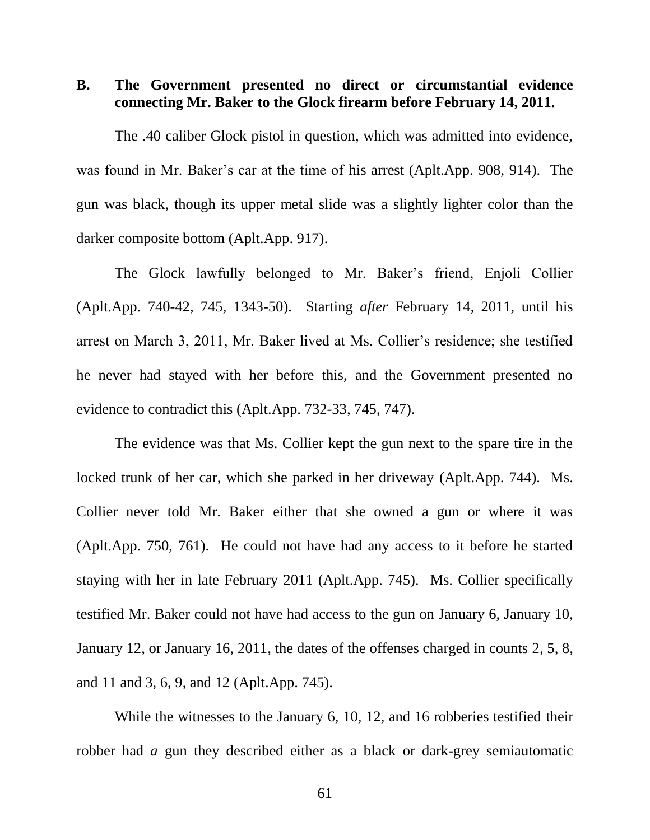**B. The Government presented no direct or circumstantial evidence connecting Mr. Baker to the Glock firearm before February 14, 2011.**

The .40 caliber Glock pistol in question, which was admitted into evidence, was found in Mr. Baker's car at the time of his arrest (Aplt.App. 908, 914). The gun was black, though its upper metal slide was a slightly lighter color than the darker composite bottom (Aplt.App. 917).

The Glock lawfully belonged to Mr. Baker's friend, Enjoli Collier (Aplt.App. 740-42, 745, 1343-50). Starting *after* February 14, 2011, until his arrest on March 3, 2011, Mr. Baker lived at Ms. Collier's residence; she testified he never had stayed with her before this, and the Government presented no evidence to contradict this (Aplt.App. 732-33, 745, 747).

The evidence was that Ms. Collier kept the gun next to the spare tire in the locked trunk of her car, which she parked in her driveway (Aplt.App. 744). Ms. Collier never told Mr. Baker either that she owned a gun or where it was (Aplt.App. 750, 761). He could not have had any access to it before he started staying with her in late February 2011 (Aplt.App. 745). Ms. Collier specifically testified Mr. Baker could not have had access to the gun on January 6, January 10, January 12, or January 16, 2011, the dates of the offenses charged in counts 2, 5, 8, and 11 and 3, 6, 9, and 12 (Aplt.App. 745).

While the witnesses to the January 6, 10, 12, and 16 robberies testified their robber had *a* gun they described either as a black or dark-grey semiautomatic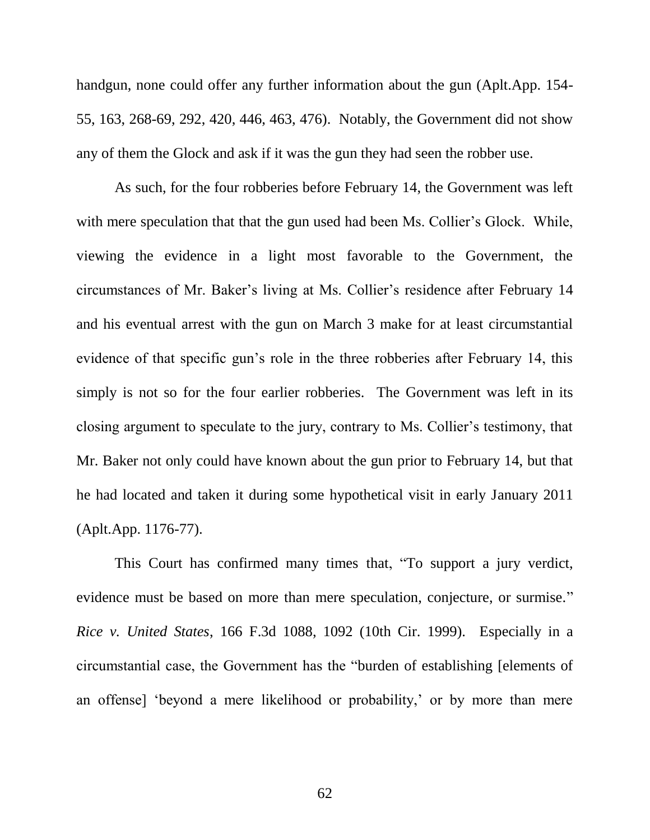handgun, none could offer any further information about the gun (Aplt.App. 154- 55, 163, 268-69, 292, 420, 446, 463, 476). Notably, the Government did not show any of them the Glock and ask if it was the gun they had seen the robber use.

As such, for the four robberies before February 14, the Government was left with mere speculation that that the gun used had been Ms. Collier's Glock. While, viewing the evidence in a light most favorable to the Government, the circumstances of Mr. Baker's living at Ms. Collier's residence after February 14 and his eventual arrest with the gun on March 3 make for at least circumstantial evidence of that specific gun's role in the three robberies after February 14, this simply is not so for the four earlier robberies. The Government was left in its closing argument to speculate to the jury, contrary to Ms. Collier's testimony, that Mr. Baker not only could have known about the gun prior to February 14, but that he had located and taken it during some hypothetical visit in early January 2011 (Aplt.App. 1176-77).

This Court has confirmed many times that, "To support a jury verdict, evidence must be based on more than mere speculation, conjecture, or surmise." *Rice v. United States*, 166 F.3d 1088, 1092 (10th Cir. 1999). Especially in a circumstantial case, the Government has the "burden of establishing [elements of an offense] 'beyond a mere likelihood or probability,' or by more than mere

62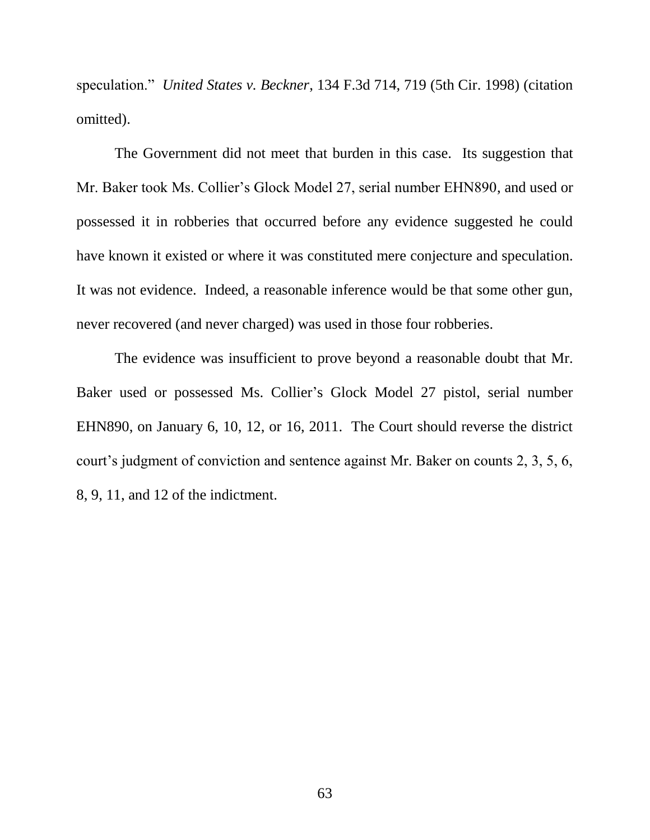speculation." *United States v. Beckner*, 134 F.3d 714, 719 (5th Cir. 1998) (citation omitted).

The Government did not meet that burden in this case. Its suggestion that Mr. Baker took Ms. Collier's Glock Model 27, serial number EHN890, and used or possessed it in robberies that occurred before any evidence suggested he could have known it existed or where it was constituted mere conjecture and speculation. It was not evidence. Indeed, a reasonable inference would be that some other gun, never recovered (and never charged) was used in those four robberies.

The evidence was insufficient to prove beyond a reasonable doubt that Mr. Baker used or possessed Ms. Collier's Glock Model 27 pistol, serial number EHN890, on January 6, 10, 12, or 16, 2011. The Court should reverse the district court's judgment of conviction and sentence against Mr. Baker on counts 2, 3, 5, 6, 8, 9, 11, and 12 of the indictment.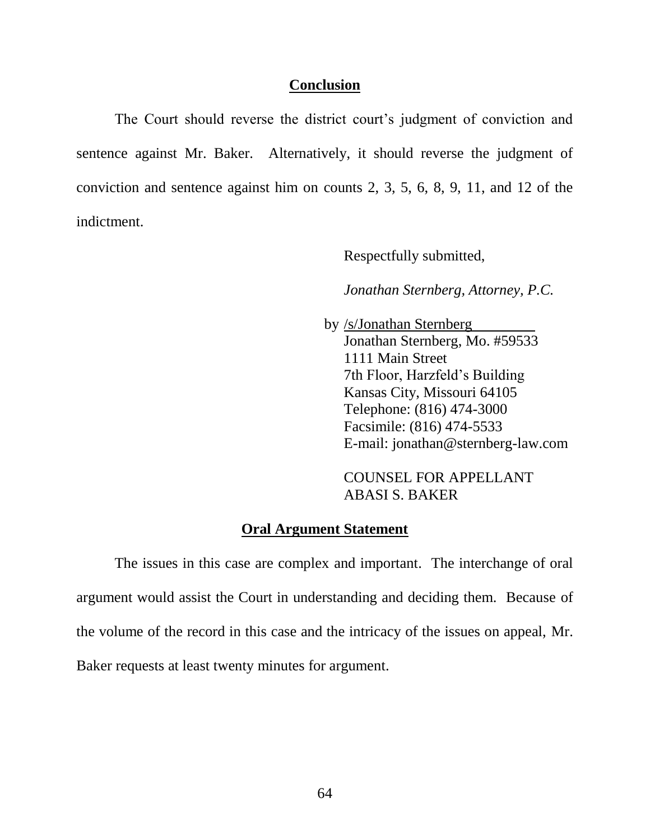### **Conclusion**

The Court should reverse the district court's judgment of conviction and sentence against Mr. Baker. Alternatively, it should reverse the judgment of conviction and sentence against him on counts 2, 3, 5, 6, 8, 9, 11, and 12 of the indictment.

Respectfully submitted,

*Jonathan Sternberg, Attorney, P.C.*

 by /s/Jonathan Sternberg Jonathan Sternberg, Mo. #59533 1111 Main Street 7th Floor, Harzfeld's Building Kansas City, Missouri 64105 Telephone: (816) 474-3000 Facsimile: (816) 474-5533 E-mail: jonathan@sternberg-law.com

COUNSEL FOR APPELLANT ABASI S. BAKER

### **Oral Argument Statement**

The issues in this case are complex and important. The interchange of oral argument would assist the Court in understanding and deciding them. Because of the volume of the record in this case and the intricacy of the issues on appeal, Mr. Baker requests at least twenty minutes for argument.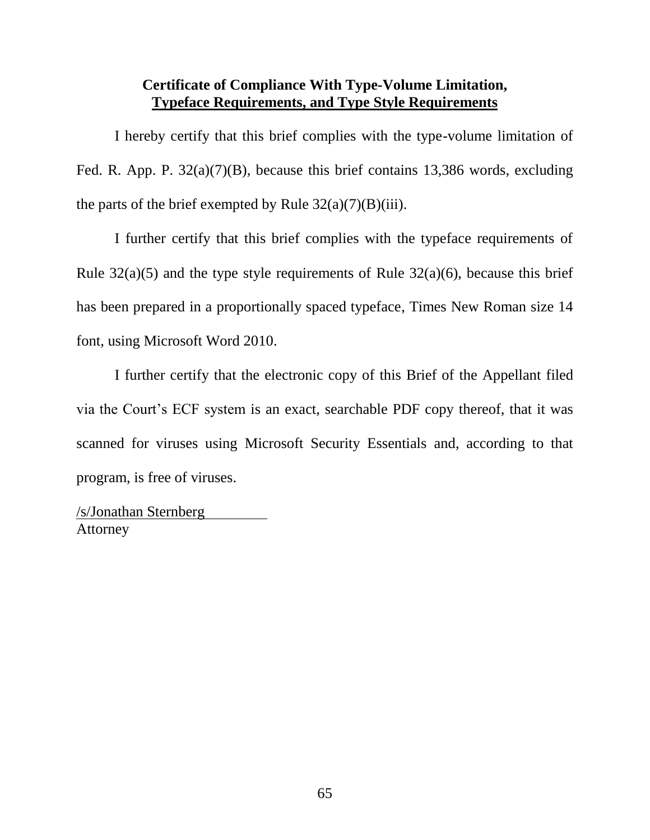# **Certificate of Compliance With Type-Volume Limitation, Typeface Requirements, and Type Style Requirements**

I hereby certify that this brief complies with the type-volume limitation of Fed. R. App. P. 32(a)(7)(B), because this brief contains 13,386 words, excluding the parts of the brief exempted by Rule  $32(a)(7)(B)(iii)$ .

I further certify that this brief complies with the typeface requirements of Rule  $32(a)(5)$  and the type style requirements of Rule  $32(a)(6)$ , because this brief has been prepared in a proportionally spaced typeface, Times New Roman size 14 font, using Microsoft Word 2010.

I further certify that the electronic copy of this Brief of the Appellant filed via the Court's ECF system is an exact, searchable PDF copy thereof, that it was scanned for viruses using Microsoft Security Essentials and, according to that program, is free of viruses.

/s/Jonathan Sternberg Attorney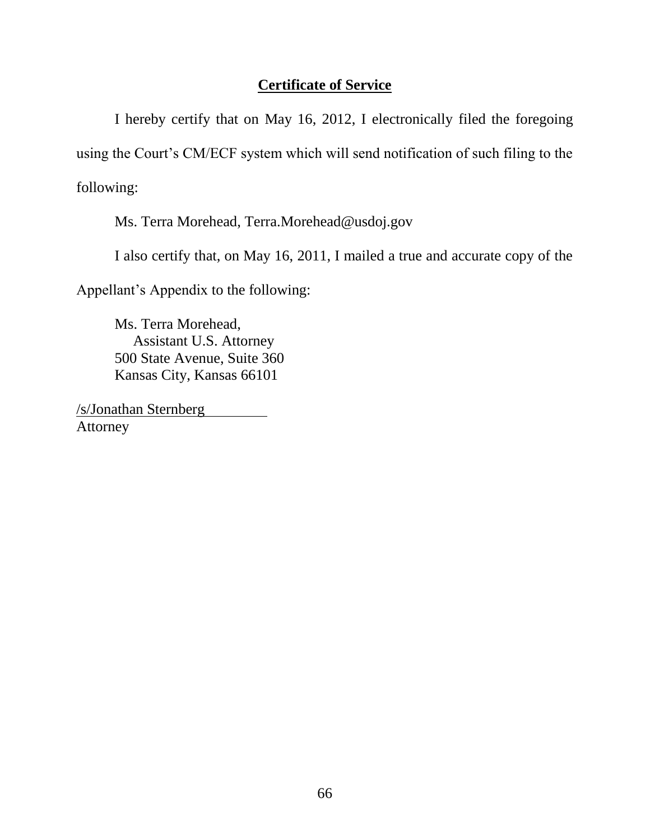# **Certificate of Service**

I hereby certify that on May 16, 2012, I electronically filed the foregoing using the Court's CM/ECF system which will send notification of such filing to the following:

Ms. Terra Morehead, Terra.Morehead@usdoj.gov

I also certify that, on May 16, 2011, I mailed a true and accurate copy of the

Appellant's Appendix to the following:

Ms. Terra Morehead, Assistant U.S. Attorney 500 State Avenue, Suite 360 Kansas City, Kansas 66101

/s/Jonathan Sternberg Attorney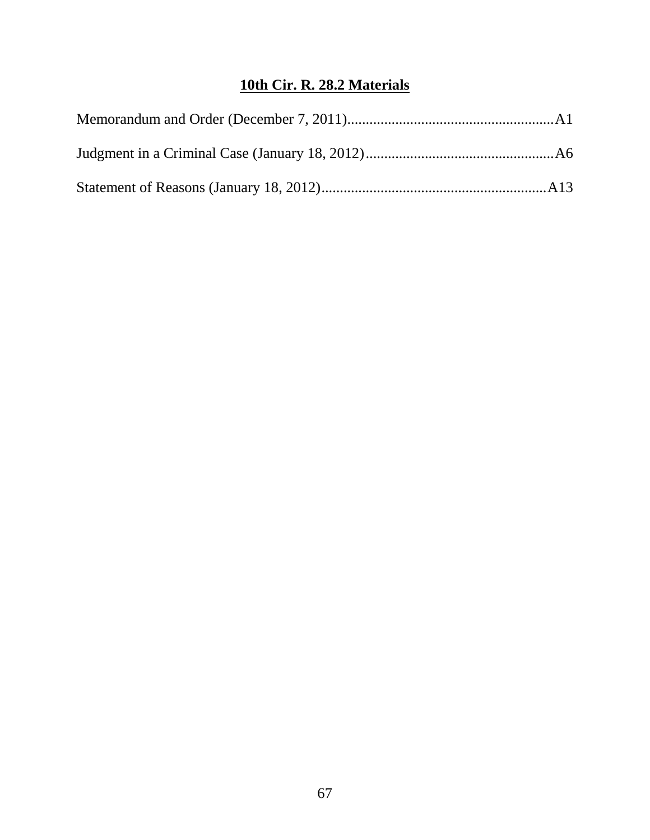# **10th Cir. R. 28.2 Materials**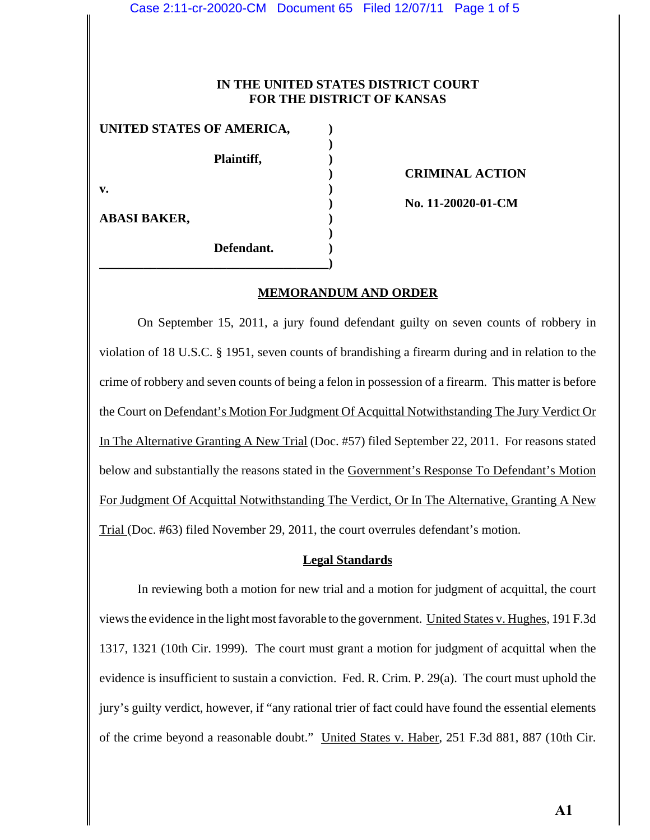### **IN THE UNITED STATES DISTRICT COURT FOR THE DISTRICT OF KANSAS**

| UNITED STATES OF AMERICA, |            |  |
|---------------------------|------------|--|
|                           |            |  |
|                           | Plaintiff, |  |
|                           |            |  |
| $\mathbf{v}$ .            |            |  |
|                           |            |  |
| <b>ABASI BAKER,</b>       |            |  |
|                           |            |  |
|                           | Defendant. |  |

**\_\_\_\_\_\_\_\_\_\_\_\_\_\_\_\_\_\_\_\_\_\_\_\_\_\_\_\_\_\_\_\_\_\_\_\_)**

**) CRIMINAL ACTION**

**) No. 11-20020-01-CM**

#### **MEMORANDUM AND ORDER**

On September 15, 2011, a jury found defendant guilty on seven counts of robbery in violation of 18 U.S.C. § 1951, seven counts of brandishing a firearm during and in relation to the crime of robbery and seven counts of being a felon in possession of a firearm. This matter is before the Court on Defendant's Motion For Judgment Of Acquittal Notwithstanding The Jury Verdict Or In The Alternative Granting A New Trial (Doc. #57) filed September 22, 2011. For reasons stated below and substantially the reasons stated in the Government's Response To Defendant's Motion For Judgment Of Acquittal Notwithstanding The Verdict, Or In The Alternative, Granting A New Trial (Doc. #63) filed November 29, 2011, the court overrules defendant's motion.

#### **Legal Standards**

In reviewing both a motion for new trial and a motion for judgment of acquittal, the court views the evidence in the light most favorable to the government. United States v. Hughes, 191 F.3d 1317, 1321 (10th Cir. 1999). The court must grant a motion for judgment of acquittal when the evidence is insufficient to sustain a conviction. Fed. R. Crim. P. 29(a). The court must uphold the jury's guilty verdict, however, if "any rational trier of fact could have found the essential elements of the crime beyond a reasonable doubt." United States v. Haber, 251 F.3d 881, 887 (10th Cir.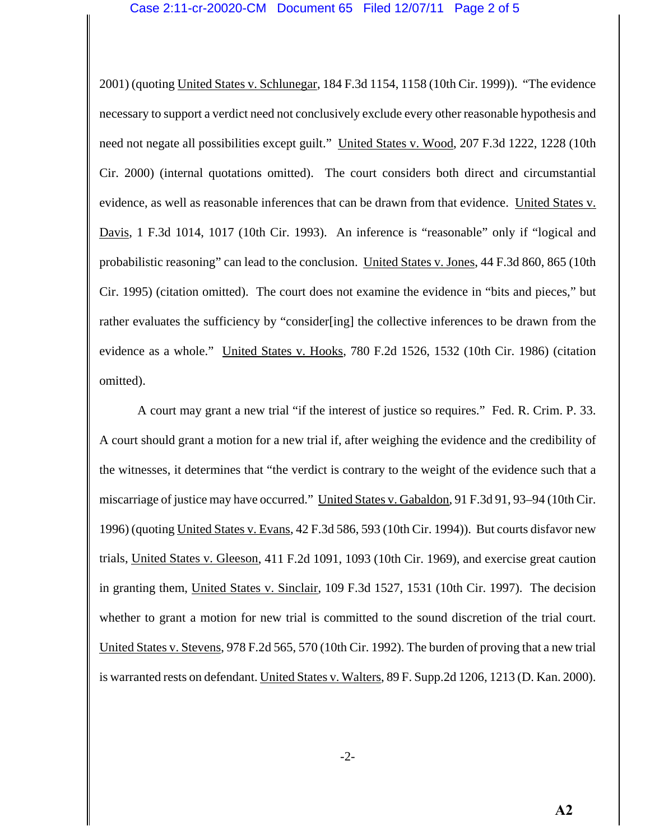2001) (quoting United States v. Schlunegar, 184 F.3d 1154, 1158 (10th Cir. 1999)). "The evidence necessary to support a verdict need not conclusively exclude every other reasonable hypothesis and need not negate all possibilities except guilt." United States v. Wood, 207 F.3d 1222, 1228 (10th Cir. 2000) (internal quotations omitted). The court considers both direct and circumstantial evidence, as well as reasonable inferences that can be drawn from that evidence. United States v. Davis, 1 F.3d 1014, 1017 (10th Cir. 1993). An inference is "reasonable" only if "logical and probabilistic reasoning" can lead to the conclusion. United States v. Jones, 44 F.3d 860, 865 (10th Cir. 1995) (citation omitted). The court does not examine the evidence in "bits and pieces," but rather evaluates the sufficiency by "consider[ing] the collective inferences to be drawn from the evidence as a whole." United States v. Hooks, 780 F.2d 1526, 1532 (10th Cir. 1986) (citation omitted).

A court may grant a new trial "if the interest of justice so requires." Fed. R. Crim. P. 33. A court should grant a motion for a new trial if, after weighing the evidence and the credibility of the witnesses, it determines that "the verdict is contrary to the weight of the evidence such that a miscarriage of justice may have occurred." United States v. Gabaldon, 91 F.3d 91, 93–94 (10th Cir. 1996) (quoting United States v. Evans, 42 F.3d 586, 593 (10th Cir. 1994)). But courts disfavor new trials, United States v. Gleeson, 411 F.2d 1091, 1093 (10th Cir. 1969), and exercise great caution in granting them, United States v. Sinclair, 109 F.3d 1527, 1531 (10th Cir. 1997). The decision whether to grant a motion for new trial is committed to the sound discretion of the trial court. United States v. Stevens, 978 F.2d 565, 570 (10th Cir. 1992). The burden of proving that a new trial is warranted rests on defendant. United States v. Walters, 89 F. Supp.2d 1206, 1213 (D. Kan. 2000).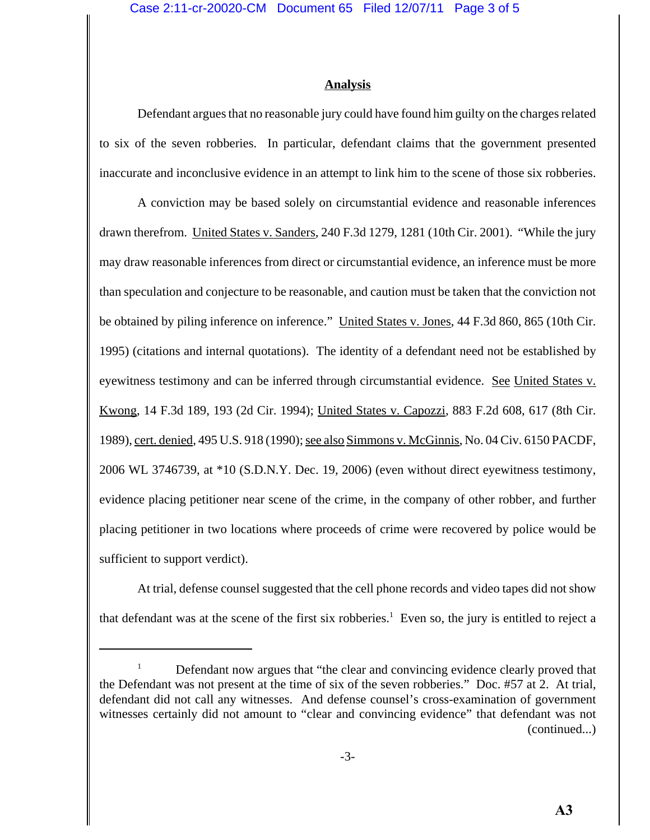#### **Analysis**

Defendant argues that no reasonable jury could have found him guilty on the charges related to six of the seven robberies. In particular, defendant claims that the government presented inaccurate and inconclusive evidence in an attempt to link him to the scene of those six robberies.

A conviction may be based solely on circumstantial evidence and reasonable inferences drawn therefrom. United States v. Sanders, 240 F.3d 1279, 1281 (10th Cir. 2001). "While the jury may draw reasonable inferences from direct or circumstantial evidence, an inference must be more than speculation and conjecture to be reasonable, and caution must be taken that the conviction not be obtained by piling inference on inference." United States v. Jones, 44 F.3d 860, 865 (10th Cir. 1995) (citations and internal quotations). The identity of a defendant need not be established by eyewitness testimony and can be inferred through circumstantial evidence. See United States v. Kwong, 14 F.3d 189, 193 (2d Cir. 1994); United States v. Capozzi, 883 F.2d 608, 617 (8th Cir. 1989), cert. denied, 495 U.S. 918 (1990); see also Simmons v. McGinnis, No. 04 Civ. 6150 PACDF, 2006 WL 3746739, at \*10 (S.D.N.Y. Dec. 19, 2006) (even without direct eyewitness testimony, evidence placing petitioner near scene of the crime, in the company of other robber, and further placing petitioner in two locations where proceeds of crime were recovered by police would be sufficient to support verdict).

At trial, defense counsel suggested that the cell phone records and video tapes did not show that defendant was at the scene of the first six robberies.<sup>1</sup> Even so, the jury is entitled to reject a

<sup>1</sup> Defendant now argues that "the clear and convincing evidence clearly proved that the Defendant was not present at the time of six of the seven robberies." Doc. #57 at 2. At trial, defendant did not call any witnesses. And defense counsel's cross-examination of government witnesses certainly did not amount to "clear and convincing evidence" that defendant was not (continued...)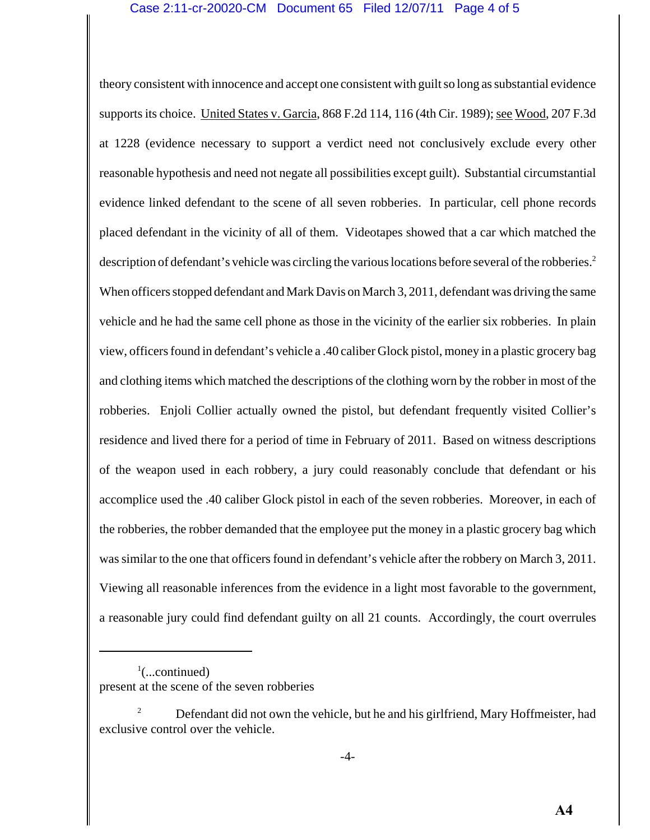theory consistent with innocence and accept one consistent with guilt so long as substantial evidence supports its choice. United States v. Garcia, 868 F.2d 114, 116 (4th Cir. 1989); see Wood, 207 F.3d at 1228 (evidence necessary to support a verdict need not conclusively exclude every other reasonable hypothesis and need not negate all possibilities except guilt). Substantial circumstantial evidence linked defendant to the scene of all seven robberies. In particular, cell phone records placed defendant in the vicinity of all of them. Videotapes showed that a car which matched the description of defendant's vehicle was circling the various locations before several of the robberies.<sup>2</sup> When officers stopped defendant and Mark Davis on March 3, 2011, defendant was driving the same vehicle and he had the same cell phone as those in the vicinity of the earlier six robberies. In plain view, officers found in defendant's vehicle a .40 caliber Glock pistol, money in a plastic grocery bag and clothing items which matched the descriptions of the clothing worn by the robber in most of the robberies. Enjoli Collier actually owned the pistol, but defendant frequently visited Collier's residence and lived there for a period of time in February of 2011. Based on witness descriptions of the weapon used in each robbery, a jury could reasonably conclude that defendant or his accomplice used the .40 caliber Glock pistol in each of the seven robberies. Moreover, in each of the robberies, the robber demanded that the employee put the money in a plastic grocery bag which was similar to the one that officers found in defendant's vehicle after the robbery on March 3, 2011. Viewing all reasonable inferences from the evidence in a light most favorable to the government, a reasonable jury could find defendant guilty on all 21 counts. Accordingly, the court overrules

 $\frac{1}{2}$ (...continued) present at the scene of the seven robberies

<sup>2</sup> Defendant did not own the vehicle, but he and his girlfriend, Mary Hoffmeister, had exclusive control over the vehicle.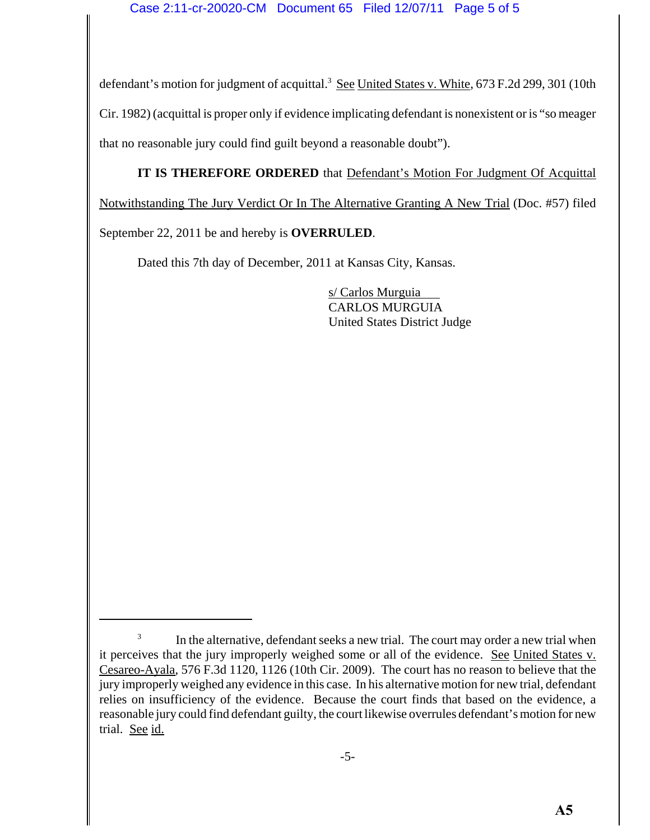defendant's motion for judgment of acquittal.<sup>3</sup> See United States v. White, 673 F.2d 299, 301 (10th Cir. 1982) (acquittal is proper only if evidence implicating defendant is nonexistent or is "so meager that no reasonable jury could find guilt beyond a reasonable doubt").

**IT IS THEREFORE ORDERED** that Defendant's Motion For Judgment Of Acquittal

Notwithstanding The Jury Verdict Or In The Alternative Granting A New Trial (Doc. #57) filed

September 22, 2011 be and hereby is **OVERRULED**.

Dated this 7th day of December, 2011 at Kansas City, Kansas.

s/ Carlos Murguia CARLOS MURGUIA United States District Judge

<sup>&</sup>lt;sup>3</sup> In the alternative, defendant seeks a new trial. The court may order a new trial when it perceives that the jury improperly weighed some or all of the evidence. See United States v. Cesareo-Ayala, 576 F.3d 1120, 1126 (10th Cir. 2009). The court has no reason to believe that the jury improperly weighed any evidence in this case. In his alternative motion for new trial, defendant relies on insufficiency of the evidence. Because the court finds that based on the evidence, a reasonable jury could find defendant guilty, the court likewise overrules defendant's motion for new trial. See id.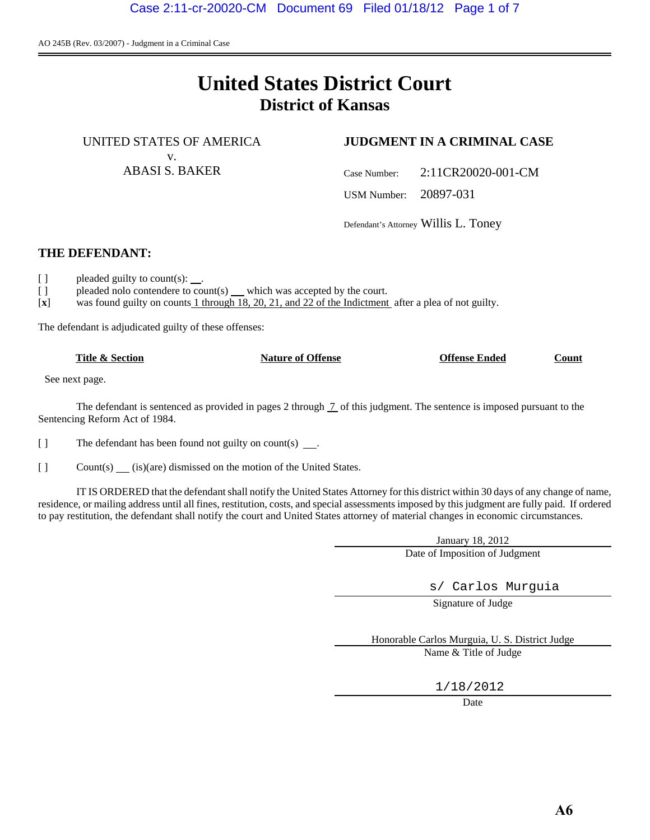AO 245B (Rev. 03/2007) - Judgment in a Criminal Case

# **United States District Court District of Kansas**

UNITED STATES OF AMERICA v.

## ABASI S. BAKER

## **JUDGMENT IN A CRIMINAL CASE**

Case Number: 2:11CR20020-001-CM

USM Number: 20897-031

Defendant's Attorney Willis L. Toney

## **THE DEFENDANT:**

֬֕֜֓

- [ ] pleaded guilty to count(s): .
- [ ] pleaded nolo contendere to count(s) which was accepted by the court.

[**x**] was found guilty on counts 1 through 18, 20, 21, and 22 of the Indictment after a plea of not guilty.

The defendant is adjudicated guilty of these offenses:

**Title & Section Nature of Offense Offense Ended Count**

See next page.

The defendant is sentenced as provided in pages 2 through  $\frac{7}{1}$  of this judgment. The sentence is imposed pursuant to the Sentencing Reform Act of 1984.

[ ] The defendant has been found not guilty on count(s).

[ ] Count(s) (is)(are) dismissed on the motion of the United States.

IT IS ORDERED that the defendant shall notify the United States Attorney for this district within 30 days of any change of name, residence, or mailing address until all fines, restitution, costs, and special assessments imposed by this judgment are fully paid. If ordered to pay restitution, the defendant shall notify the court and United States attorney of material changes in economic circumstances.

> January 18, 2012 Date of Imposition of Judgment

> > s/ Carlos Murguia

Signature of Judge

Honorable Carlos Murguia, U. S. District Judge Name & Title of Judge

1/18/2012

**Date**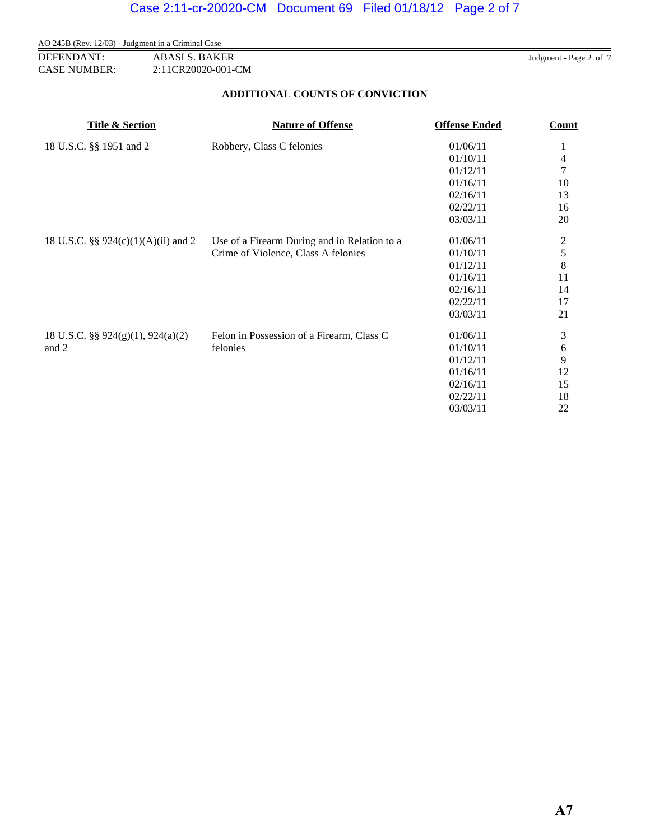AO 245B (Rev. 12/03) - Judgment in a Criminal Case **DEFENDANT:** ABASI S. BAKER Judgment - Page 2 of 7 CASE NUMBER: 2:11CR20020-001-CM

## **ADDITIONAL COUNTS OF CONVICTION**

| <b>Title &amp; Section</b>          | <b>Nature of Offense</b>                     | <b>Offense Ended</b> | Count         |
|-------------------------------------|----------------------------------------------|----------------------|---------------|
| 18 U.S.C. §§ 1951 and 2             | Robbery, Class C felonies                    | 01/06/11             | 1             |
|                                     |                                              | 01/10/11             | 4             |
|                                     |                                              | 01/12/11             | 7             |
|                                     |                                              | 01/16/11             | 10            |
|                                     |                                              | 02/16/11             | 13            |
|                                     |                                              | 02/22/11             | 16            |
|                                     |                                              | 03/03/11             | 20            |
| 18 U.S.C. §§ 924(c)(1)(A)(ii) and 2 | Use of a Firearm During and in Relation to a | 01/06/11             |               |
|                                     | Crime of Violence, Class A felonies          | 01/10/11             | $\frac{2}{5}$ |
|                                     |                                              | 01/12/11             | $\,8$         |
|                                     |                                              | 01/16/11             | 11            |
|                                     |                                              | 02/16/11             | 14            |
|                                     |                                              | 02/22/11             | 17            |
|                                     |                                              | 03/03/11             | 21            |
| 18 U.S.C. §§ 924(g)(1), 924(a)(2)   | Felon in Possession of a Firearm, Class C    | 01/06/11             | 3             |
| and 2                               | felonies                                     | 01/10/11             | 6             |
|                                     |                                              | 01/12/11             | 9             |
|                                     |                                              | 01/16/11             | 12            |
|                                     |                                              | 02/16/11             | 15            |
|                                     |                                              | 02/22/11             | 18            |
|                                     |                                              | 03/03/11             | 22            |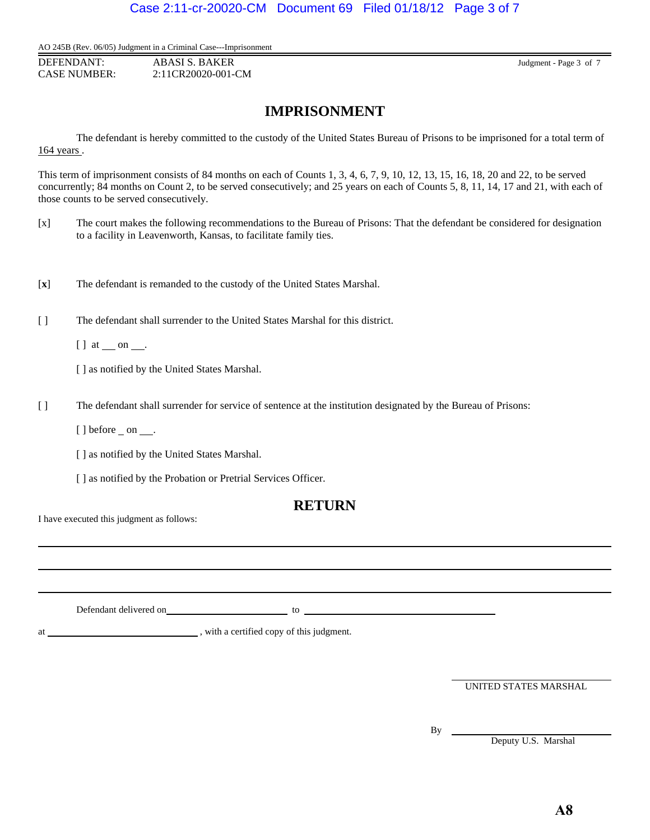AO 245B (Rev. 06/05) Judgment in a Criminal Case---Imprisonment

**DEFENDANT:** ABASI S. BAKER Judgment - Page 3 of 7 CASE NUMBER: 2:11CR20020-001-CM

# **IMPRISONMENT**

The defendant is hereby committed to the custody of the United States Bureau of Prisons to be imprisoned for a total term of 164 years .

This term of imprisonment consists of 84 months on each of Counts 1, 3, 4, 6, 7, 9, 10, 12, 13, 15, 16, 18, 20 and 22, to be served concurrently; 84 months on Count 2, to be served consecutively; and 25 years on each of Counts 5, 8, 11, 14, 17 and 21, with each of those counts to be served consecutively.

- [x] The court makes the following recommendations to the Bureau of Prisons: That the defendant be considered for designation to a facility in Leavenworth, Kansas, to facilitate family ties.
- [**x**] The defendant is remanded to the custody of the United States Marshal.
- [ ] The defendant shall surrender to the United States Marshal for this district.

 $[ ]$  at  $\_\_$  on  $\_\_$ .

[ ] as notified by the United States Marshal.

- [ ] The defendant shall surrender for service of sentence at the institution designated by the Bureau of Prisons:
	- $[$ ] before \_ on  $\_\_$ .

[ ] as notified by the United States Marshal.

[ ] as notified by the Probation or Pretrial Services Officer.

## **RETURN**

I have executed this judgment as follows:

Defendant delivered on the contract of the contract of the contract of the contract of the contract of the contract of the contract of the contract of the contract of the contract of the contract of the contract of the con

at , with a certified copy of this judgment.

UNITED STATES MARSHAL

By \_

l

Deputy U.S. Marshal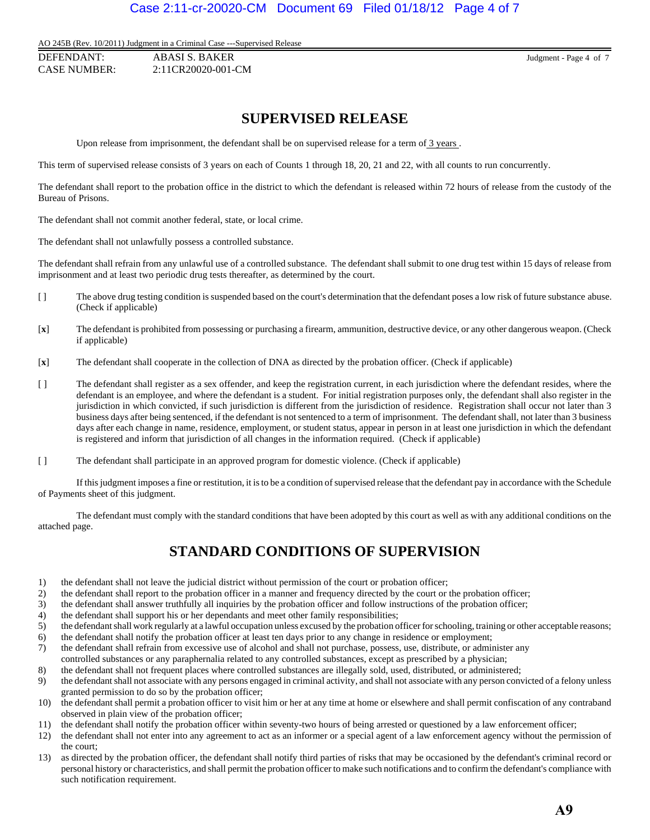## Case 2:11-cr-20020-CM Document 69 Filed 01/18/12 Page 4 of 7

AO 245B (Rev. 10/2011) Judgment in a Criminal Case ---Supervised Release

DEFENDANT: ABASI S. BAKER Judgment - Page 4 of 7 CASE NUMBER: 2:11CR20020-001-CM

## **SUPERVISED RELEASE**

Upon release from imprisonment, the defendant shall be on supervised release for a term of  $\frac{3 \text{ years}}{2}$ .

This term of supervised release consists of 3 years on each of Counts 1 through 18, 20, 21 and 22, with all counts to run concurrently.

The defendant shall report to the probation office in the district to which the defendant is released within 72 hours of release from the custody of the Bureau of Prisons.

The defendant shall not commit another federal, state, or local crime.

The defendant shall not unlawfully possess a controlled substance.

The defendant shall refrain from any unlawful use of a controlled substance. The defendant shall submit to one drug test within 15 days of release from imprisonment and at least two periodic drug tests thereafter, as determined by the court.

- [] The above drug testing condition is suspended based on the court's determination that the defendant poses a low risk of future substance abuse. (Check if applicable)
- [**x**] The defendant is prohibited from possessing or purchasing a firearm, ammunition, destructive device, or any other dangerous weapon. (Check if applicable)
- [**x**] The defendant shall cooperate in the collection of DNA as directed by the probation officer. (Check if applicable)
- [ ] The defendant shall register as a sex offender, and keep the registration current, in each jurisdiction where the defendant resides, where the defendant is an employee, and where the defendant is a student. For initial registration purposes only, the defendant shall also register in the jurisdiction in which convicted, if such jurisdiction is different from the jurisdiction of residence. Registration shall occur not later than 3 business days after being sentenced, if the defendant is not sentenced to a term of imprisonment. The defendant shall, not later than 3 business days after each change in name, residence, employment, or student status, appear in person in at least one jurisdiction in which the defendant is registered and inform that jurisdiction of all changes in the information required. (Check if applicable)
- [ ] The defendant shall participate in an approved program for domestic violence. (Check if applicable)

If this judgment imposes a fine or restitution, it is to be a condition of supervised release that the defendant pay in accordance with the Schedule of Payments sheet of this judgment.

The defendant must comply with the standard conditions that have been adopted by this court as well as with any additional conditions on the attached page.

# **STANDARD CONDITIONS OF SUPERVISION**

- 1) the defendant shall not leave the judicial district without permission of the court or probation officer;
- 2) the defendant shall report to the probation officer in a manner and frequency directed by the court or the probation officer;
- 3) the defendant shall answer truthfully all inquiries by the probation officer and follow instructions of the probation officer;
- 4) the defendant shall support his or her dependants and meet other family responsibilities;
- 5) the defendant shall work regularly at a lawful occupation unless excused by the probation officer for schooling, training or other acceptable reasons;
- 6) the defendant shall notify the probation officer at least ten days prior to any change in residence or employment;
- 7) the defendant shall refrain from excessive use of alcohol and shall not purchase, possess, use, distribute, or administer any controlled substances or any paraphernalia related to any controlled substances, except as prescribed by a physician;
- 8) the defendant shall not frequent places where controlled substances are illegally sold, used, distributed, or administered;
- 9) the defendant shall not associate with any persons engaged in criminal activity, and shall not associate with any person convicted of a felony unless granted permission to do so by the probation officer;
- 10) the defendant shall permit a probation officer to visit him or her at any time at home or elsewhere and shall permit confiscation of any contraband observed in plain view of the probation officer;
- 11) the defendant shall notify the probation officer within seventy-two hours of being arrested or questioned by a law enforcement officer;
- 12) the defendant shall not enter into any agreement to act as an informer or a special agent of a law enforcement agency without the permission of the court;
- 13) as directed by the probation officer, the defendant shall notify third parties of risks that may be occasioned by the defendant's criminal record or personal history or characteristics, and shall permit the probation officer to make such notifications and to confirm the defendant's compliance with such notification requirement.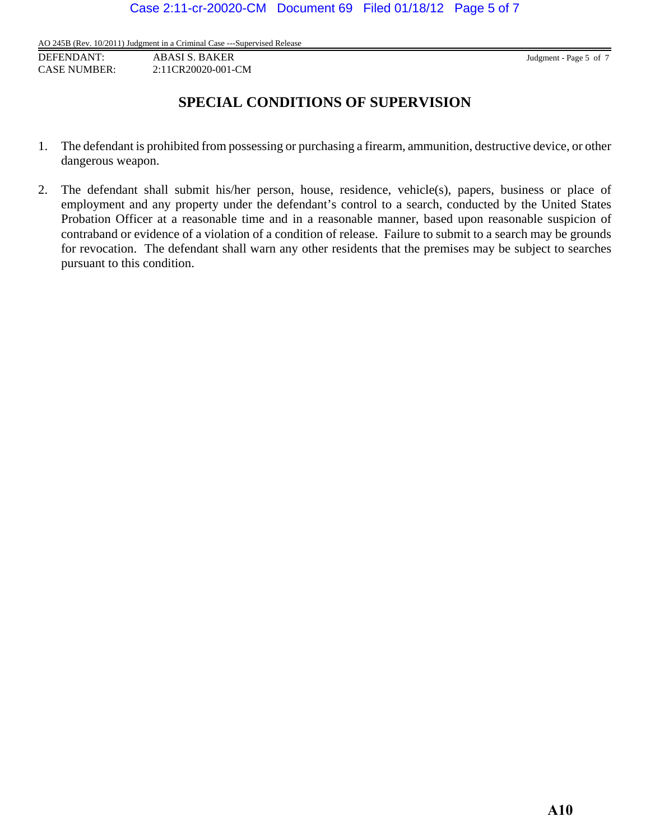AO 245B (Rev. 10/2011) Judgment in a Criminal Case ---Supervised Release

DEFENDANT: ABASI S. BAKER Judgment - Page 5 of 7 CASE NUMBER: 2:11CR20020-001-CM

# **SPECIAL CONDITIONS OF SUPERVISION**

- 1. The defendant is prohibited from possessing or purchasing a firearm, ammunition, destructive device, or other dangerous weapon.
- 2. The defendant shall submit his/her person, house, residence, vehicle(s), papers, business or place of employment and any property under the defendant's control to a search, conducted by the United States Probation Officer at a reasonable time and in a reasonable manner, based upon reasonable suspicion of contraband or evidence of a violation of a condition of release. Failure to submit to a search may be grounds for revocation. The defendant shall warn any other residents that the premises may be subject to searches pursuant to this condition.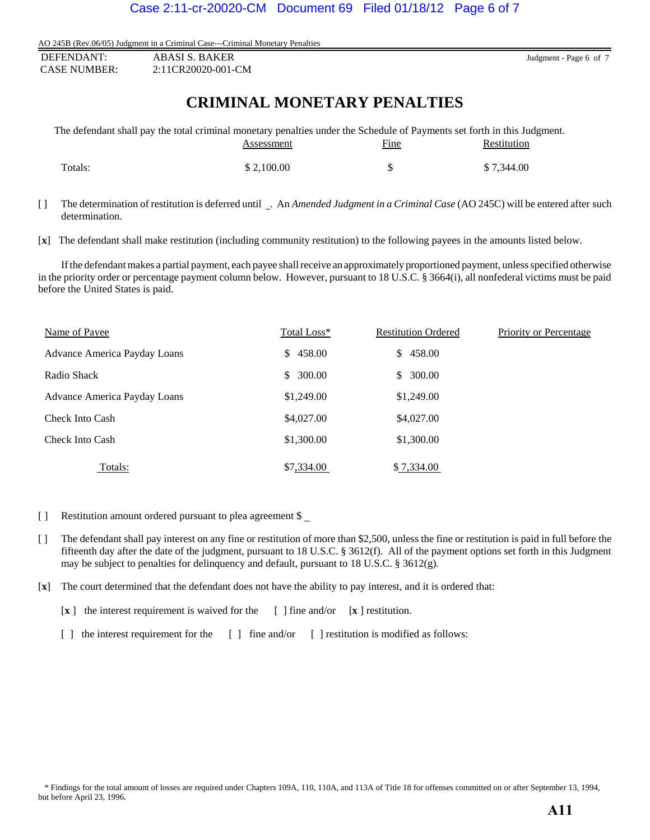AO 245B (Rev.06/05) Judgment in a Criminal Case---Criminal Monetary Penalties

| DEFENDANT:          | ABASI S. BAKER     |
|---------------------|--------------------|
| <b>CASE NUMBER:</b> | 2:11CR20020-001-CM |

Judgment - Page 6 of 7

# **CRIMINAL MONETARY PENALTIES**

|         | The defendant shall pay the total criminal monetary penalties under the Schedule of Payments set forth in this Judgment. |             |             |
|---------|--------------------------------------------------------------------------------------------------------------------------|-------------|-------------|
|         | Assessment                                                                                                               | <b>Fine</b> | Restitution |
|         |                                                                                                                          |             |             |
| Totals: | \$2,100.00                                                                                                               | -S          | \$7.344.00  |

[ ] The determination of restitution is deferred until \_. An *Amended Judgment in a Criminal Case* (AO 245C) will be entered after such determination.

[**x**] The defendant shall make restitution (including community restitution) to the following payees in the amounts listed below.

If the defendant makes a partial payment, each payee shall receive an approximately proportioned payment, unless specified otherwise in the priority order or percentage payment column below. However, pursuant to 18 U.S.C. § 3664(i), all nonfederal victims must be paid before the United States is paid.

| Name of Payee                | Total Loss*   | <b>Restitution Ordered</b> | Priority or Percentage |
|------------------------------|---------------|----------------------------|------------------------|
| Advance America Payday Loans | 458.00<br>\$. | \$458.00                   |                        |
| Radio Shack                  | 300.00<br>\$. | 300.00<br>\$               |                        |
| Advance America Payday Loans | \$1,249.00    | \$1,249.00                 |                        |
| Check Into Cash              | \$4,027.00    | \$4,027.00                 |                        |
| Check Into Cash              | \$1,300.00    | \$1,300.00                 |                        |
| Totals:                      | \$7,334.00    | \$7,334.00                 |                        |

- [ ] Restitution amount ordered pursuant to plea agreement \$
- [ ] The defendant shall pay interest on any fine or restitution of more than \$2,500, unless the fine or restitution is paid in full before the fifteenth day after the date of the judgment, pursuant to 18 U.S.C. § 3612(f). All of the payment options set forth in this Judgment may be subject to penalties for delinquency and default, pursuant to 18 U.S.C. § 3612(g).
- [**x**] The court determined that the defendant does not have the ability to pay interest, and it is ordered that:

[**x** ] the interest requirement is waived for the [ ] fine and/or [**x** ] restitution.

[ ] the interest requirement for the [ ] fine and/or [ ] restitution is modified as follows: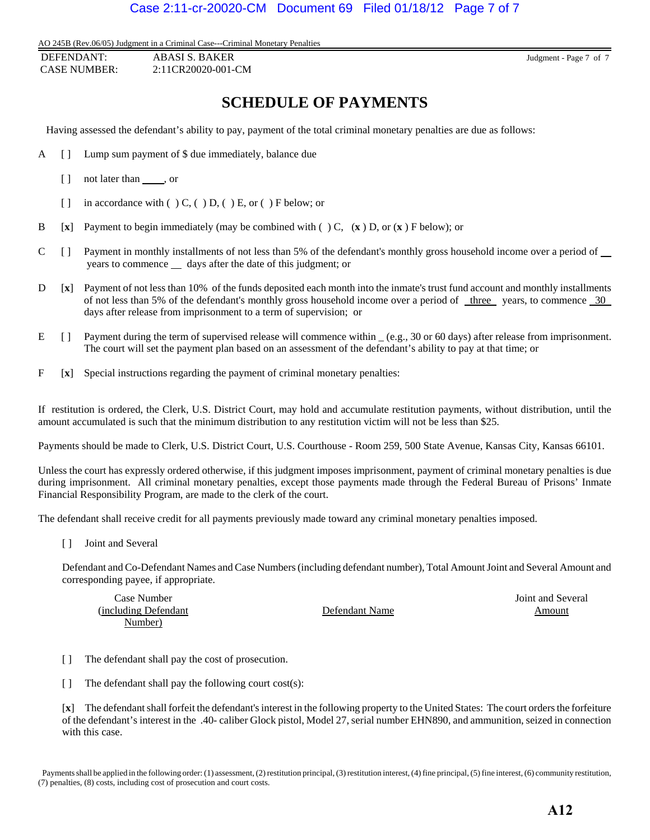AO 245B (Rev.06/05) Judgment in a Criminal Case---Criminal Monetary Penalties

 DEFENDANT: ABASI S. BAKER Judgment - Page 7 of 7 CASE NUMBER: 2:11CR20020-001-CM

# **SCHEDULE OF PAYMENTS**

Having assessed the defendant's ability to pay, payment of the total criminal monetary penalties are due as follows:

- A [ ] Lump sum payment of \$ due immediately, balance due
	- [ ] not later than , or
	- [ ] in accordance with  $( ) C, ( ) D, ( ) E,$  or  $( ) F$  below; or
- B [**x**] Payment to begin immediately (may be combined with ( ) C, (**x** ) D, or (**x** ) F below); or
- C [ ] Payment in monthly installments of not less than 5% of the defendant's monthly gross household income over a period of years to commence  $\equiv$  days after the date of this judgment; or
- D [**x**] Payment of not less than 10% of the funds deposited each month into the inmate's trust fund account and monthly installments of not less than 5% of the defendant's monthly gross household income over a period of <u>three</u> years, to commence 30 days after release from imprisonment to a term of supervision; or
- E [] Payment during the term of supervised release will commence within  $(e.g., 30 \text{ or } 60 \text{ days})$  after release from imprisonment. The court will set the payment plan based on an assessment of the defendant's ability to pay at that time; or
- F [**x**] Special instructions regarding the payment of criminal monetary penalties:

If restitution is ordered, the Clerk, U.S. District Court, may hold and accumulate restitution payments, without distribution, until the amount accumulated is such that the minimum distribution to any restitution victim will not be less than \$25.

Payments should be made to Clerk, U.S. District Court, U.S. Courthouse - Room 259, 500 State Avenue, Kansas City, Kansas 66101.

Unless the court has expressly ordered otherwise, if this judgment imposes imprisonment, payment of criminal monetary penalties is due during imprisonment. All criminal monetary penalties, except those payments made through the Federal Bureau of Prisons' Inmate Financial Responsibility Program, are made to the clerk of the court.

The defendant shall receive credit for all payments previously made toward any criminal monetary penalties imposed.

[ ] Joint and Several

Defendant and Co-Defendant Names and Case Numbers (including defendant number), Total Amount Joint and Several Amount and corresponding payee, if appropriate.

| Case Number           |                | Joint and Several |
|-----------------------|----------------|-------------------|
| (including Defendant) | Defendant Name | Amount            |
| Number)               |                |                   |

- [ ] The defendant shall pay the cost of prosecution.
- [ ] The defendant shall pay the following court cost(s):

[**x**] The defendant shall forfeit the defendant's interest in the following property to the United States: The court orders the forfeiture of the defendant's interest in the .40- caliber Glock pistol, Model 27, serial number EHN890, and ammunition, seized in connection with this case.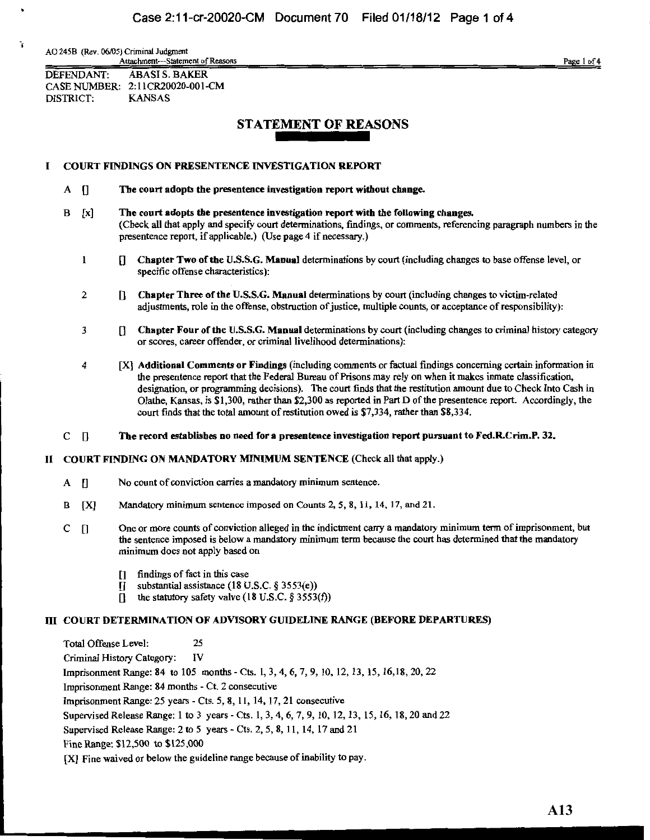AO 245B (Rev. 06/05) Criminal Judgment Attachment---Statement of Reasons

Page 1 of 4

DEFENDANT: **ABASI S. BAKER** CASE NUMBER: 2:11CR20020-001-CM DISTRICT: **KANSAS** 

## **STATEMENT OF REASONS**

#### **COURT FINDINGS ON PRESENTENCE INVESTIGATION REPORT**  $\bf{I}$

- $A \parallel$ The court adopts the presentence investigation report without change.
- $\bf{B}$  $\lceil x \rceil$ The court adopts the presentence investigation report with the following changes. (Check all that apply and specify court determinations, findings, or comments, referencing paragraph numbers in the presentence report, if applicable.) (Use page 4 if necessary.)
	- $\mathbf{1}$ [] Chapter Two of the U.S.S.G. Manual determinations by court (including changes to base offense level, or specific offense characteristics):
	- $\overline{2}$ [] Chapter Three of the U.S.S.G. Manual determinations by court (including changes to victim-related adjustments, role in the offense, obstruction of justice, multiple counts, or acceptance of responsibility):
	- $\overline{\mathbf{3}}$ [] Chapter Four of the U.S.S.G. Manual determinations by court (including changes to criminal history category or scores, career offender, or criminal livelihood determinations):
	- $\boldsymbol{4}$ [X] Additional Comments or Findings (including comments or factual findings concerning certain information in the presentence report that the Federal Bureau of Prisons may rely on when it makes inmate classification, designation, or programming decisions). The court finds that the restitution amount due to Check Into Cash in Olathe, Kansas, is \$1,300, rather than \$2,300 as reported in Part D of the presentence report. Accordingly, the court finds that the total amount of restitution owed is \$7,334, rather than \$8,334.
- $C \parallel$ The record establishes no need for a presentence investigation report pursuant to Fed.R.Crim.P. 32.

### II COURT FINDING ON MANDATORY MINIMUM SENTENCE (Check all that apply.)

- No count of conviction carries a mandatory minimum sentence.  $\mathbf{A}$  $\mathbf{u}$
- $\bf{B}$ **[X]** Mandatory minimum sentence imposed on Counts 2, 5, 8, 11, 14, 17, and 21.
- One or more counts of conviction alleged in the indictment carry a mandatory minimum term of imprisonment, but  $C \cap$ the sentence imposed is below a mandatory minimum term because the court has determined that the mandatory minimum does not apply based on
	- findings of fact in this case  $\mathsf{L}$
	- substantial assistance  $(18 \text{ U.S.C. } 8 \text{ 3553(e)})$  $\mathbf{u}$
	- the statutory safety valve  $(18 \text{ U.S. C. } 8 \text{ 3553(f)})$ П

### **III COURT DETERMINATION OF ADVISORY GUIDELINE RANGE (BEFORE DEPARTURES)**

Total Offense Level: 25 IV Criminal History Category: Imprisonment Range: 84 to 105 months - Cts. 1, 3, 4, 6, 7, 9, 10, 12, 13, 15, 16, 18, 20, 22 Imprisonment Range: 84 months - Ct. 2 consecutive Imprisonment Range: 25 years - Cts. 5, 8, 11, 14, 17, 21 consecutive Supervised Release Range: 1 to 3 years - Cts. 1, 3, 4, 6, 7, 9, 10, 12, 13, 15, 16, 18, 20 and 22 Supervised Release Range: 2 to 5 years - Cts. 2, 5, 8, 11, 14, 17 and 21 Fine Range: \$12,500 to \$125,000 [X] Fine waived or below the guideline range because of inability to pay.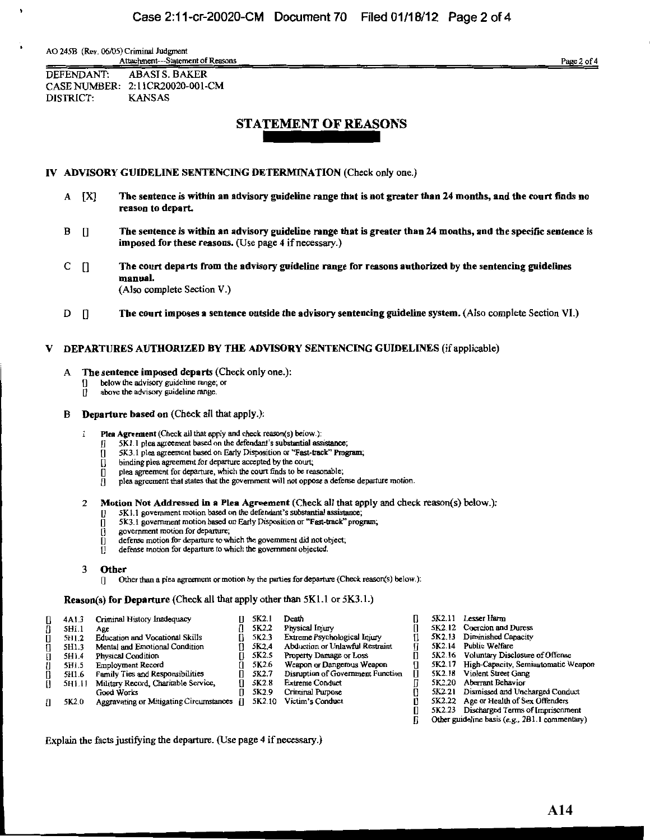AO 245B (Rev. 06/05) Criminal Judgment Attachment--Statement of Reasons

Page 2 of 4

DEFENDANT: ABASI S. BAKER CASE NUMBER: 2:11CR20020-001-CM **DISTRICT: KANSAS** 

## **STATEMENT OF REASONS**

### IV ADVISORY GUIDELINE SENTENCING DETERMINATION (Check only one.)

- $A$   $[X]$ The sentence is within an advisory guideline range that is not greater than 24 months, and the court finds no reason to depart.
- $\prod$ The sentence is within an advisory guideline range that is greater than 24 months, and the specific sentence is В imposed for these reasons. (Use page 4 if necessary.)
- C  $\mathbf{I}$ The court departs from the advisory guideline range for reasons authorized by the sentencing guidelines manual. (Also complete Section V.)
- D  $\prod$ The court imposes a sentence outside the advisory sentencing guideline system. (Also complete Section VI.)

#### DEPARTURES AUTHORIZED BY THE ADVISORY SENTENCING GUIDELINES (if applicable) v

- A The sentence imposed departs (Check only one.):
	- below the advisory guideline range; or
	- ñ. above the advisory guideline range.

#### **Departure based on** (Check all that apply.): в

- Plea Agreement (Check all that apply and check reason(s) below.):
	- 5K1.1 plea agreement based on the defendant's substantial assistance;
	- 5K3.1 plea agreement based on Early Disposition or "Fast-track" Program; Л
	- binding plea agreement for departure accepted by the court; п
	- plea agreement for departure, which the court finds to be reasonable;
	- plea agreement that states that the government will not oppose a defense departure motion.
- Motion Not Addressed in a Plea Agreement (Check all that apply and check reason(s) below.):  $\overline{2}$ 
	- 5K1.1 government motion based on the defendant's substantial assistance;
	- 5K3.1 government motion based on Early Disposition or "Fast-track" program;
	- government motion for departure;
	- defense motion for departure to which the government did not object;
	- defense motion for departure to which the government objected.  $\Pi$

Other than a plea agreement or motion by the parties for departure (Check reason(s) below.):

**Reason(s) for Departure (Check all that apply other than**  $5K1.1$  **or**  $5K3.1.$ **)** 

| П            | 4A1.3  | Criminal History Inadequacy                | 5K2.1              | Death                             | 5K2.11        | Lesse |
|--------------|--------|--------------------------------------------|--------------------|-----------------------------------|---------------|-------|
| n            | 5H1.1  | Age                                        | 5K2.2              | Physical Injury                   | 5K2.12        | Coero |
| $\mathbf{u}$ | 5H1.2  | <b>Education and Vocational Skills</b>     | 5K2.3              | Extreme Psychological Injury      | <b>5K2.13</b> | Dimi  |
| $\mathbf{u}$ | 5H1.3  | Mental and Emotional Condition             | 5K <sub>2.4</sub>  | Abduction or Unlawful Restraint   | 5K2.14        | Publi |
| П            | 5H1.4  | Physical Condition                         | 5K2.5              | Property Damage or Loss           | 5K2.16 Volu   |       |
| U            | 5H1.5  | <b>Employment Record</b>                   | 5K2.6              | Weapon or Dangerous Weapon        | 5K2.17        | High- |
| n            | 5H1.6  | Family Ties and Responsibilities           | 5K2.7              | Disruption of Government Function | 5K2.18        | Viole |
| 0            | 5H1.11 | Military Record, Charitable Service,       | 5K2.8              | <b>Extreme Conduct</b>            | 5K2.20        | Aber  |
|              |        | Good Works                                 | 5K <sub>2</sub> .9 | Criminal Purpose                  | 5K2.21        | Dism  |
| П            | 5K2.0  | Aggravating or Mitigating Circumstances [] | 5K2.10             | Victim's Conduct                  | 5K2.22        | Age o |
|              |        |                                            |                    |                                   | 5K2.23        | Disch |

r Harm

- ion and Duress
- nished Capacity
- : Welfare
- htary Disclosure of Offense
- Capacity, Semiautomatic Weapon
- nt Street Gang
- ant Behavior
- issed and Uncharged Conduct
- or Health of Sex Offenders
- arged Terms of Imprisonment
- Other guideline basis (e.g., 2B1.1 commentary)

Explain the facts justifying the departure. (Use page 4 if necessary.)

Other 3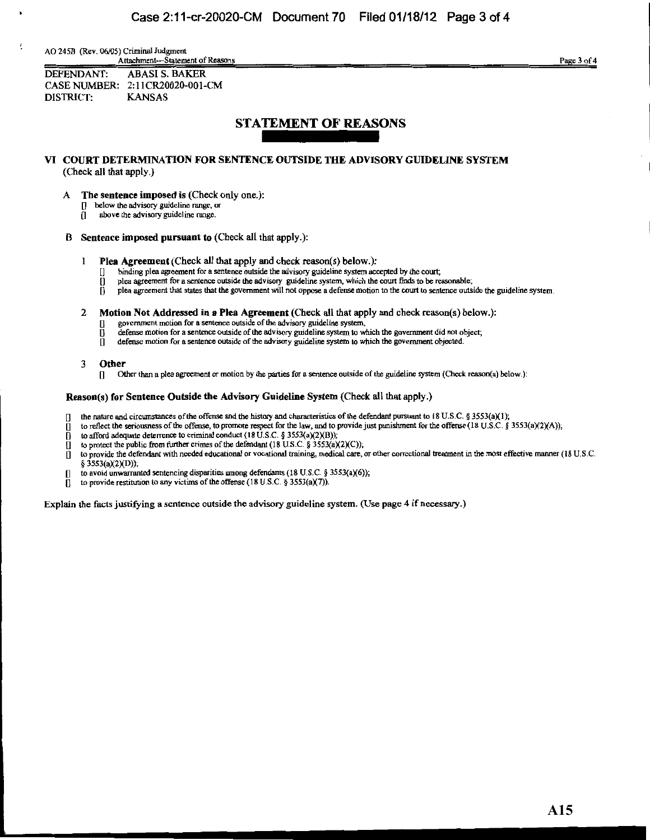AO 245B (Rev. 06/05) Criminal Judgment Attachment---Statement of Reasons

Page 3 of 4

**DEFENDANT: ABASI S. BAKER** CASE NUMBER: 2:11CR20020-001-CM **KANSAS** DISTRICT:

## **STATEMENT OF REASONS**

### VI COURT DETERMINATION FOR SENTENCE OUTSIDE THE ADVISORY GUIDELINE SYSTEM (Check all that apply.)

- A The sentence imposed is (Check only one.):
	- [] below the advisory guideline range; or
	- $\prod$  above the advisory guideline range.
- B Sentence imposed pursuant to (Check all that apply.):
	- $\mathbf{1}$ **Plea Agreement** (Check all that apply and check reason(s) below.):
		- binding plea agreement for a sentence outside the advisory guideline system accepted by the court; п
		- plea agreement for a sentence outside the advisory guideline system, which the court finds to be reasonable, П
		- plea agreement that states that the government will not oppose a defense motion to the court to sentence outside the guideline system.
	- 2 Motion Not Addressed in a Plea Agreement (Check all that apply and check reason(s) below.):
		- government motion for a sentence outside of the advisory guideline system,
		- defense motion for a sentence outside of the advisory guideline system to which the government did not object;
		- n defense motion for a sentence outside of the advisory guideline system to which the government objected.
	- $\overline{3}$ Other
		- [] Other than a plea agreement or motion by the parties for a sentence outside of the guideline system (Check reason(s) below.):

### Reason(s) for Sentence Outside the Advisory Guideline System (Check all that apply.)

- the nature and circumstances of the offense and the history and characteristics of the defendant pursuant to 18 U.S.C. § 3553(a)(1);
- to reflect the seriousness of the offense, to promote respect for the law, and to provide just punishment for the offense (18 U.S.C. § 3553(a)(2)(A));
- to afford adequate deterrence to criminal conduct (18 U.S.C. § 3553(a)(2)(B));  $\mathbf{u}$
- to protect the public from further crimes of the defendant (18 U.S.C. § 3553(a)(2)(C)); łП.
- to provide the defendant with needed educational or vocational training, medical care, or other correctional treatment in the most effective manner (18 U.S.C. n.
- § 3553(a)(2)(D));
- to avoid unwarranted sentencing disparities among defendants (18 U.S.C. § 3553(a)(6));
- to provide restitution to any victims of the offense  $(18 \text{ U.S.C. } § 3553(a)(7))$ .

Explain the facts justifying a sentence outside the advisory guideline system. (Use page 4 if necessary.)